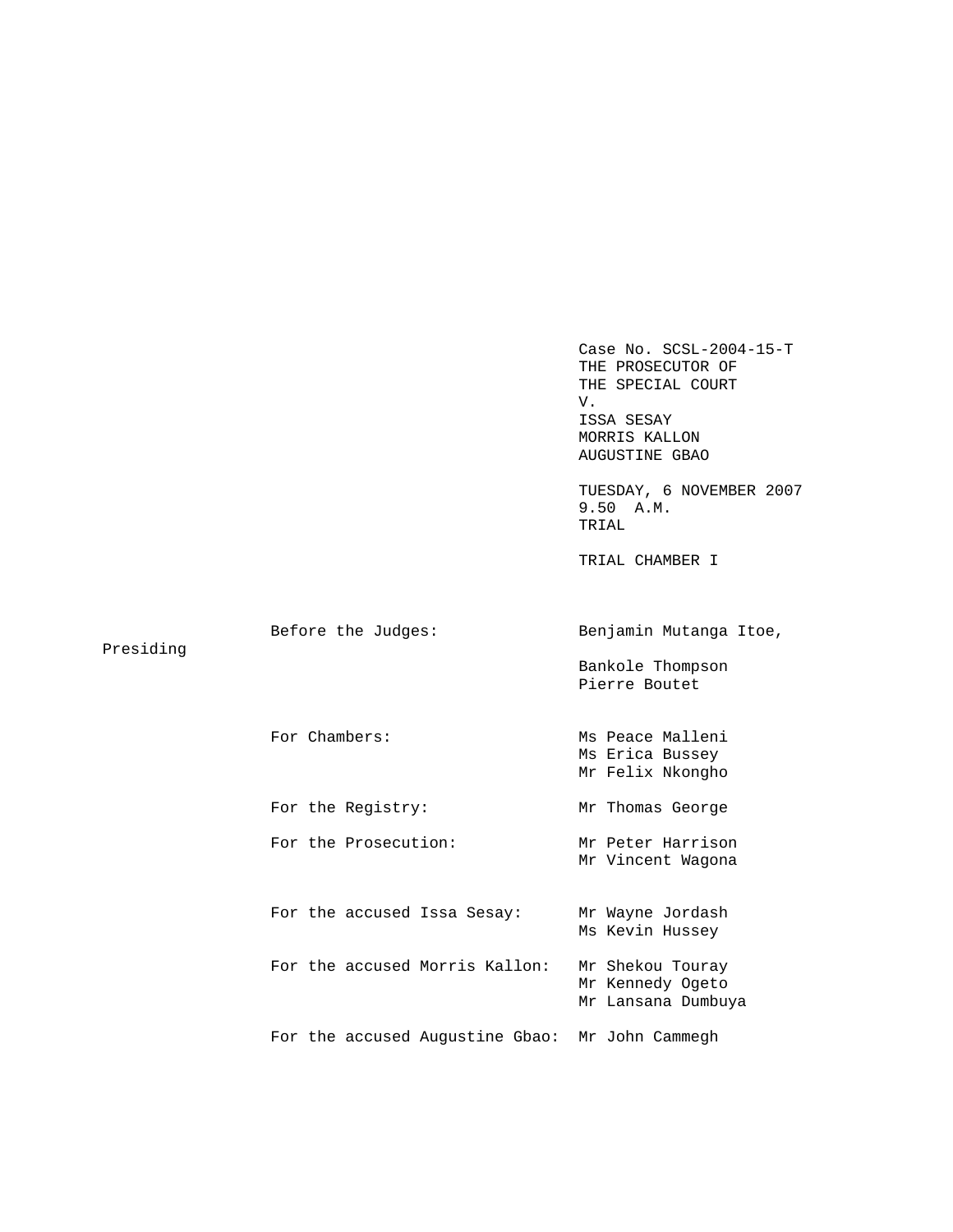Case No. SCSL-2004-15-T THE PROSECUTOR OF THE SPECIAL COURT V. ISSA SESAY MORRIS KALLON AUGUSTINE GBAO TUESDAY, 6 NOVEMBER 2007 9.50 A.M. TRIAL TRIAL CHAMBER I Before the Judges: Benjamin Mutanga Itoe, Presiding Bankole Thompson Pierre Boutet For Chambers: Ms Peace Malleni Ms Erica Bussey Mr Felix Nkongho For the Registry: Mr Thomas George For the Prosecution: Mr Peter Harrison Mr Vincent Wagona For the accused Issa Sesay: Mr Wayne Jordash Ms Kevin Hussey For the accused Morris Kallon: Mr Shekou Touray Mr Kennedy Ogeto Mr Lansana Dumbuya For the accused Augustine Gbao: Mr John Cammegh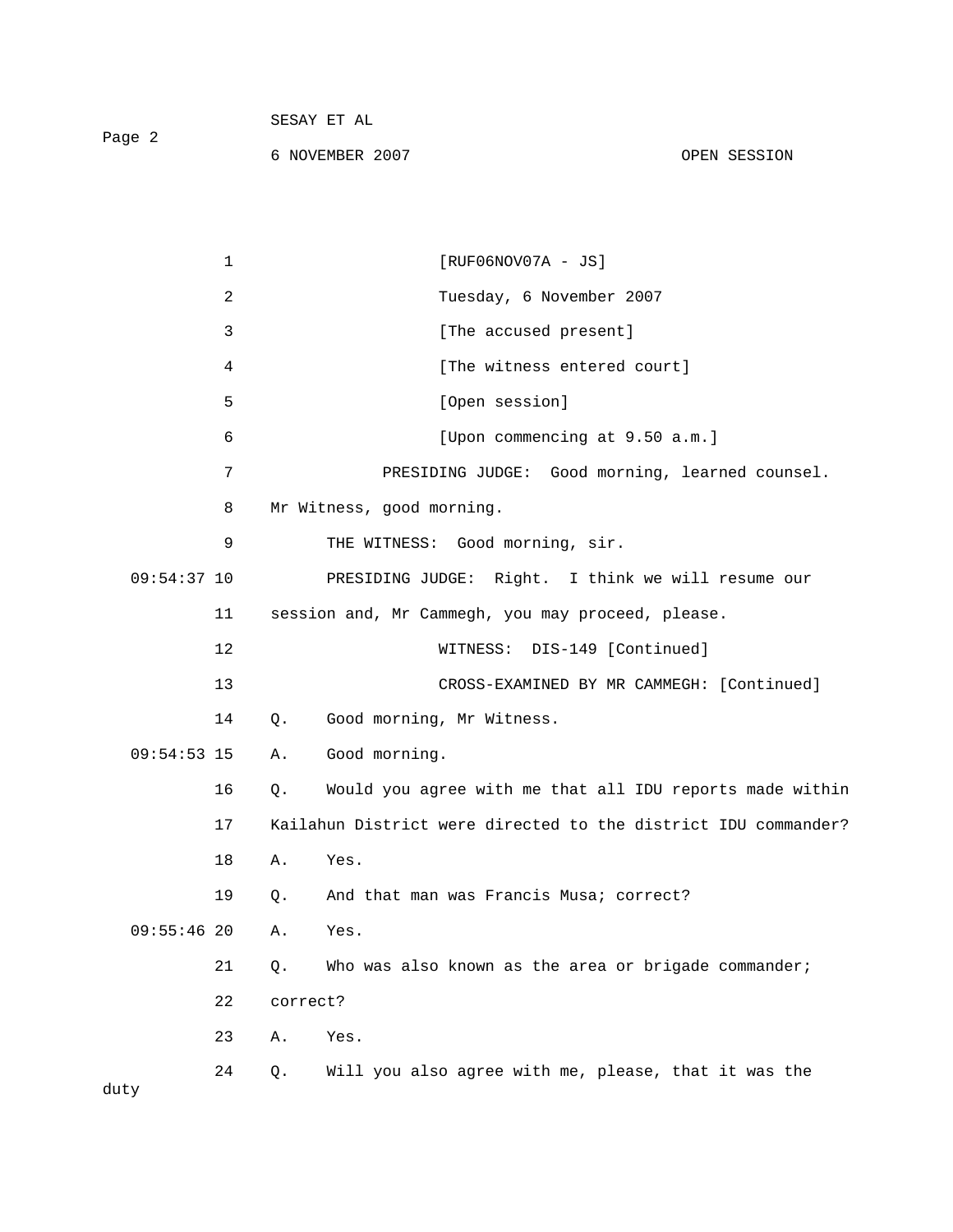|        | SESAY ET AL     |              |  |
|--------|-----------------|--------------|--|
| Page 2 |                 |              |  |
|        | 6 NOVEMBER 2007 | OPEN SESSION |  |

|               | 1  |          | $[RUF06NOV07A - JS]$                                           |
|---------------|----|----------|----------------------------------------------------------------|
|               | 2  |          | Tuesday, 6 November 2007                                       |
|               | 3  |          | [The accused present]                                          |
|               | 4  |          | [The witness entered court]                                    |
|               | 5  |          | [Open session]                                                 |
|               | 6  |          | [Upon commencing at 9.50 a.m.]                                 |
|               | 7  |          | PRESIDING JUDGE: Good morning, learned counsel.                |
|               | 8  |          | Mr Witness, good morning.                                      |
|               | 9  |          | THE WITNESS: Good morning, sir.                                |
| $09:54:37$ 10 |    |          | PRESIDING JUDGE: Right. I think we will resume our             |
|               | 11 |          | session and, Mr Cammegh, you may proceed, please.              |
|               | 12 |          | WITNESS: DIS-149 [Continued]                                   |
|               | 13 |          | CROSS-EXAMINED BY MR CAMMEGH: [Continued]                      |
|               | 14 | Q.       | Good morning, Mr Witness.                                      |
| $09:54:53$ 15 |    | Α.       | Good morning.                                                  |
|               | 16 | Q.       | Would you agree with me that all IDU reports made within       |
|               | 17 |          | Kailahun District were directed to the district IDU commander? |
|               | 18 | Α.       | Yes.                                                           |
|               | 19 | $Q$ .    | And that man was Francis Musa; correct?                        |
| $09:55:46$ 20 |    | Α.       | Yes.                                                           |
|               | 21 | Q.       | Who was also known as the area or brigade commander;           |
|               | 22 | correct? |                                                                |
|               | 23 | Α.       | Yes.                                                           |
| duty          | 24 | Q.       | Will you also agree with me, please, that it was the           |
|               |    |          |                                                                |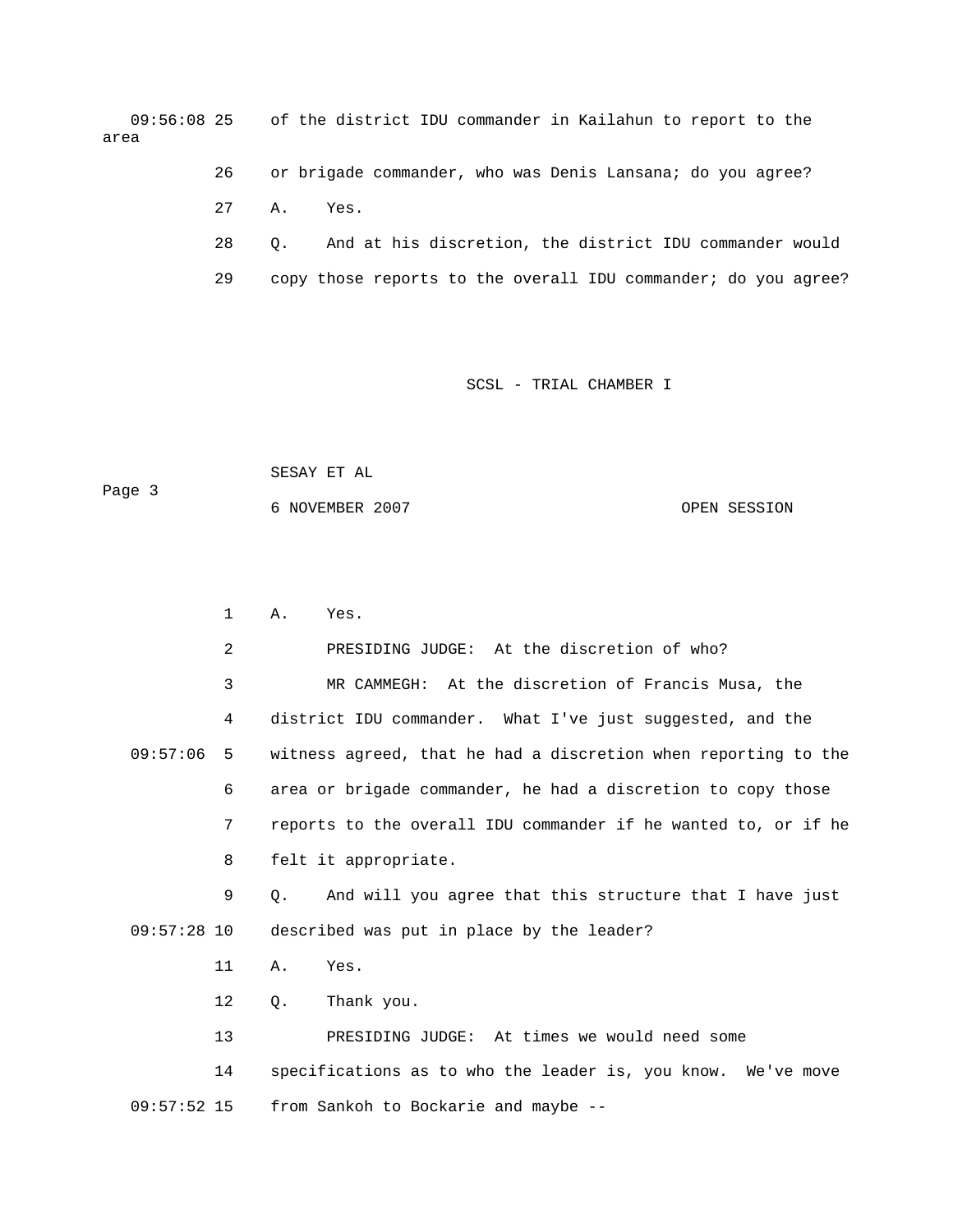09:56:08 25 of the district IDU commander in Kailahun to report to the area

> 26 or brigade commander, who was Denis Lansana; do you agree? 27 A. Yes.

 28 Q. And at his discretion, the district IDU commander would 29 copy those reports to the overall IDU commander; do you agree?

SCSL - TRIAL CHAMBER I

 SESAY ET AL Page 3 6 NOVEMBER 2007 OPEN SESSION

 1 A. Yes. 2 PRESIDING JUDGE: At the discretion of who? 3 MR CAMMEGH: At the discretion of Francis Musa, the 4 district IDU commander. What I've just suggested, and the 09:57:06 5 witness agreed, that he had a discretion when reporting to the 6 area or brigade commander, he had a discretion to copy those 7 reports to the overall IDU commander if he wanted to, or if he 8 felt it appropriate. 9 Q. And will you agree that this structure that I have just 09:57:28 10 described was put in place by the leader? 11 A. Yes. 12 Q. Thank you. 13 PRESIDING JUDGE: At times we would need some 14 specifications as to who the leader is, you know. We've move

09:57:52 15 from Sankoh to Bockarie and maybe --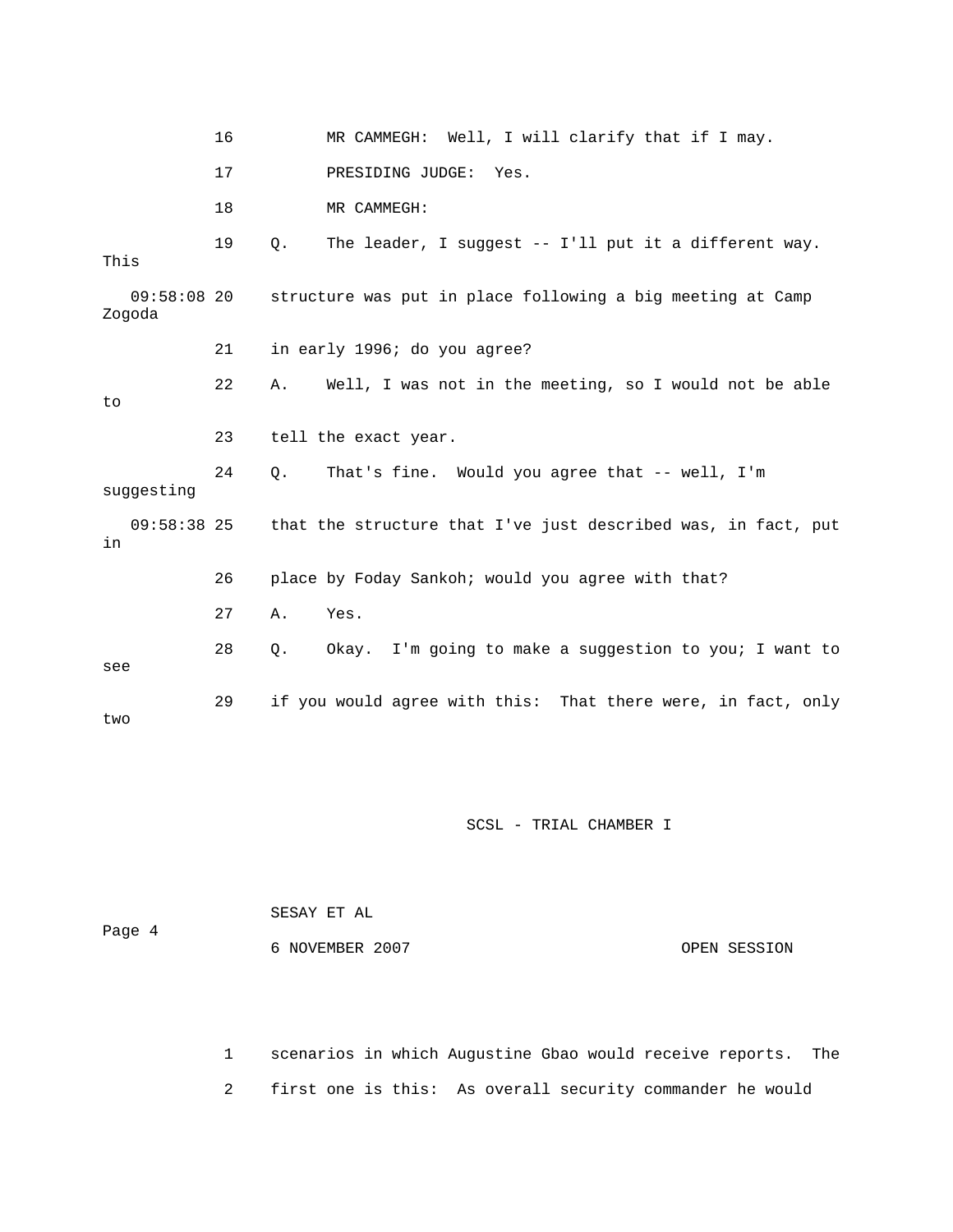|                       | 16 | MR CAMMEGH: Well, I will clarify that if I may.                   |
|-----------------------|----|-------------------------------------------------------------------|
|                       | 17 | PRESIDING JUDGE: Yes.                                             |
|                       | 18 | MR CAMMEGH:                                                       |
| This                  | 19 | $Q$ .<br>The leader, I suggest $-$ - I'll put it a different way. |
| 09:58:08 20<br>Zogoda |    | structure was put in place following a big meeting at Camp        |
|                       | 21 | in early 1996; do you agree?                                      |
| to                    | 22 | Well, I was not in the meeting, so I would not be able<br>Α.      |
|                       | 23 | tell the exact year.                                              |
| suggesting            | 24 | That's fine. Would you agree that -- well, I'm<br>Q.              |
| $09:58:38$ 25<br>in   |    | that the structure that I've just described was, in fact, put     |
|                       | 26 | place by Foday Sankoh; would you agree with that?                 |
|                       | 27 | Yes.<br>Α.                                                        |
| see                   | 28 | Okay. I'm going to make a suggestion to you; I want to<br>$Q$ .   |
| two                   | 29 | if you would agree with this: That there were, in fact, only      |

 SESAY ET AL Page 4 6 NOVEMBER 2007 OPEN SESSION

> 1 scenarios in which Augustine Gbao would receive reports. The 2 first one is this: As overall security commander he would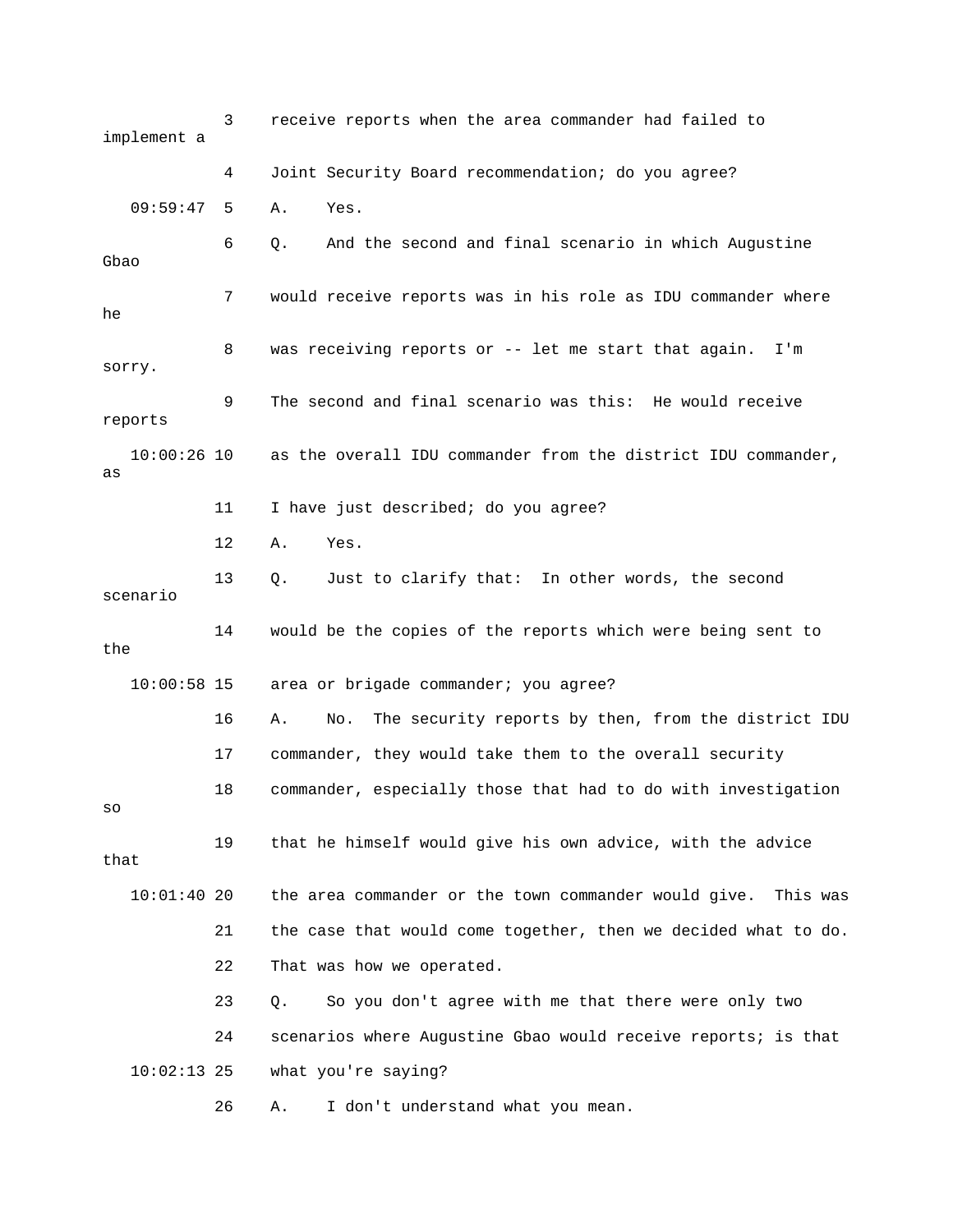3 receive reports when the area commander had failed to implement a 4 Joint Security Board recommendation; do you agree? 09:59:47 5 A. Yes. 6 Q. And the second and final scenario in which Augustine Gbao 7 would receive reports was in his role as IDU commander where he 8 was receiving reports or -- let me start that again. I'm sorry. 9 The second and final scenario was this: He would receive reports 10:00:26 10 as the overall IDU commander from the district IDU commander, as 11 I have just described; do you agree? 12 A. Yes. 13 Q. Just to clarify that: In other words, the second scenario 14 would be the copies of the reports which were being sent to the 10:00:58 15 area or brigade commander; you agree? 16 A. No. The security reports by then, from the district IDU 17 commander, they would take them to the overall security 18 commander, especially those that had to do with investigation so 19 that he himself would give his own advice, with the advice that 10:01:40 20 the area commander or the town commander would give. This was 21 the case that would come together, then we decided what to do. 22 That was how we operated. 23 Q. So you don't agree with me that there were only two 24 scenarios where Augustine Gbao would receive reports; is that 10:02:13 25 what you're saying? 26 A. I don't understand what you mean.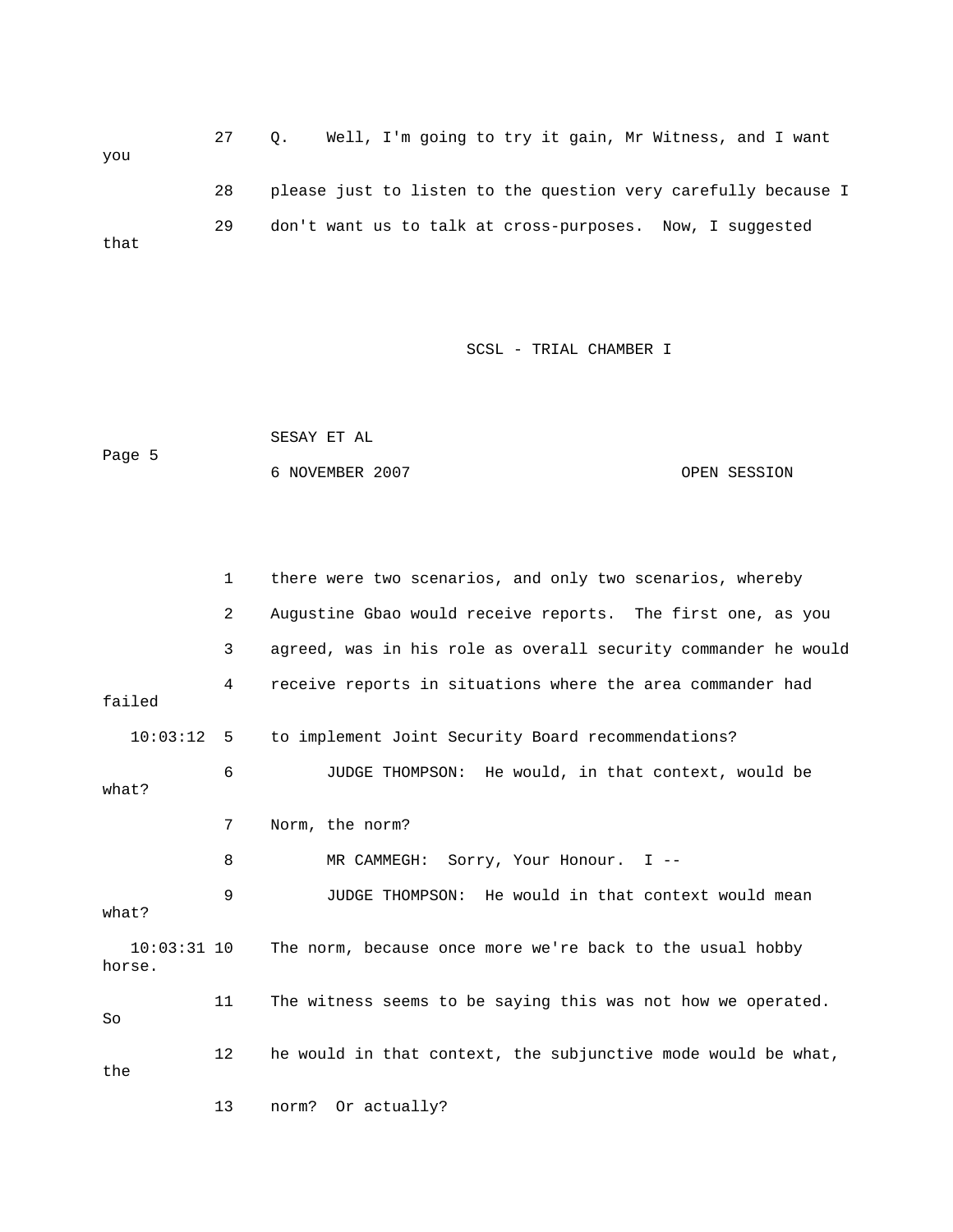27 Q. Well, I'm going to try it gain, Mr Witness, and I want you 28 please just to listen to the question very carefully because I 29 don't want us to talk at cross-purposes. Now, I suggested that

SCSL - TRIAL CHAMBER I

 SESAY ET AL Page 5 6 NOVEMBER 2007 OPEN SESSION

 1 there were two scenarios, and only two scenarios, whereby 2 Augustine Gbao would receive reports. The first one, as you 3 agreed, was in his role as overall security commander he would 4 receive reports in situations where the area commander had failed 10:03:12 5 to implement Joint Security Board recommendations? 6 JUDGE THOMPSON: He would, in that context, would be what? 7 Norm, the norm? 8 MR CAMMEGH: Sorry, Your Honour. I -- 9 JUDGE THOMPSON: He would in that context would mean what? 10:03:31 10 The norm, because once more we're back to the usual hobby horse. 11 The witness seems to be saying this was not how we operated. So 12 he would in that context, the subjunctive mode would be what, the 13 norm? Or actually?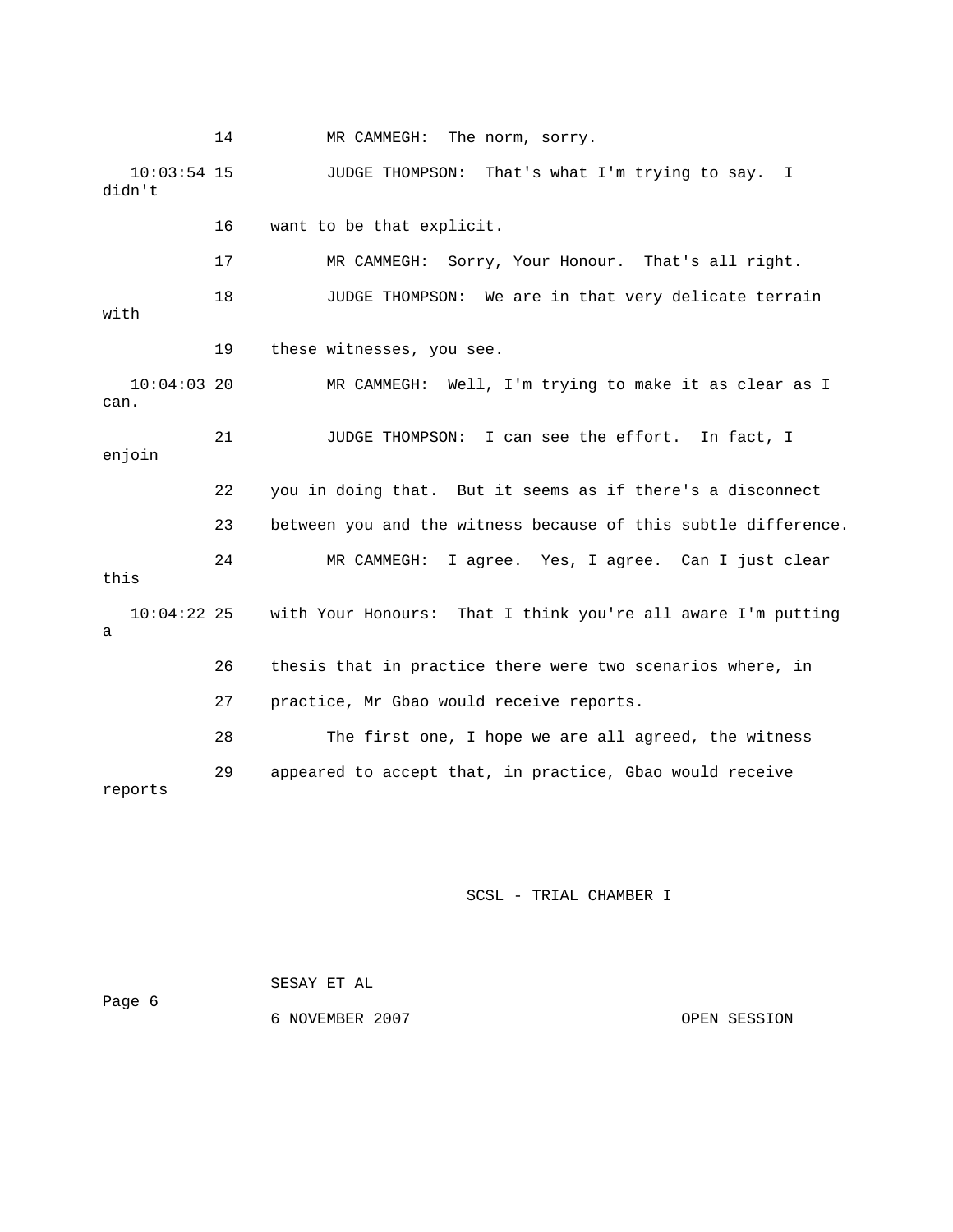14 MR CAMMEGH: The norm, sorry.

 10:03:54 15 JUDGE THOMPSON: That's what I'm trying to say. I didn't

16 want to be that explicit.

 17 MR CAMMEGH: Sorry, Your Honour. That's all right. 18 JUDGE THOMPSON: We are in that very delicate terrain with 19 these witnesses, you see. 10:04:03 20 MR CAMMEGH: Well, I'm trying to make it as clear as I can. 21 JUDGE THOMPSON: I can see the effort. In fact, I enjoin 22 you in doing that. But it seems as if there's a disconnect 23 between you and the witness because of this subtle difference. 24 MR CAMMEGH: I agree. Yes, I agree. Can I just clear this 10:04:22 25 with Your Honours: That I think you're all aware I'm putting a 26 thesis that in practice there were two scenarios where, in 27 practice, Mr Gbao would receive reports. 28 The first one, I hope we are all agreed, the witness

reports

SCSL - TRIAL CHAMBER I

29 appeared to accept that, in practice, Gbao would receive

 SESAY ET AL Page 6 6 NOVEMBER 2007 OPEN SESSION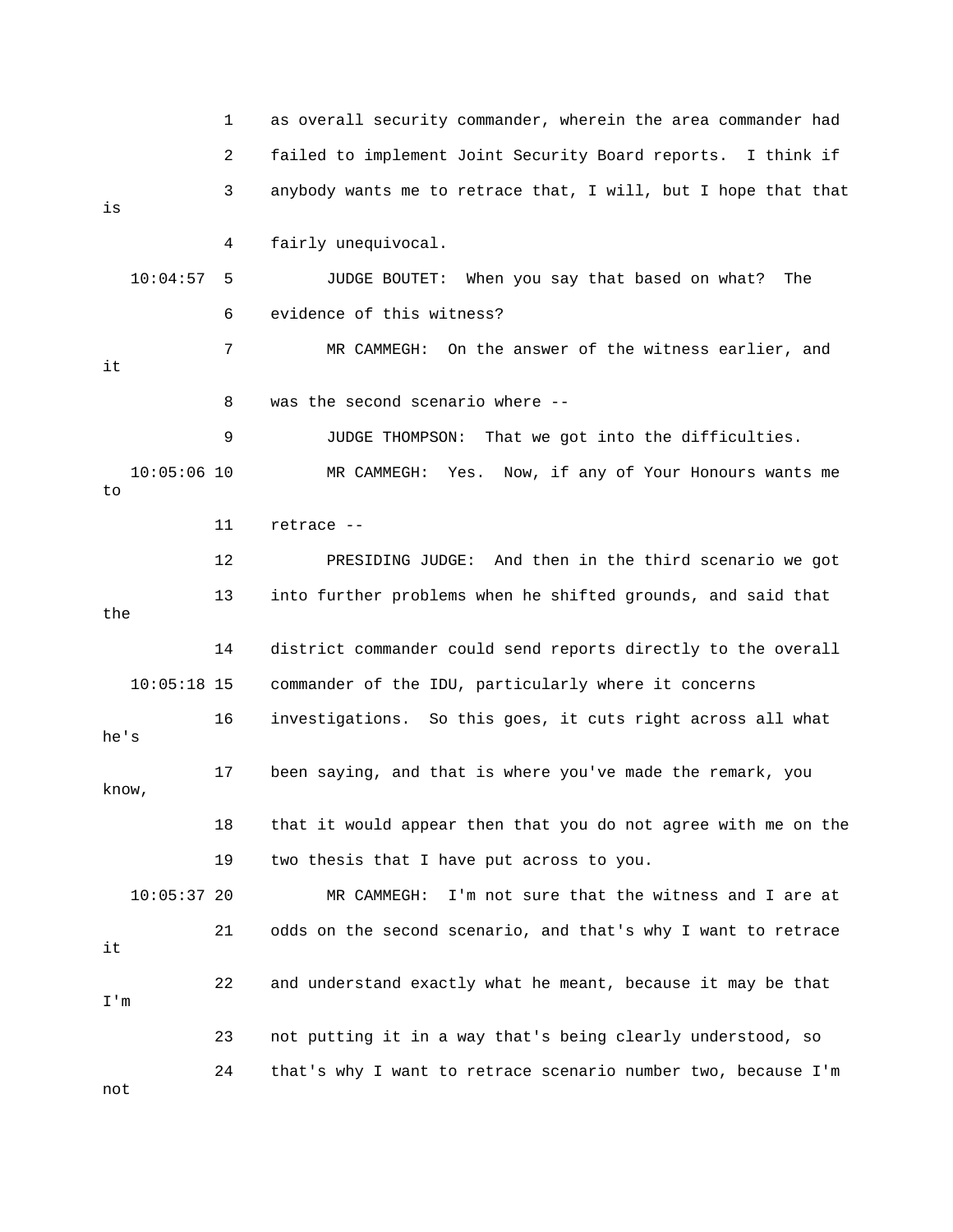1 as overall security commander, wherein the area commander had 2 failed to implement Joint Security Board reports. I think if 3 anybody wants me to retrace that, I will, but I hope that that is 4 fairly unequivocal. 10:04:57 5 JUDGE BOUTET: When you say that based on what? The 6 evidence of this witness? 7 MR CAMMEGH: On the answer of the witness earlier, and it 8 was the second scenario where -- 9 JUDGE THOMPSON: That we got into the difficulties. 10:05:06 10 MR CAMMEGH: Yes. Now, if any of Your Honours wants me to 11 retrace -- 12 PRESIDING JUDGE: And then in the third scenario we got 13 into further problems when he shifted grounds, and said that the 14 district commander could send reports directly to the overall 10:05:18 15 commander of the IDU, particularly where it concerns 16 investigations. So this goes, it cuts right across all what he's 17 been saying, and that is where you've made the remark, you know, 18 that it would appear then that you do not agree with me on the 19 two thesis that I have put across to you. 10:05:37 20 MR CAMMEGH: I'm not sure that the witness and I are at 21 odds on the second scenario, and that's why I want to retrace it 22 and understand exactly what he meant, because it may be that I'm 23 not putting it in a way that's being clearly understood, so 24 that's why I want to retrace scenario number two, because I'm not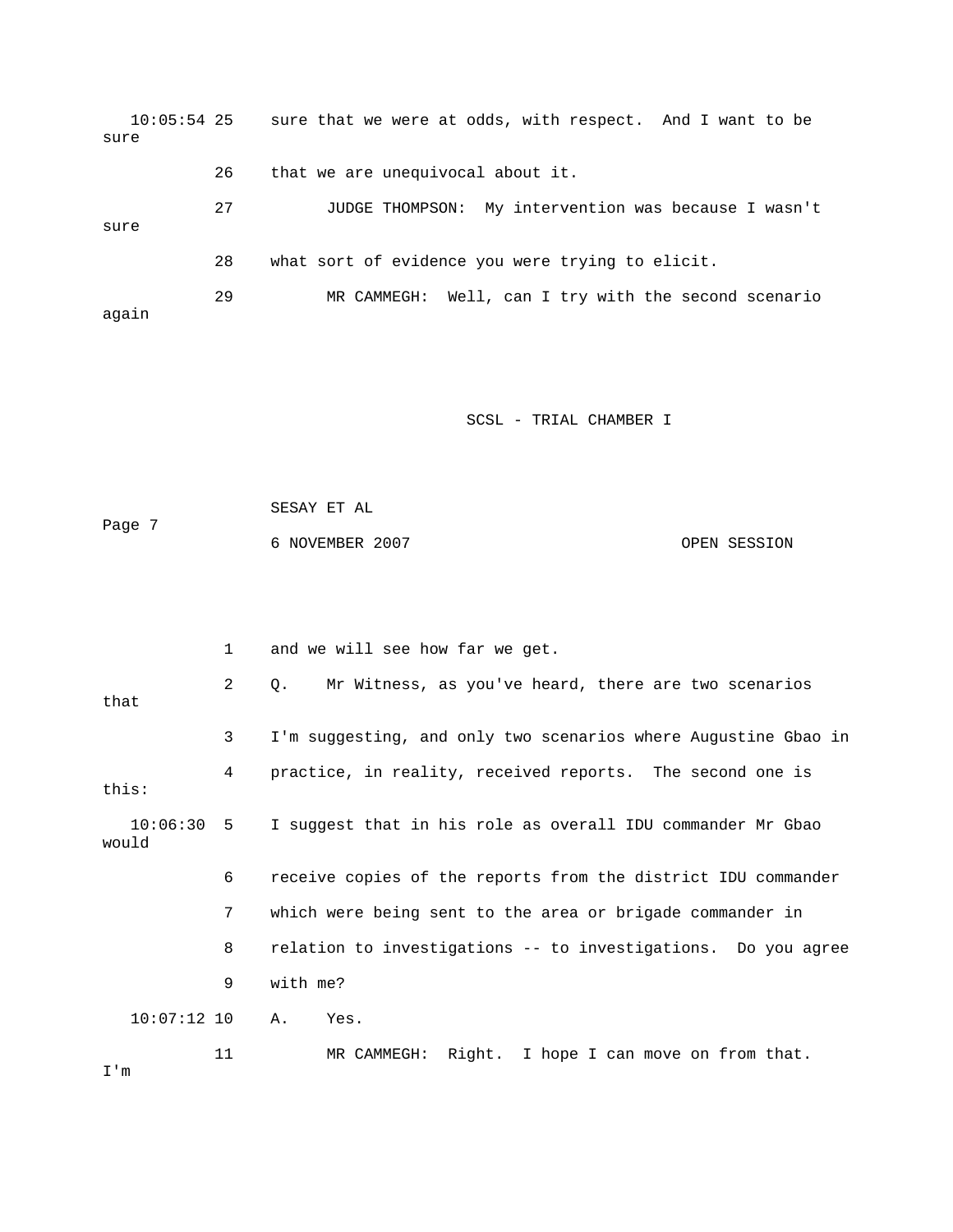| sure  | $10:05:54$ 25 |    | sure that we were at odds, with respect. And I want to be |
|-------|---------------|----|-----------------------------------------------------------|
|       |               | 26 | that we are unequivocal about it.                         |
| sure  |               | 27 | JUDGE THOMPSON: My intervention was because I wasn't      |
|       |               | 28 | what sort of evidence you were trying to elicit.          |
| again |               | 29 | MR CAMMEGH: Well, can I try with the second scenario      |

```
 SESAY ET AL 
Page 7 
           6 NOVEMBER 2007 CPEN SESSION
```

|               | $\mathbf{1}$   | and we will see how far we get.                                        |  |  |
|---------------|----------------|------------------------------------------------------------------------|--|--|
| that          | $\overline{2}$ | Mr Witness, as you've heard, there are two scenarios<br>$\circ$ .      |  |  |
|               | 3              | I'm suggesting, and only two scenarios where Augustine Gbao in         |  |  |
| this:         | 4              | practice, in reality, received reports. The second one is              |  |  |
| would         |                | 10:06:30 5 I suggest that in his role as overall IDU commander Mr Gbao |  |  |
|               | 6              | receive copies of the reports from the district IDU commander          |  |  |
|               | 7              | which were being sent to the area or brigade commander in              |  |  |
|               | 8              | relation to investigations -- to investigations. Do you agree          |  |  |
|               | 9              | with me?                                                               |  |  |
| $10:07:12$ 10 |                | Α.<br>Yes.                                                             |  |  |
| I'm           | 11             | MR CAMMEGH: Right. I hope I can move on from that.                     |  |  |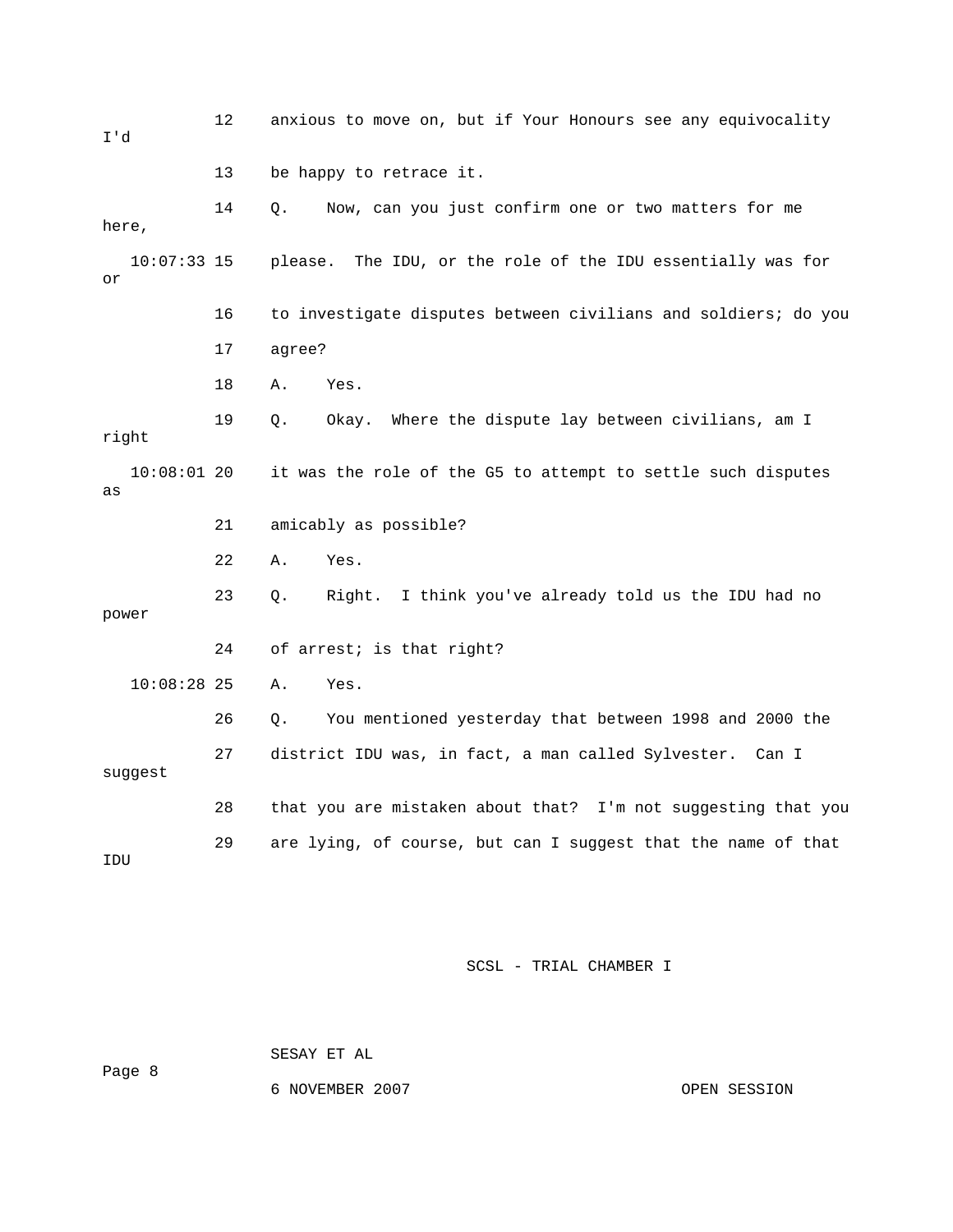| I'd                 | 12 | anxious to move on, but if Your Honours see any equivocality   |
|---------------------|----|----------------------------------------------------------------|
|                     | 13 | be happy to retrace it.                                        |
| here,               | 14 | Now, can you just confirm one or two matters for me<br>О.      |
| $10:07:33$ 15<br>or |    | please. The IDU, or the role of the IDU essentially was for    |
|                     | 16 | to investigate disputes between civilians and soldiers; do you |
|                     | 17 | agree?                                                         |
|                     | 18 | Yes.<br>Α.                                                     |
| right               | 19 | Okay. Where the dispute lay between civilians, am I<br>Q.      |
| $10:08:01$ 20<br>as |    | it was the role of the G5 to attempt to settle such disputes   |
|                     | 21 | amicably as possible?                                          |
|                     | 22 | Α.<br>Yes.                                                     |
| power               | 23 | I think you've already told us the IDU had no<br>Right.<br>Q.  |
|                     | 24 | of arrest; is that right?                                      |
| $10:08:28$ 25       |    | Α.<br>Yes.                                                     |
|                     | 26 | You mentioned yesterday that between 1998 and 2000 the<br>Q.   |
| suggest             | 27 | district IDU was, in fact, a man called Sylvester. Can I       |
|                     | 28 | that you are mistaken about that? I'm not suggesting that you  |
| IDU                 | 29 | are lying, of course, but can I suggest that the name of that  |

Page 8

SESAY ET AL

6 NOVEMBER 2007 CPEN SESSION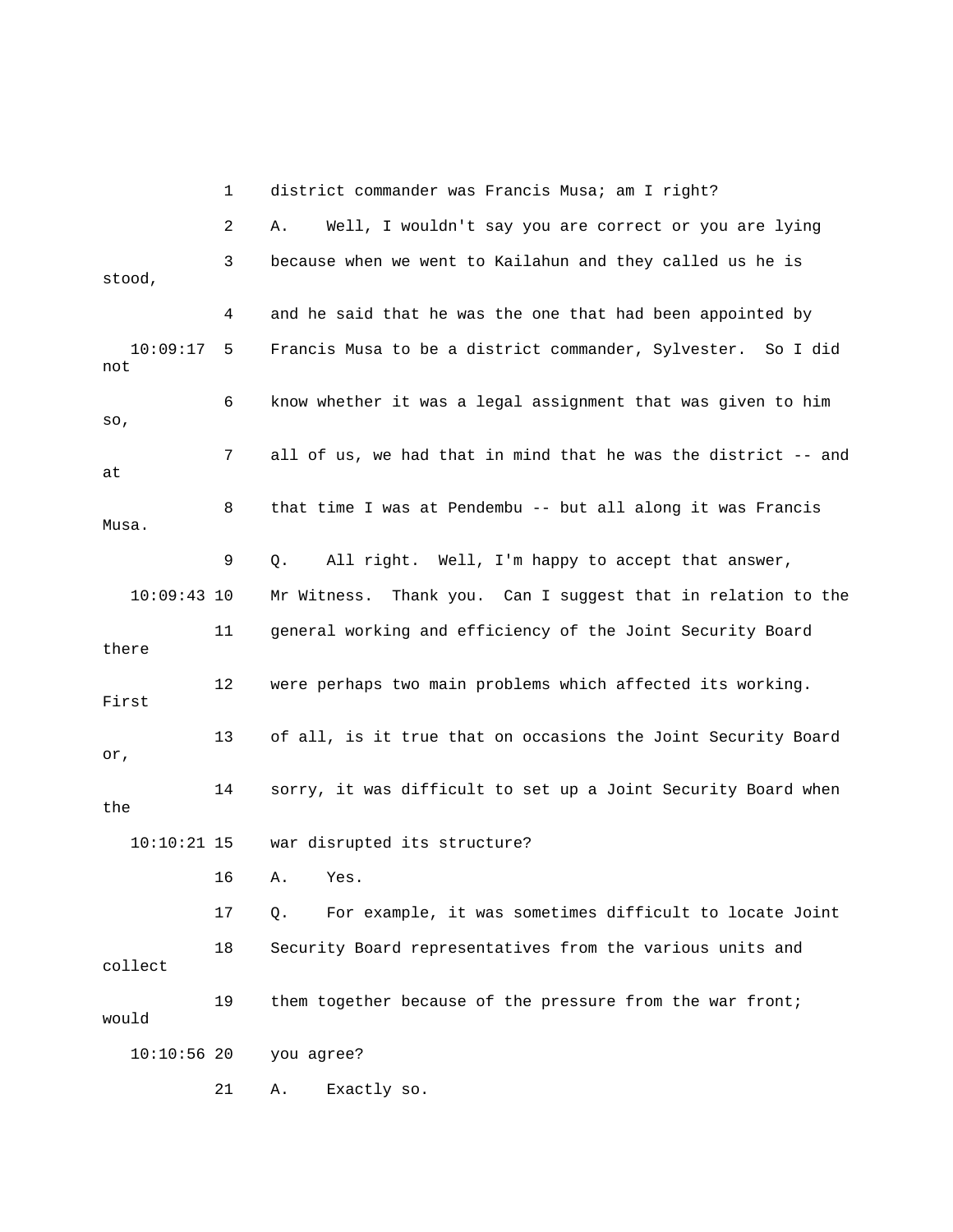1 district commander was Francis Musa; am I right? 2 A. Well, I wouldn't say you are correct or you are lying 3 because when we went to Kailahun and they called us he is stood, 4 and he said that he was the one that had been appointed by 10:09:17 5 Francis Musa to be a district commander, Sylvester. So I did not 6 know whether it was a legal assignment that was given to him so, 7 all of us, we had that in mind that he was the district -- and at 8 that time I was at Pendembu -- but all along it was Francis Musa. 9 Q. All right. Well, I'm happy to accept that answer, 10:09:43 10 Mr Witness. Thank you. Can I suggest that in relation to the 11 general working and efficiency of the Joint Security Board there 12 were perhaps two main problems which affected its working. First 13 of all, is it true that on occasions the Joint Security Board or, 14 sorry, it was difficult to set up a Joint Security Board when the 10:10:21 15 war disrupted its structure? 16 A. Yes. 17 Q. For example, it was sometimes difficult to locate Joint 18 Security Board representatives from the various units and collect 19 them together because of the pressure from the war front; would 10:10:56 20 you agree? 21 A. Exactly so.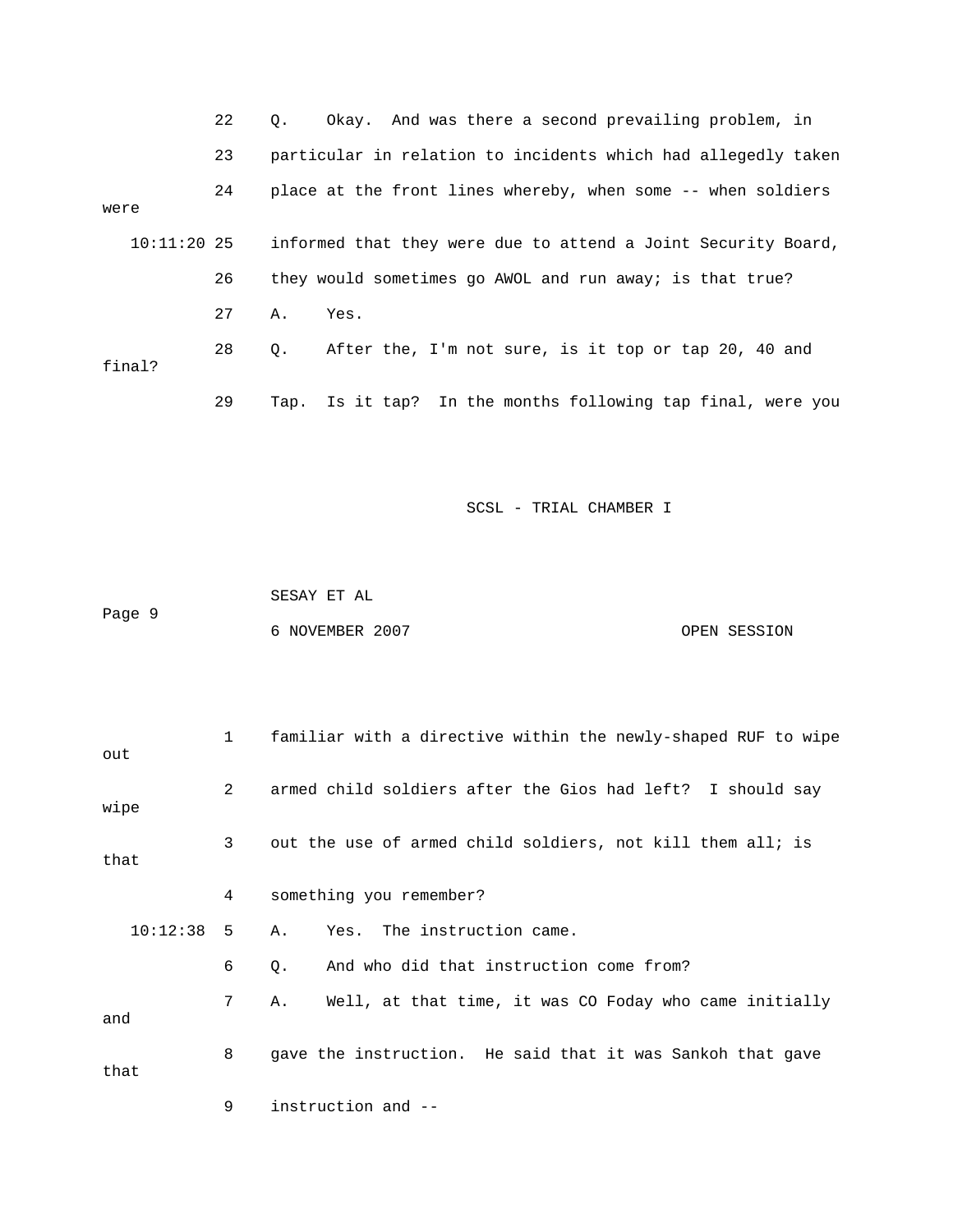|      |               | 22 | $\circ$ . | Okay. And was there a second prevailing problem, in           |
|------|---------------|----|-----------|---------------------------------------------------------------|
|      |               | 23 |           | particular in relation to incidents which had allegedly taken |
| were |               | 24 |           | place at the front lines whereby, when some -- when soldiers  |
|      | $10:11:20$ 25 |    |           | informed that they were due to attend a Joint Security Board, |
|      |               | 26 |           | they would sometimes go AWOL and run away; is that true?      |
|      |               | 27 | Α.        | Yes.                                                          |
|      | final?        | 28 | Q.        | After the, I'm not sure, is it top or tap 20, 40 and          |
|      |               | 29 | Tap.      | Is it tap? In the months following tap final, were you        |

 SESAY ET AL Page 9 6 NOVEMBER 2007 CPEN SESSION

| out      | $\mathbf{1}$ | familiar with a directive within the newly-shaped RUF to wipe |  |  |
|----------|--------------|---------------------------------------------------------------|--|--|
| wipe     | 2            | armed child soldiers after the Gios had left? I should say    |  |  |
| that     | 3            | out the use of armed child soldiers, not kill them all; is    |  |  |
|          | 4            | something you remember?                                       |  |  |
| 10:12:38 | -5           | Yes. The instruction came.<br>Α.                              |  |  |
|          | 6            | And who did that instruction come from?<br>Q.                 |  |  |
| and      | 7            | Well, at that time, it was CO Foday who came initially<br>Α.  |  |  |
| that     | 8            | gave the instruction. He said that it was Sankoh that gave    |  |  |
|          | 9            | instruction and --                                            |  |  |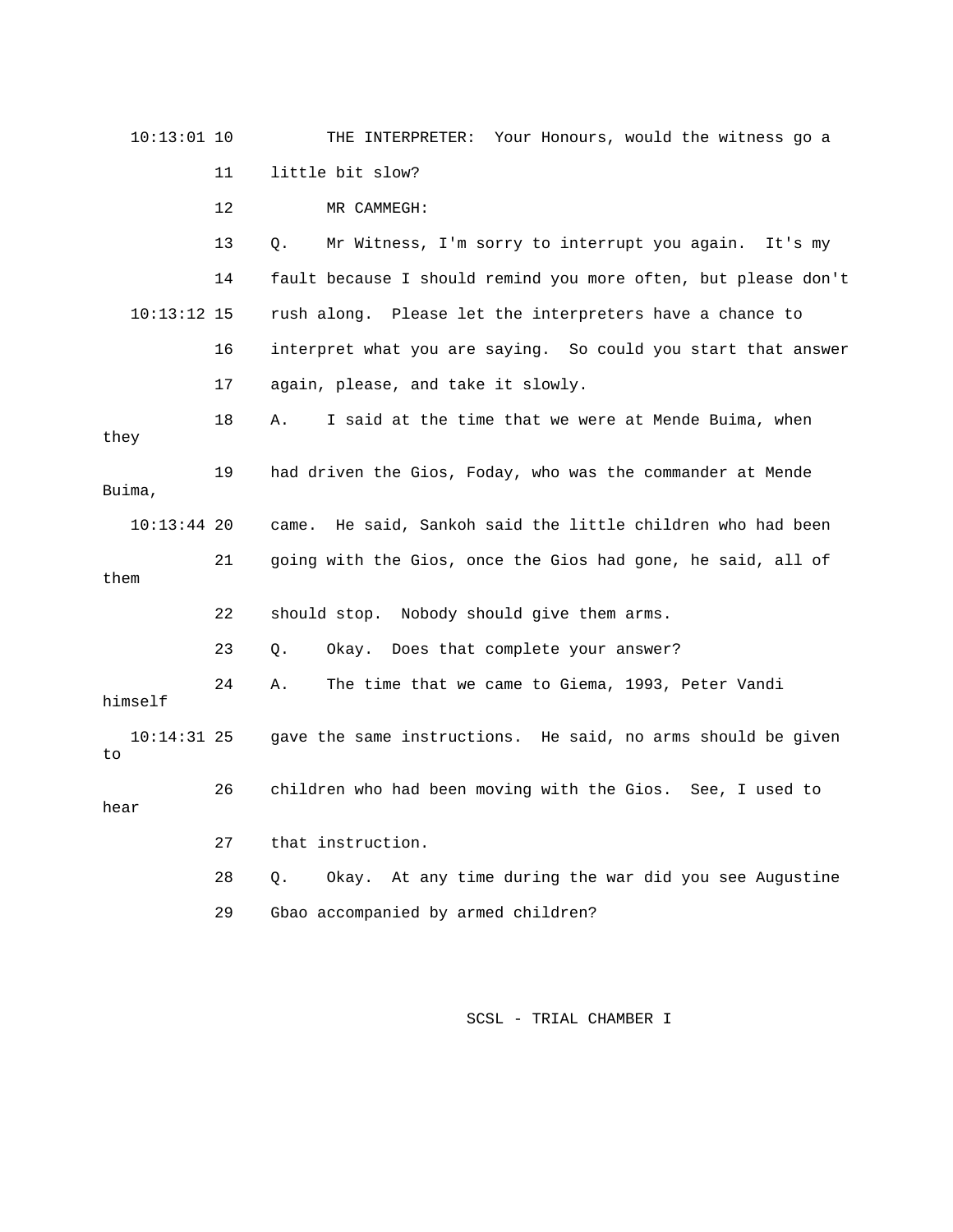| $10:13:01$ 10       |    | THE INTERPRETER: Your Honours, would the witness go a          |
|---------------------|----|----------------------------------------------------------------|
|                     | 11 | little bit slow?                                               |
|                     | 12 | MR CAMMEGH:                                                    |
|                     | 13 | Mr Witness, I'm sorry to interrupt you again.<br>О.<br>It's my |
|                     | 14 | fault because I should remind you more often, but please don't |
| $10:13:12$ 15       |    | rush along. Please let the interpreters have a chance to       |
|                     | 16 | interpret what you are saying. So could you start that answer  |
|                     | 17 | again, please, and take it slowly.                             |
| they                | 18 | I said at the time that we were at Mende Buima, when<br>Α.     |
| Buima,              | 19 | had driven the Gios, Foday, who was the commander at Mende     |
| $10:13:44$ 20       |    | He said, Sankoh said the little children who had been<br>came. |
| them                | 21 | going with the Gios, once the Gios had gone, he said, all of   |
|                     | 22 | should stop. Nobody should give them arms.                     |
|                     | 23 | Okay. Does that complete your answer?<br>О.                    |
| himself             | 24 | The time that we came to Giema, 1993, Peter Vandi<br>Α.        |
| $10:14:31$ 25<br>to |    | gave the same instructions. He said, no arms should be given   |
| hear                | 26 | children who had been moving with the Gios. See, I used to     |
|                     | 27 | that instruction.                                              |
|                     | 28 | Okay. At any time during the war did you see Augustine<br>Q.   |
|                     | 29 | Gbao accompanied by armed children?                            |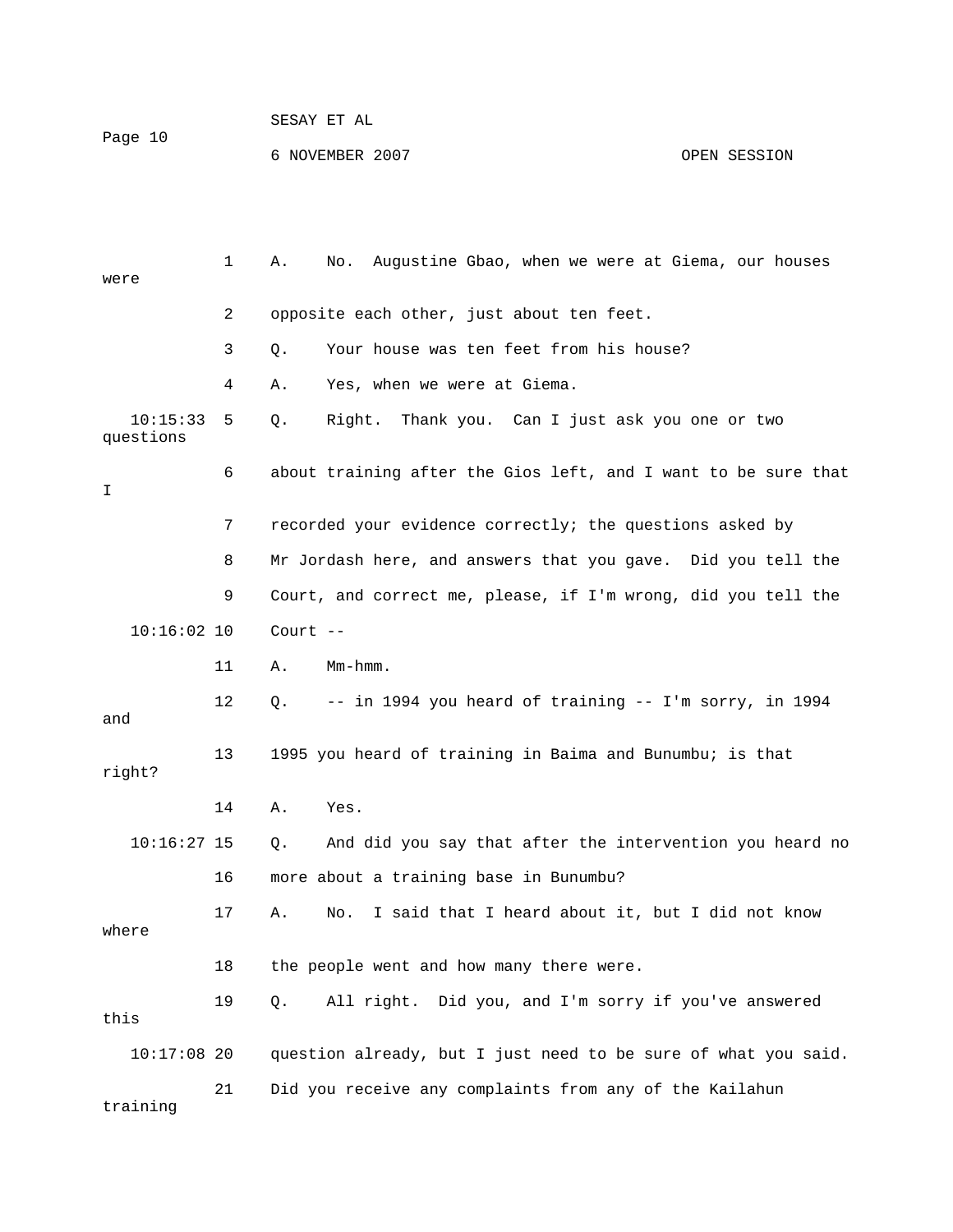|         | SESAY ET AL     |              |
|---------|-----------------|--------------|
| Page 10 |                 |              |
|         | 6 NOVEMBER 2007 | OPEN SESSION |

| were                  | 1  | Augustine Gbao, when we were at Giema, our houses<br>No.<br>Α. |
|-----------------------|----|----------------------------------------------------------------|
|                       | 2  | opposite each other, just about ten feet.                      |
|                       | 3  | Your house was ten feet from his house?<br>Q.                  |
|                       | 4  | Yes, when we were at Giema.<br>Α.                              |
| 10:15:33<br>questions | 5  | Q.<br>Right.<br>Thank you. Can I just ask you one or two       |
| I                     | 6  | about training after the Gios left, and I want to be sure that |
|                       | 7  | recorded your evidence correctly; the questions asked by       |
|                       | 8  | Mr Jordash here, and answers that you gave. Did you tell the   |
|                       | 9  | Court, and correct me, please, if I'm wrong, did you tell the  |
| $10:16:02$ 10         |    | Court $--$                                                     |
|                       | 11 | $Mm - hmm$ .<br>Α.                                             |
| and                   | 12 | -- in 1994 you heard of training -- I'm sorry, in 1994<br>Q.   |
| right?                | 13 | 1995 you heard of training in Baima and Bunumbu; is that       |
|                       | 14 | Yes.<br>Α.                                                     |
| $10:16:27$ 15         |    | And did you say that after the intervention you heard no<br>Q. |
|                       | 16 | more about a training base in Bunumbu?                         |
| where                 | 17 | I said that I heard about it, but I did not know<br>Α.<br>No.  |
|                       | 18 | the people went and how many there were.                       |
| this                  | 19 | All right. Did you, and I'm sorry if you've answered<br>Q.     |
| $10:17:08$ 20         |    | question already, but I just need to be sure of what you said. |
| training              | 21 | Did you receive any complaints from any of the Kailahun        |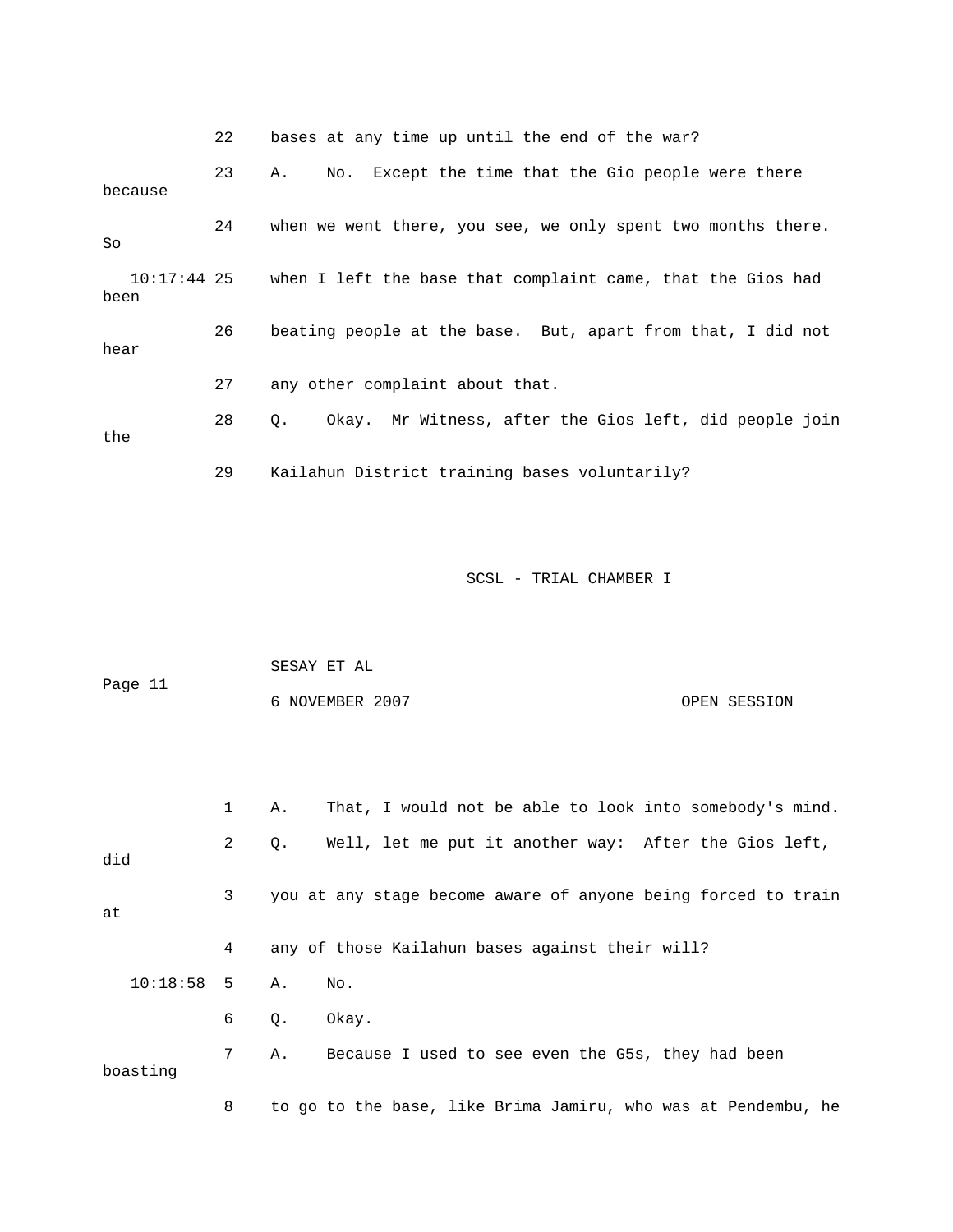22 bases at any time up until the end of the war?

 23 A. No. Except the time that the Gio people were there because 24 when we went there, you see, we only spent two months there. So 10:17:44 25 when I left the base that complaint came, that the Gios had been 26 beating people at the base. But, apart from that, I did not hear 27 any other complaint about that. 28 Q. Okay. Mr Witness, after the Gios left, did people join the 29 Kailahun District training bases voluntarily?

SCSL - TRIAL CHAMBER I

|         | SESAY ET AL     |              |
|---------|-----------------|--------------|
| Page 11 |                 |              |
|         | 6 NOVEMBER 2007 | OPEN SESSION |

|              | 1              | Α. | That, I would not be able to look into somebody's mind.       |
|--------------|----------------|----|---------------------------------------------------------------|
| did          | $\overline{2}$ | Q. | Well, let me put it another way: After the Gios left,         |
| at           | 3              |    | you at any stage become aware of anyone being forced to train |
|              | 4              |    | any of those Kailahun bases against their will?               |
| $10:18:58$ 5 |                | Α. | No.                                                           |
|              | 6              | 0. | Okay.                                                         |
| boasting     | 7              | Α. | Because I used to see even the G5s, they had been             |
|              | 8              |    | to go to the base, like Brima Jamiru, who was at Pendembu, he |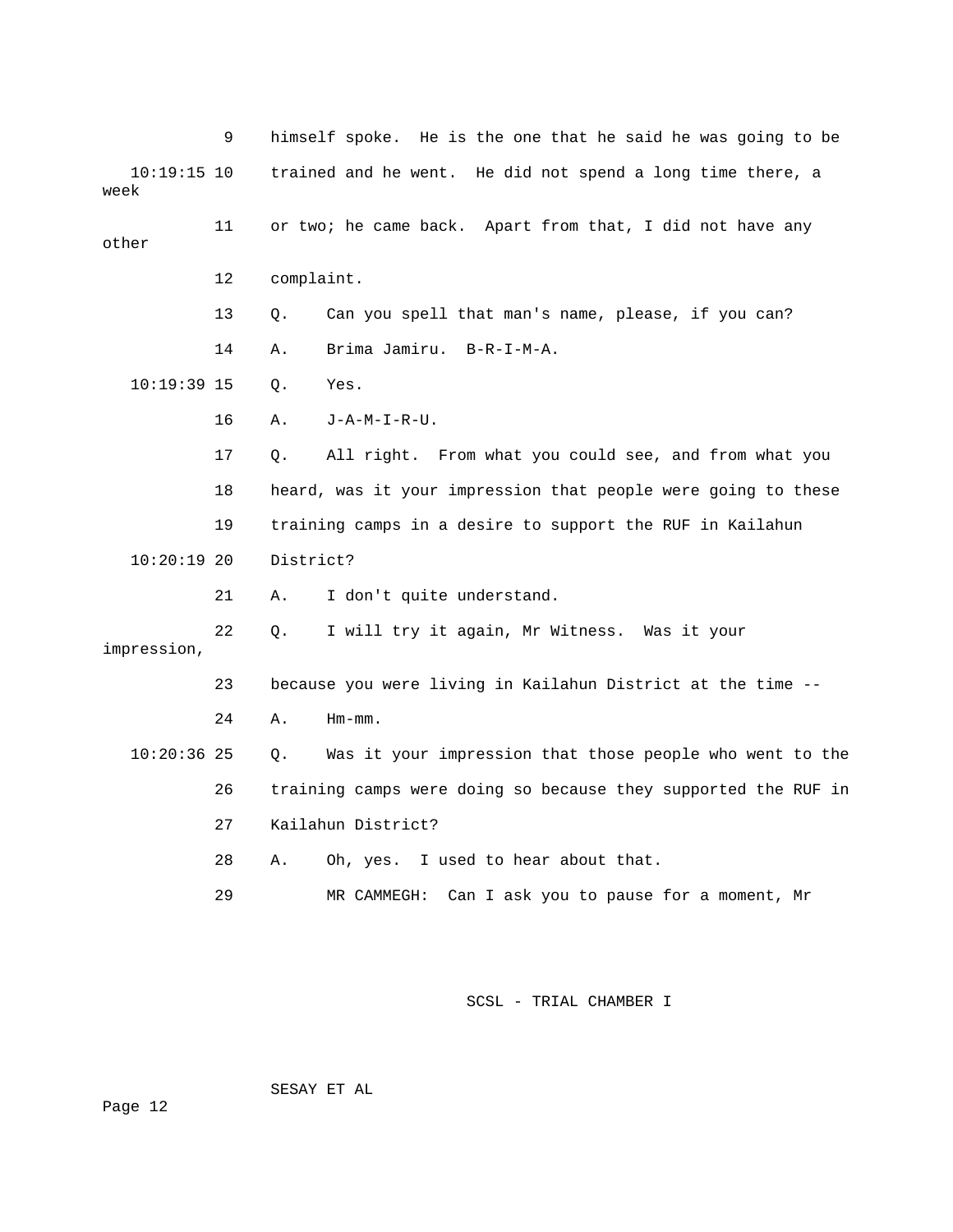|                       | 9  | himself spoke. He is the one that he said he was going to be   |
|-----------------------|----|----------------------------------------------------------------|
| $10:19:15$ 10<br>week |    | trained and he went. He did not spend a long time there, a     |
| other                 | 11 | or two; he came back. Apart from that, I did not have any      |
|                       | 12 | complaint.                                                     |
|                       | 13 | Can you spell that man's name, please, if you can?<br>Q.       |
|                       | 14 | Brima Jamiru.<br>$B-R-I-M-A$ .<br>Α.                           |
| $10:19:39$ 15         |    | Q.<br>Yes.                                                     |
|                       | 16 | Α.<br>$J - A - M - I - R - U$ .                                |
|                       | 17 | All right. From what you could see, and from what you<br>Q.    |
|                       | 18 | heard, was it your impression that people were going to these  |
|                       | 19 | training camps in a desire to support the RUF in Kailahun      |
| $10:20:19$ 20         |    | District?                                                      |
|                       | 21 | I don't quite understand.<br>Α.                                |
| impression,           | 22 | I will try it again, Mr Witness. Was it your<br>О.             |
|                       | 23 | because you were living in Kailahun District at the time --    |
|                       | 24 | Α.<br>$Hm-mm$ .                                                |
| $10:20:36$ 25         |    | Was it your impression that those people who went to the<br>О. |
|                       | 26 | training camps were doing so because they supported the RUF in |
|                       | 27 | Kailahun District?                                             |
|                       | 28 | I used to hear about that.<br>Α.<br>Oh, yes.                   |
|                       | 29 | Can I ask you to pause for a moment, Mr<br>MR CAMMEGH:         |

SESAY ET AL

Page 12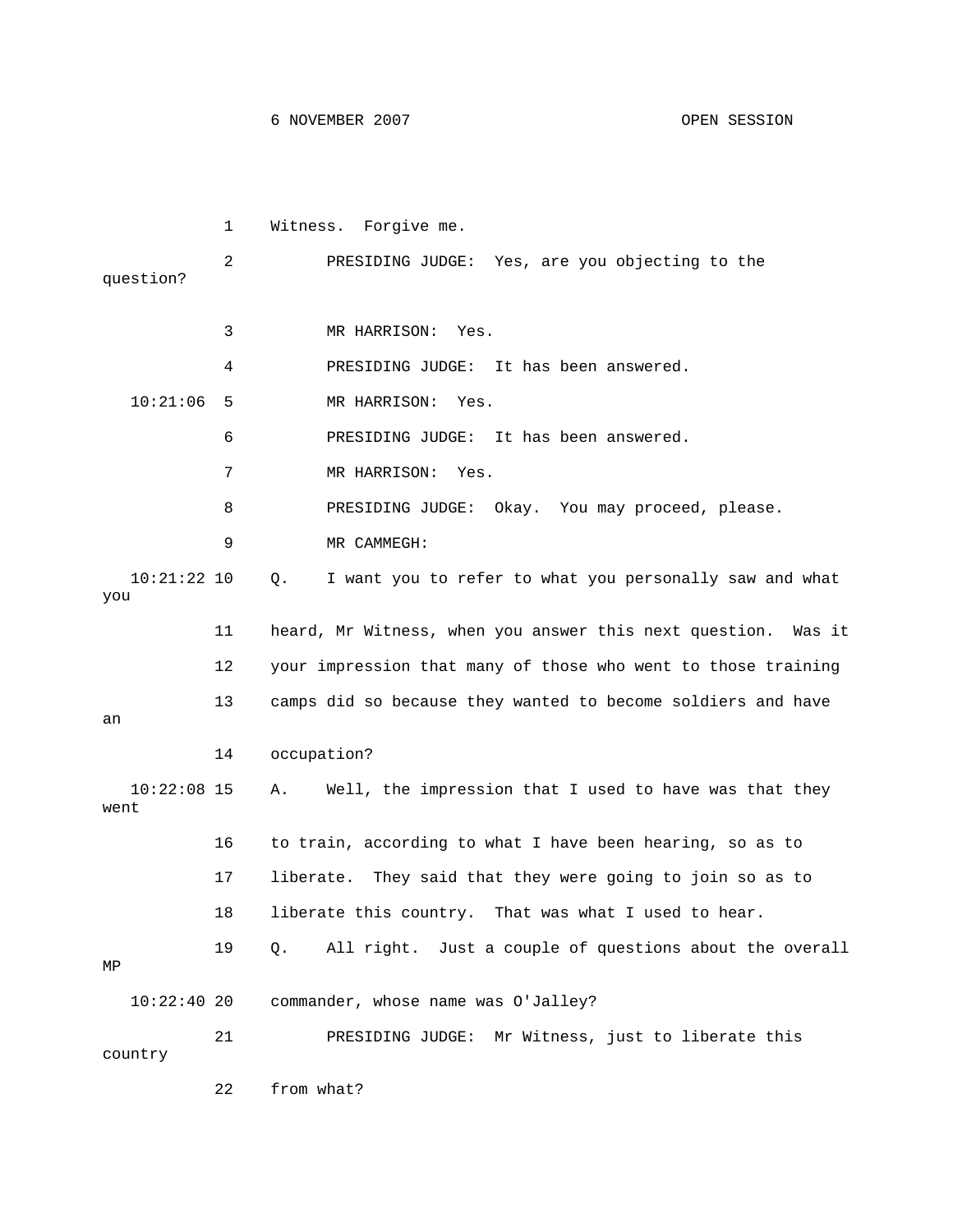1 Witness. Forgive me. 2 PRESIDING JUDGE: Yes, are you objecting to the question? 3 MR HARRISON: Yes. 4 PRESIDING JUDGE: It has been answered. 10:21:06 5 MR HARRISON: Yes. 6 PRESIDING JUDGE: It has been answered. 7 MR HARRISON: Yes. 8 PRESIDING JUDGE: Okay. You may proceed, please. 9 MR CAMMEGH: 10:21:22 10 Q. I want you to refer to what you personally saw and what you 11 heard, Mr Witness, when you answer this next question. Was it 12 your impression that many of those who went to those training 13 camps did so because they wanted to become soldiers and have an 14 occupation? 10:22:08 15 A. Well, the impression that I used to have was that they went 16 to train, according to what I have been hearing, so as to 17 liberate. They said that they were going to join so as to 18 liberate this country. That was what I used to hear. 19 Q. All right. Just a couple of questions about the overall MP 10:22:40 20 commander, whose name was O'Jalley? 21 PRESIDING JUDGE: Mr Witness, just to liberate this country

22 from what?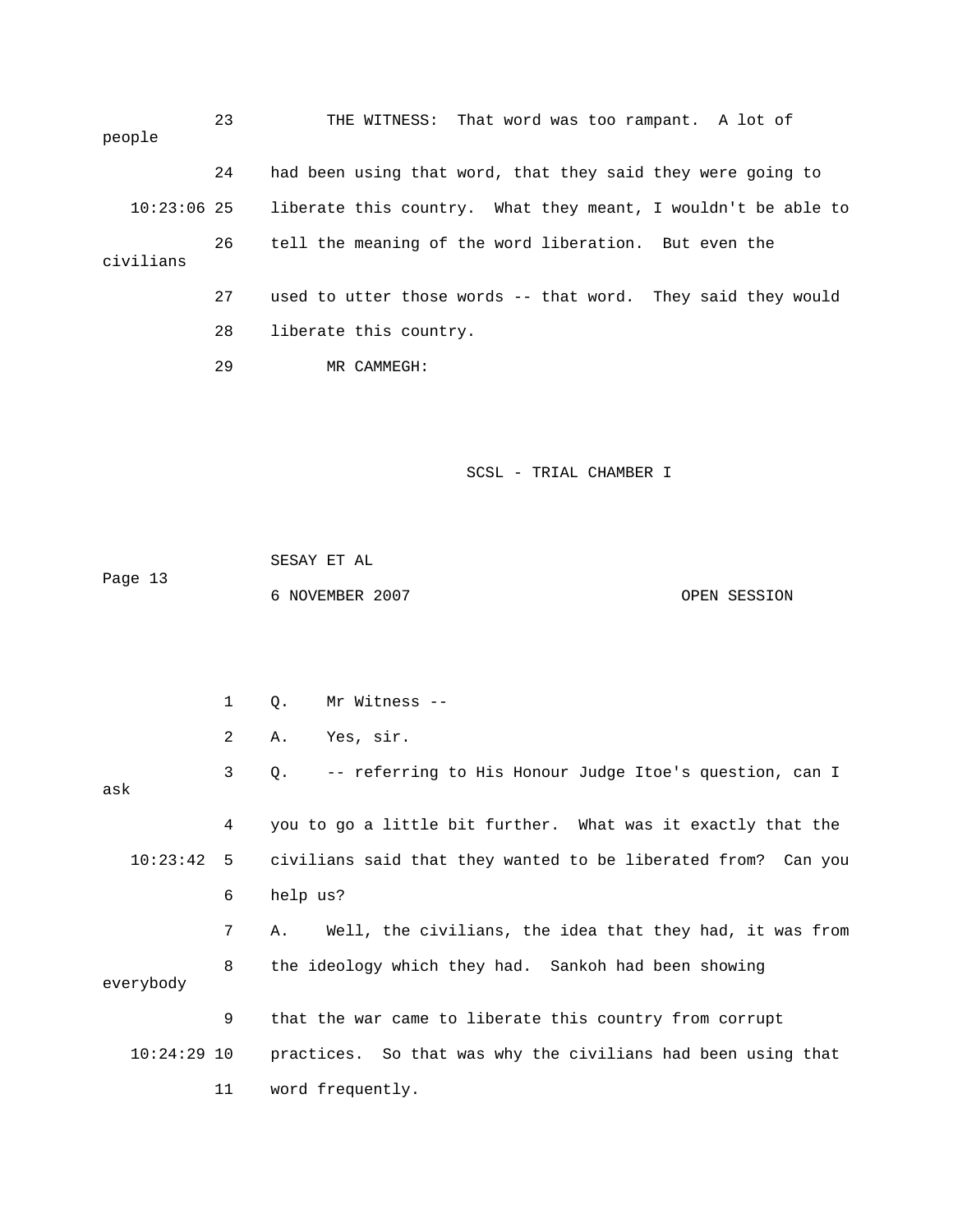| people        | 23 | THE WITNESS: That word was too rampant. A lot of              |
|---------------|----|---------------------------------------------------------------|
|               | 24 | had been using that word, that they said they were going to   |
| $10:23:06$ 25 |    | liberate this country. What they meant, I wouldn't be able to |
| civilians     | 26 | tell the meaning of the word liberation. But even the         |
|               | 27 | used to utter those words -- that word. They said they would  |
|               | 28 | liberate this country.                                        |
|               | 29 | MR CAMMEGH:                                                   |

| Page 13 | SESAY ET AL     |              |
|---------|-----------------|--------------|
|         | 6 NOVEMBER 2007 | OPEN SESSION |

 1 Q. Mr Witness -- 2 A. Yes, sir. 3 Q. -- referring to His Honour Judge Itoe's question, can I ask 4 you to go a little bit further. What was it exactly that the 10:23:42 5 civilians said that they wanted to be liberated from? Can you 6 help us? 7 A. Well, the civilians, the idea that they had, it was from 8 the ideology which they had. Sankoh had been showing everybody 9 that the war came to liberate this country from corrupt 10:24:29 10 practices. So that was why the civilians had been using that 11 word frequently.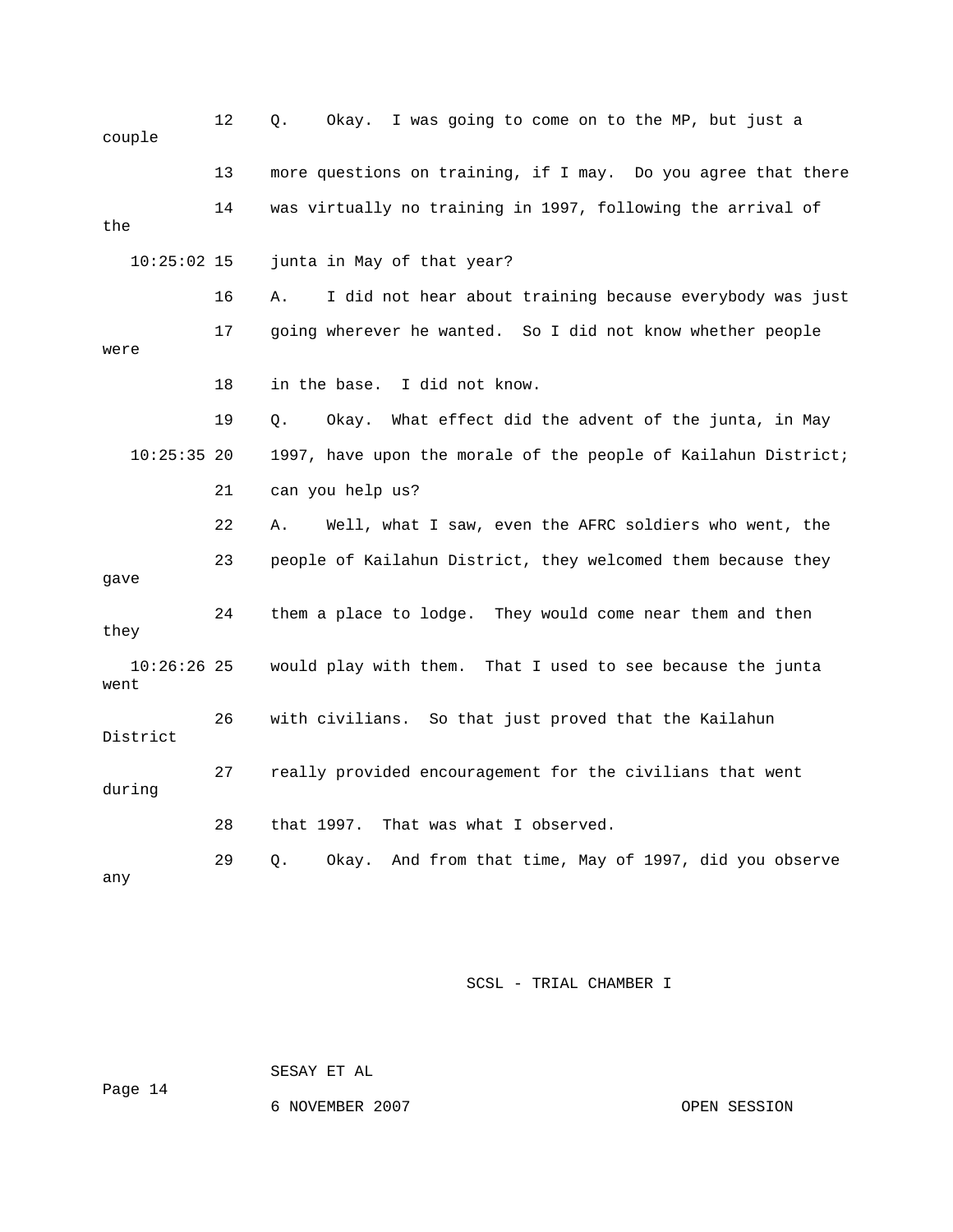| couple                | 12 | Okay. I was going to come on to the MP, but just a<br>Q.       |
|-----------------------|----|----------------------------------------------------------------|
|                       | 13 | more questions on training, if I may. Do you agree that there  |
| the                   | 14 | was virtually no training in 1997, following the arrival of    |
| $10:25:02$ 15         |    | junta in May of that year?                                     |
|                       | 16 | I did not hear about training because everybody was just<br>Α. |
| were                  | 17 | going wherever he wanted. So I did not know whether people     |
|                       | 18 | I did not know.<br>in the base.                                |
|                       | 19 | Okay. What effect did the advent of the junta, in May<br>Q.    |
| $10:25:35$ 20         |    | 1997, have upon the morale of the people of Kailahun District; |
|                       | 21 | can you help us?                                               |
|                       | 22 | Well, what I saw, even the AFRC soldiers who went, the<br>Α.   |
| gave                  | 23 | people of Kailahun District, they welcomed them because they   |
| they                  | 24 | them a place to lodge. They would come near them and then      |
| $10:26:26$ 25<br>went |    | would play with them.<br>That I used to see because the junta  |
| District              | 26 | with civilians. So that just proved that the Kailahun          |
| during                | 27 | really provided encouragement for the civilians that went      |
|                       | 28 | That was what I observed.<br>that 1997.                        |
| any                   | 29 | Okay. And from that time, May of 1997, did you observe<br>Q.   |

Page 14

SESAY ET AL

6 NOVEMBER 2007 CPEN SESSION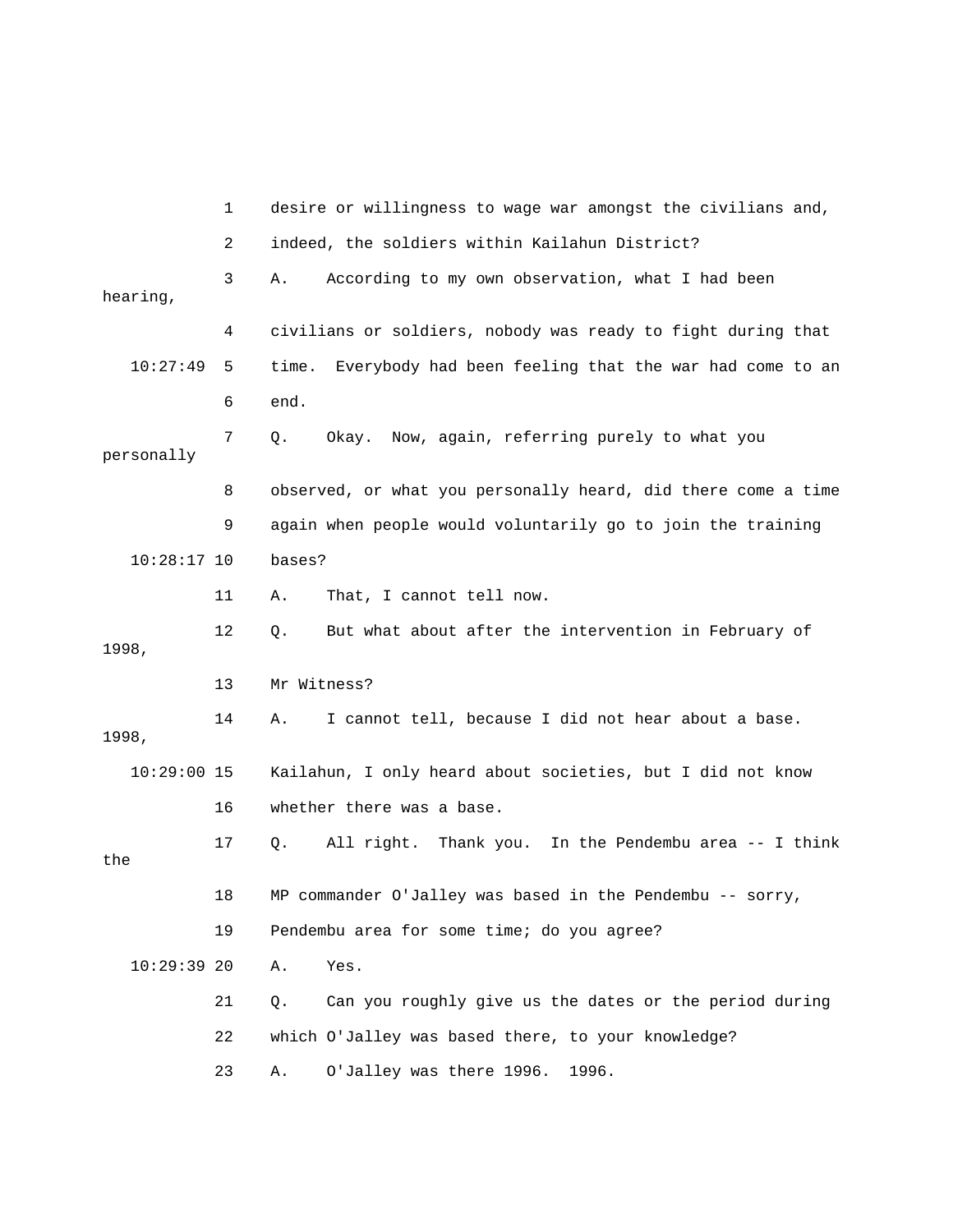|               | 1  | desire or willingness to wage war amongst the civilians and,    |
|---------------|----|-----------------------------------------------------------------|
|               | 2  | indeed, the soldiers within Kailahun District?                  |
| hearing,      | 3  | According to my own observation, what I had been<br>Α.          |
|               | 4  | civilians or soldiers, nobody was ready to fight during that    |
| 10:27:49      | 5  | Everybody had been feeling that the war had come to an<br>time. |
|               | 6  | end.                                                            |
| personally    | 7  | Okay. Now, again, referring purely to what you<br>Q.            |
|               | 8  | observed, or what you personally heard, did there come a time   |
|               | 9  | again when people would voluntarily go to join the training     |
| $10:28:17$ 10 |    | bases?                                                          |
|               | 11 | That, I cannot tell now.<br>Α.                                  |
| 1998,         | 12 | But what about after the intervention in February of<br>Q.      |
|               | 13 | Mr Witness?                                                     |
| 1998,         | 14 | I cannot tell, because I did not hear about a base.<br>Α.       |
| $10:29:00$ 15 |    | Kailahun, I only heard about societies, but I did not know      |
|               | 16 | whether there was a base.                                       |
| the           | 17 | Thank you. In the Pendembu area -- I think<br>All right.<br>Q.  |
|               | 18 | MP commander O'Jalley was based in the Pendembu -- sorry,       |
|               | 19 | Pendembu area for some time; do you agree?                      |
| 10:29:3920    |    | Yes.<br>Α.                                                      |
|               | 21 | Can you roughly give us the dates or the period during<br>Q.    |
|               | 22 | which O'Jalley was based there, to your knowledge?              |
|               | 23 | O'Jalley was there 1996.<br>1996.<br>Α.                         |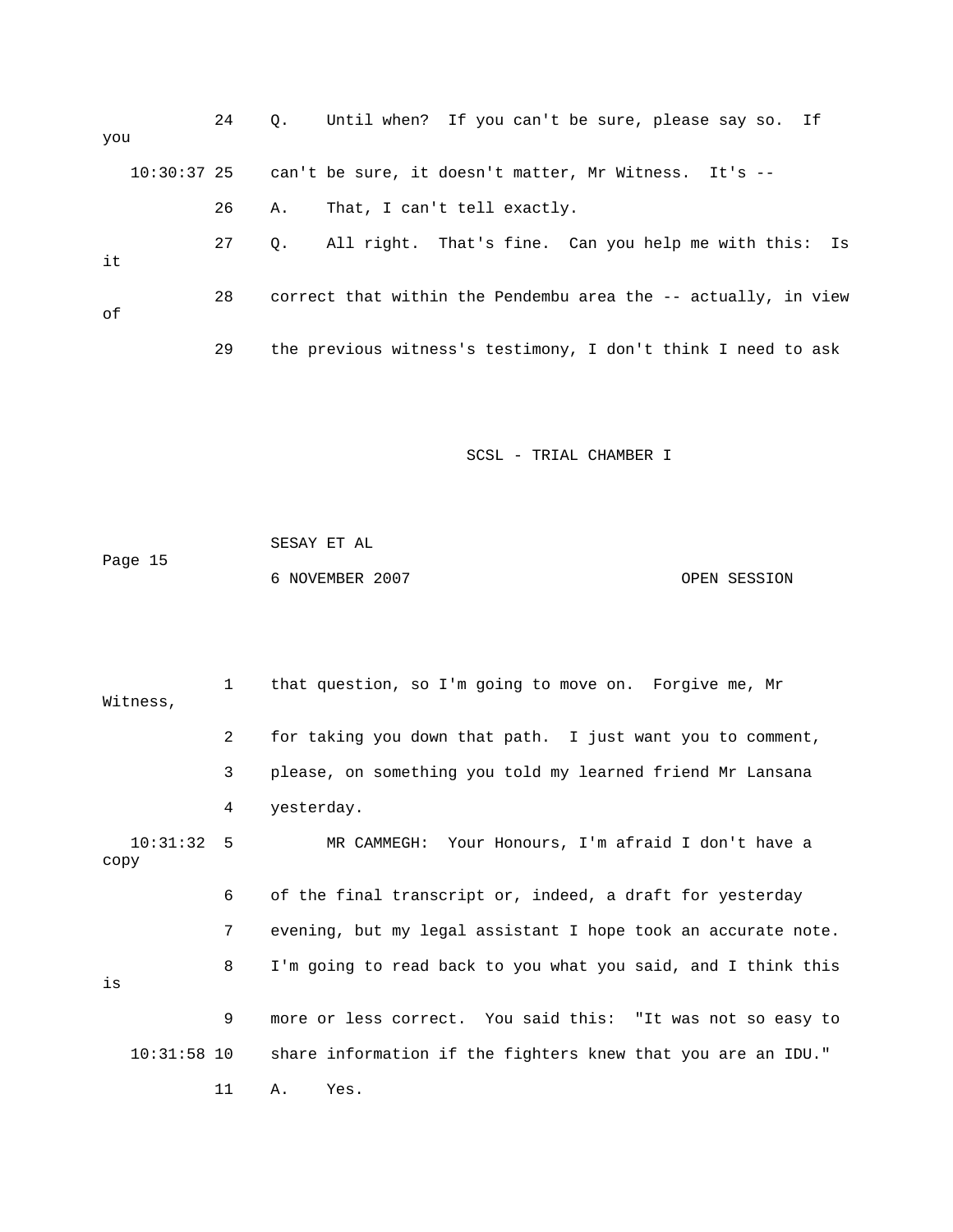| you |             | 24 |    | Q. Until when? If you can't be sure, please say so. If         |  |
|-----|-------------|----|----|----------------------------------------------------------------|--|
|     | 10:30:37 25 |    |    | can't be sure, it doesn't matter, Mr Witness. It's --          |  |
|     |             | 26 | А. | That, I can't tell exactly.                                    |  |
| it  |             | 27 | 0. | All right. That's fine. Can you help me with this: Is          |  |
| оf  |             | 28 |    | correct that within the Pendembu area the -- actually, in view |  |
|     |             | 29 |    | the previous witness's testimony, I don't think I need to ask  |  |

 SESAY ET AL Page 15 6 NOVEMBER 2007 OPEN SESSION

 1 that question, so I'm going to move on. Forgive me, Mr Witness, 2 for taking you down that path. I just want you to comment, 3 please, on something you told my learned friend Mr Lansana 4 yesterday. 10:31:32 5 MR CAMMEGH: Your Honours, I'm afraid I don't have a copy 6 of the final transcript or, indeed, a draft for yesterday 7 evening, but my legal assistant I hope took an accurate note. 8 I'm going to read back to you what you said, and I think this is 9 more or less correct. You said this: "It was not so easy to 10:31:58 10 share information if the fighters knew that you are an IDU." 11 A. Yes.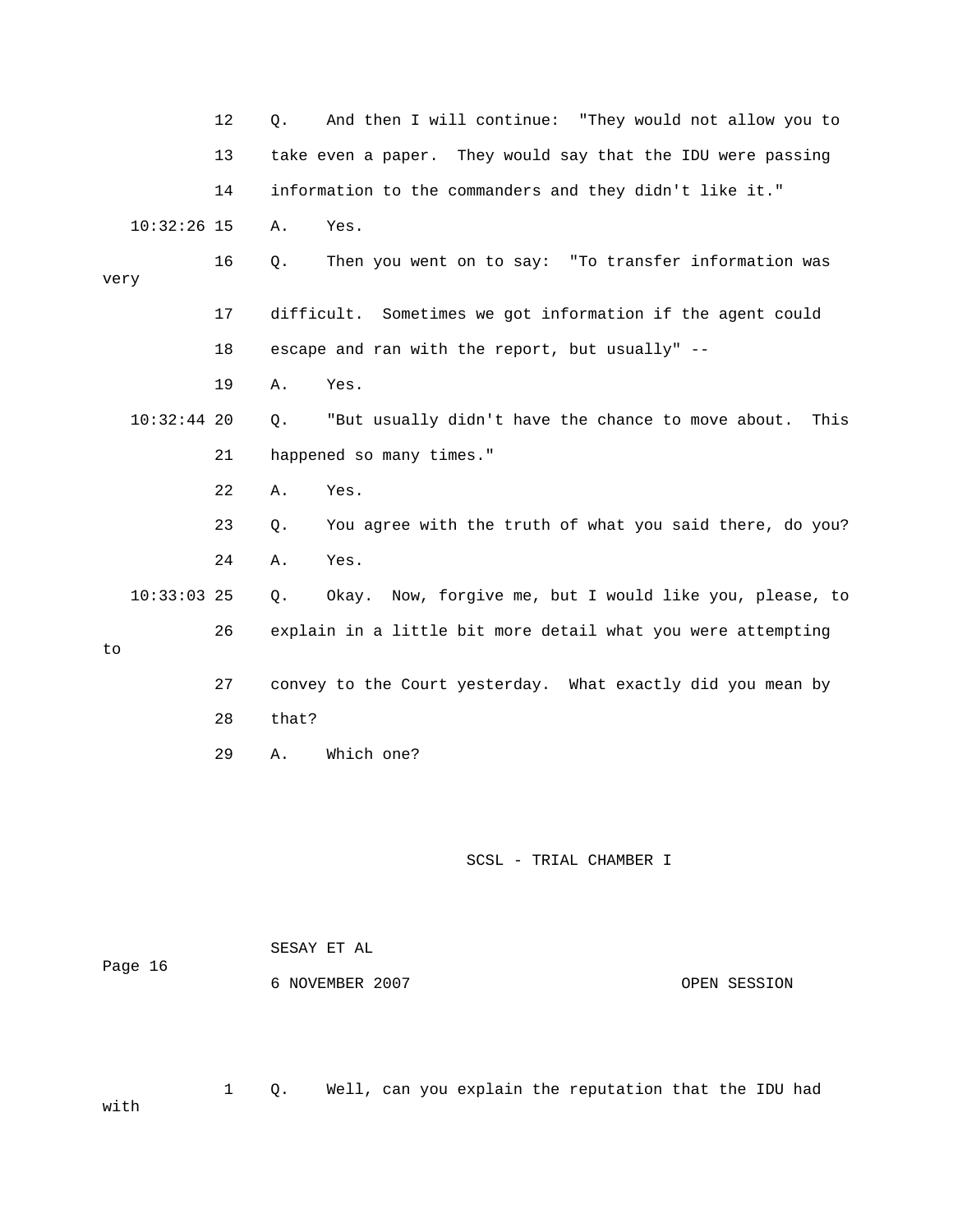|      |               | 12 | And then I will continue: "They would not allow you to<br>Q.     |
|------|---------------|----|------------------------------------------------------------------|
|      |               | 13 | take even a paper. They would say that the IDU were passing      |
|      |               | 14 | information to the commanders and they didn't like it."          |
|      | $10:32:26$ 15 |    | Α.<br>Yes.                                                       |
| very |               | 16 | Then you went on to say: "To transfer information was<br>Q.      |
|      |               | 17 | difficult. Sometimes we got information if the agent could       |
|      |               | 18 | escape and ran with the report, but usually" --                  |
|      |               | 19 | Yes.<br>Α.                                                       |
|      | $10:32:44$ 20 |    | "But usually didn't have the chance to move about.<br>This<br>Q. |
|      |               | 21 | happened so many times."                                         |
|      |               | 22 | Α.<br>Yes.                                                       |
|      |               | 23 | You agree with the truth of what you said there, do you?<br>Q.   |
|      |               | 24 | Α.<br>Yes.                                                       |
|      | $10:33:03$ 25 |    | Now, forgive me, but I would like you, please, to<br>Q.<br>Okay. |
| to   |               | 26 | explain in a little bit more detail what you were attempting     |
|      |               | 27 | convey to the Court yesterday. What exactly did you mean by      |
|      |               | 28 | that?                                                            |
|      |               | 29 | Which one?<br>Α.                                                 |
|      |               |    |                                                                  |
|      |               |    |                                                                  |

| Page 16 | SESAY ET AL     |  |              |  |
|---------|-----------------|--|--------------|--|
|         | 6 NOVEMBER 2007 |  | OPEN SESSION |  |
|         |                 |  |              |  |

 1 Q. Well, can you explain the reputation that the IDU had with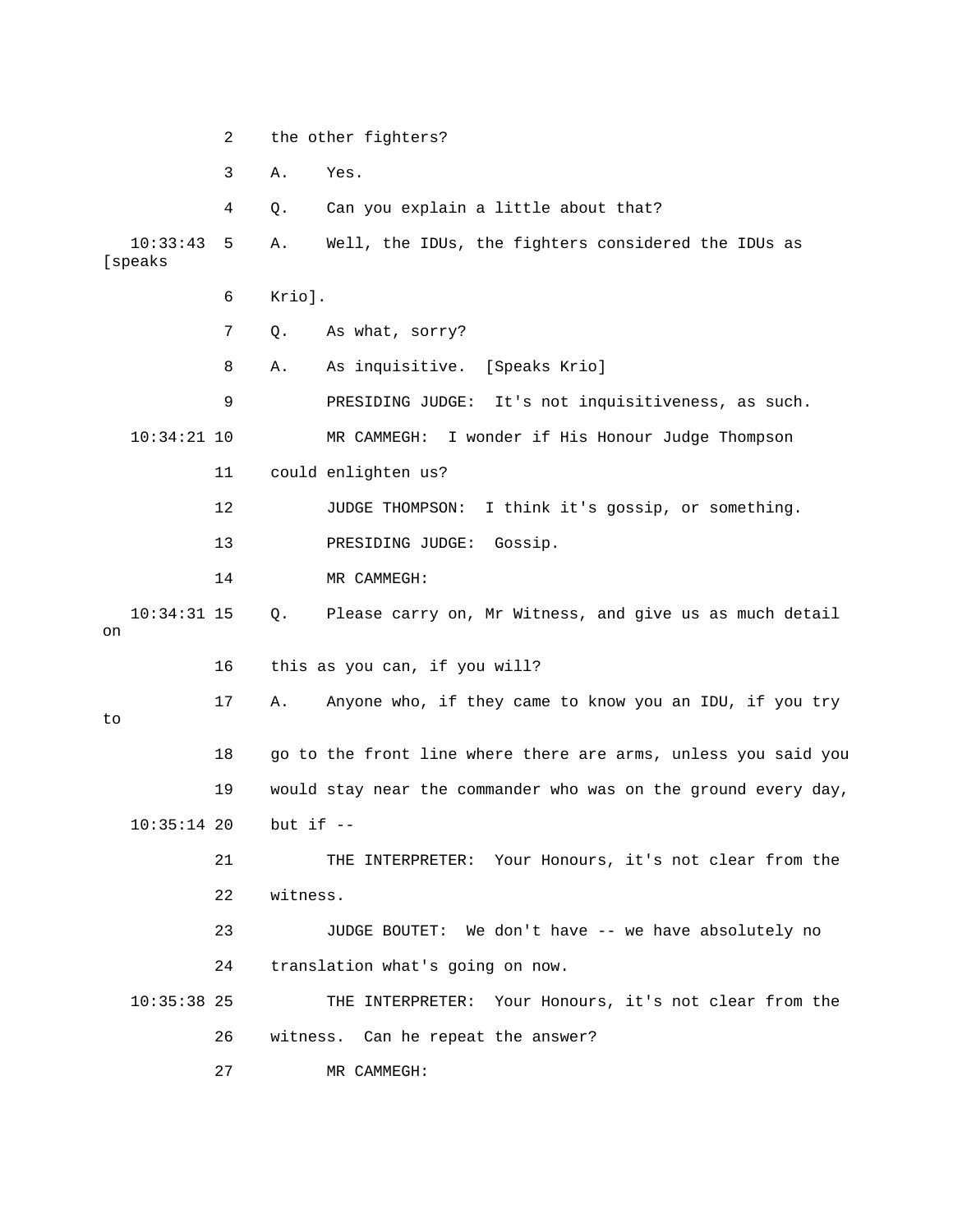2 the other fighters? 3 A. Yes. 4 Q. Can you explain a little about that? 10:33:43 5 A. Well, the IDUs, the fighters considered the IDUs as [speaks 6 Krio]. 7 Q. As what, sorry? 8 A. As inquisitive. [Speaks Krio] 9 PRESIDING JUDGE: It's not inquisitiveness, as such. 10:34:21 10 MR CAMMEGH: I wonder if His Honour Judge Thompson 11 could enlighten us? 12 JUDGE THOMPSON: I think it's gossip, or something. 13 PRESIDING JUDGE: Gossip. 14 MR CAMMEGH: 10:34:31 15 Q. Please carry on, Mr Witness, and give us as much detail on 16 this as you can, if you will? 17 A. Anyone who, if they came to know you an IDU, if you try to 18 go to the front line where there are arms, unless you said you 19 would stay near the commander who was on the ground every day, 10:35:14 20 but if -- 21 THE INTERPRETER: Your Honours, it's not clear from the 22 witness. 23 JUDGE BOUTET: We don't have -- we have absolutely no 24 translation what's going on now. 10:35:38 25 THE INTERPRETER: Your Honours, it's not clear from the 26 witness. Can he repeat the answer? 27 MR CAMMEGH: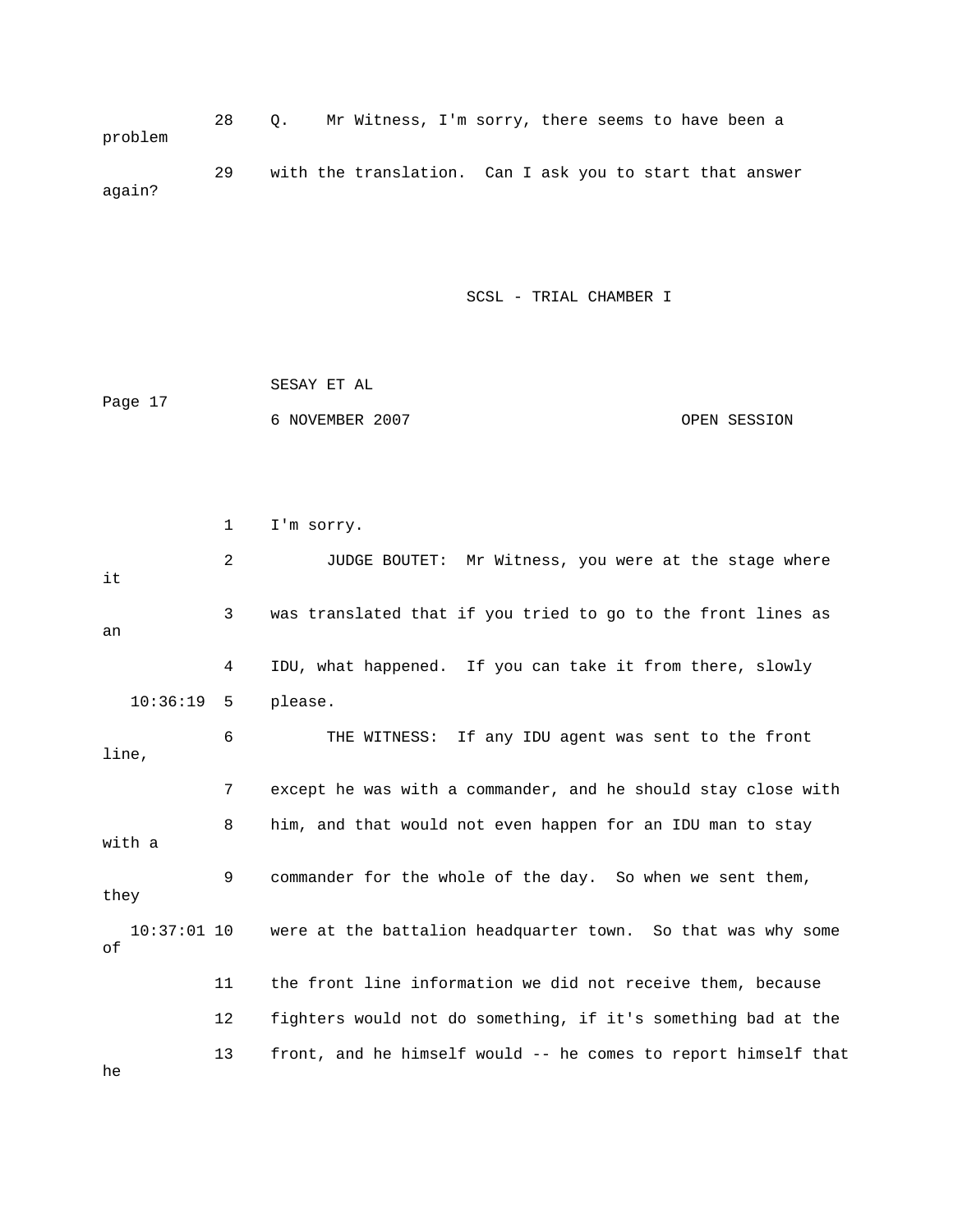28 Q. Mr Witness, I'm sorry, there seems to have been a problem 29 with the translation. Can I ask you to start that answer again?

SCSL - TRIAL CHAMBER I

|         | SESAY ET AL     |              |
|---------|-----------------|--------------|
| Page 17 |                 |              |
|         | 6 NOVEMBER 2007 | OPEN SESSION |

|                     | $\mathbf 1$ | I'm sorry.                                                     |
|---------------------|-------------|----------------------------------------------------------------|
| it                  | 2           | JUDGE BOUTET: Mr Witness, you were at the stage where          |
| an                  | 3           | was translated that if you tried to go to the front lines as   |
|                     | 4           | IDU, what happened. If you can take it from there, slowly      |
| 10:36:19            | -5          | please.                                                        |
| line,               | 6           | THE WITNESS: If any IDU agent was sent to the front            |
|                     | 7           | except he was with a commander, and he should stay close with  |
| with a              | 8           | him, and that would not even happen for an IDU man to stay     |
| they                | 9           | commander for the whole of the day. So when we sent them,      |
| $10:37:01$ 10<br>оf |             | were at the battalion headquarter town. So that was why some   |
|                     | 11          | the front line information we did not receive them, because    |
|                     | 12          | fighters would not do something, if it's something bad at the  |
| he                  | 13          | front, and he himself would -- he comes to report himself that |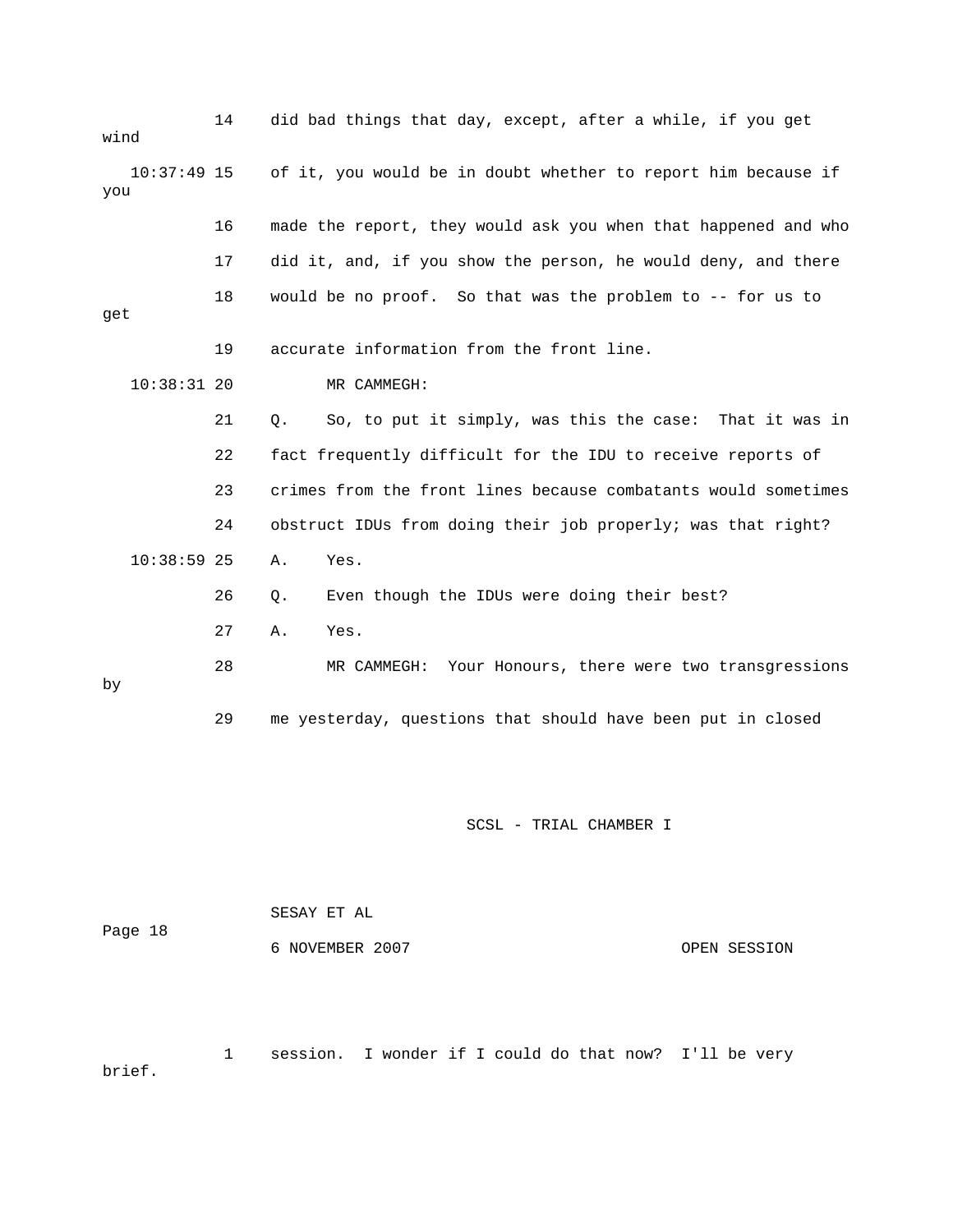| wind                 | 14 | did bad things that day, except, after a while, if you get     |
|----------------------|----|----------------------------------------------------------------|
| $10:37:49$ 15<br>you |    | of it, you would be in doubt whether to report him because if  |
|                      | 16 | made the report, they would ask you when that happened and who |
|                      | 17 | did it, and, if you show the person, he would deny, and there  |
| get                  | 18 | would be no proof. So that was the problem to -- for us to     |
|                      | 19 | accurate information from the front line.                      |
| $10:38:31$ 20        |    | MR CAMMEGH:                                                    |
|                      | 21 | So, to put it simply, was this the case: That it was in<br>Q.  |
|                      | 22 | fact frequently difficult for the IDU to receive reports of    |
|                      | 23 | crimes from the front lines because combatants would sometimes |
|                      | 24 | obstruct IDUs from doing their job properly; was that right?   |
| $10:38:59$ 25        |    | Α.<br>Yes.                                                     |
|                      | 26 | Even though the IDUs were doing their best?<br>Q.              |
|                      | 27 | Α.<br>Yes.                                                     |
| by                   | 28 | Your Honours, there were two transgressions<br>MR CAMMEGH:     |
|                      | 29 | me yesterday, questions that should have been put in closed    |
|                      |    |                                                                |
|                      |    | SCSL - TRIAL CHAMBER I                                         |
|                      |    |                                                                |

 SESAY ET AL Page 18 6 NOVEMBER 2007 OPEN SESSION

 1 session. I wonder if I could do that now? I'll be very brief.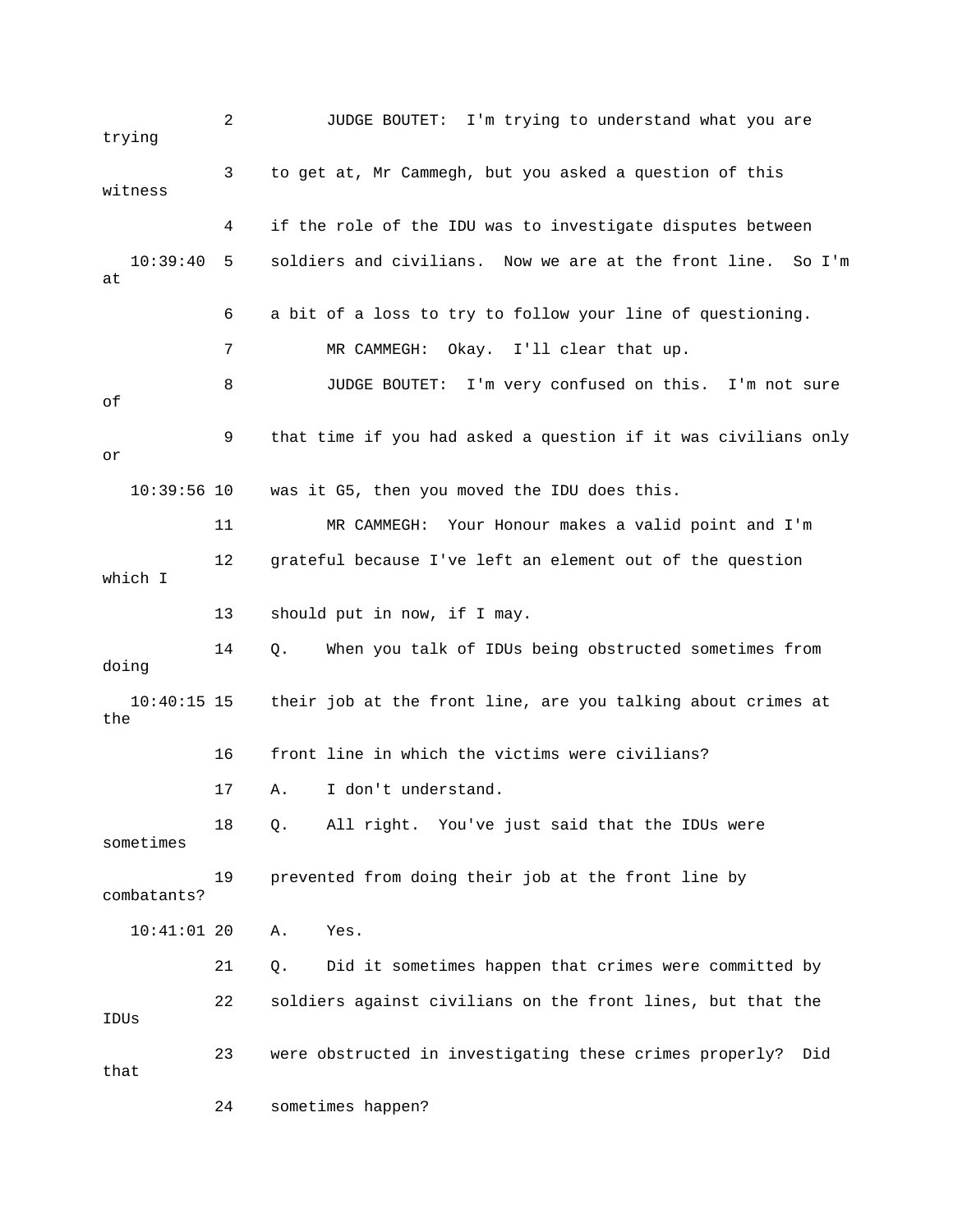2 JUDGE BOUTET: I'm trying to understand what you are trying 3 to get at, Mr Cammegh, but you asked a question of this witness 4 if the role of the IDU was to investigate disputes between 10:39:40 5 soldiers and civilians. Now we are at the front line. So I'm at 6 a bit of a loss to try to follow your line of questioning. 7 MR CAMMEGH: Okay. I'll clear that up. 8 JUDGE BOUTET: I'm very confused on this. I'm not sure of 9 that time if you had asked a question if it was civilians only or 10:39:56 10 was it G5, then you moved the IDU does this. 11 MR CAMMEGH: Your Honour makes a valid point and I'm 12 grateful because I've left an element out of the question which I 13 should put in now, if I may. 14 Q. When you talk of IDUs being obstructed sometimes from doing 10:40:15 15 their job at the front line, are you talking about crimes at the 16 front line in which the victims were civilians? 17 A. I don't understand. 18 Q. All right. You've just said that the IDUs were sometimes 19 prevented from doing their job at the front line by combatants? 10:41:01 20 A. Yes. 21 Q. Did it sometimes happen that crimes were committed by 22 soldiers against civilians on the front lines, but that the IDUs 23 were obstructed in investigating these crimes properly? Did that 24 sometimes happen?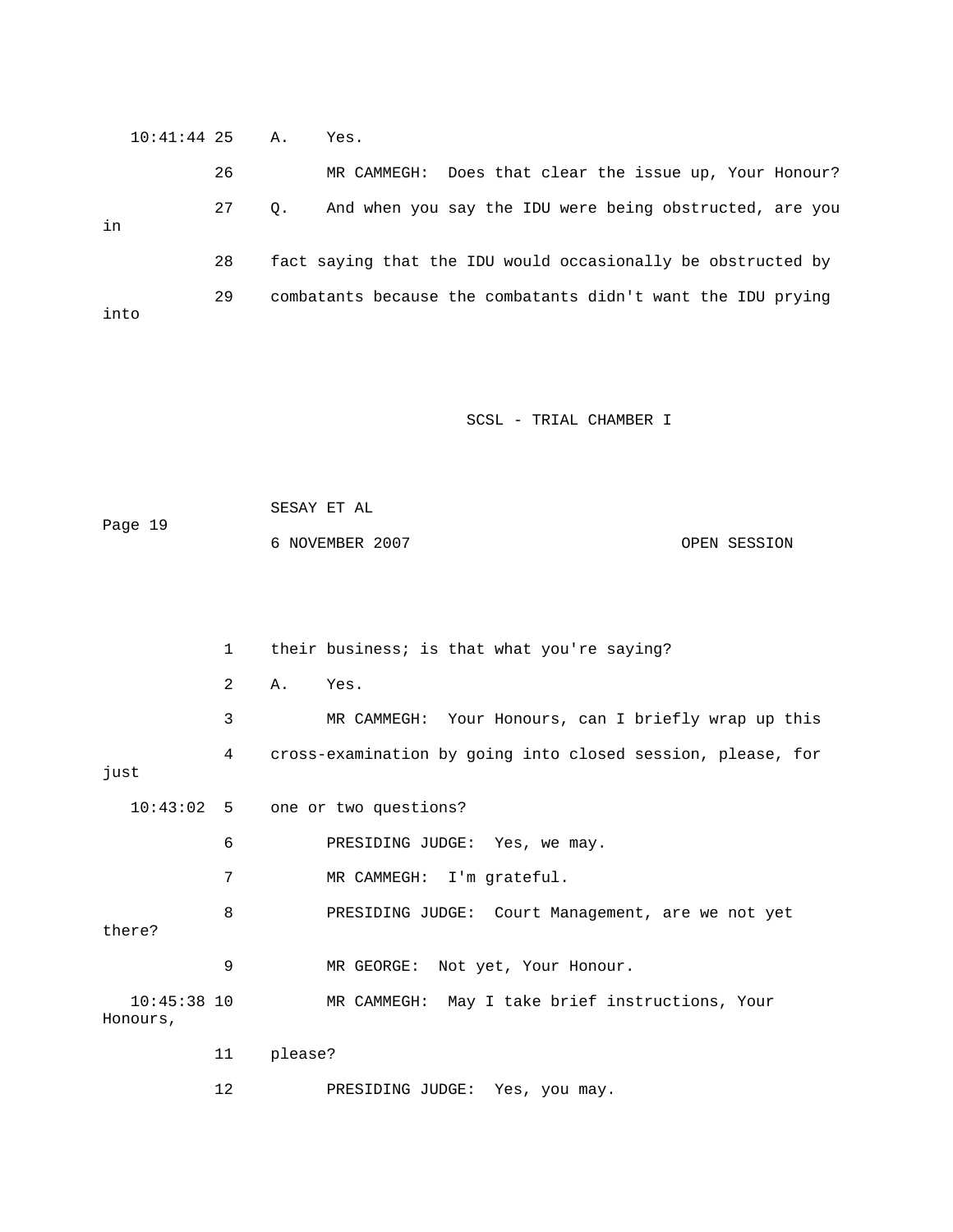|      |    | Yes.                                                         |
|------|----|--------------------------------------------------------------|
|      | 26 | Does that clear the issue up, Your Honour?<br>MR CAMMEGH:    |
|      | 27 | And when you say the IDU were being obstructed, are you      |
|      | 28 | fact saying that the IDU would occasionally be obstructed by |
| into | 29 | combatants because the combatants didn't want the IDU prying |
|      |    | $10:41:44$ 25 A.<br>0.                                       |

| Page 19 | SESAY ET AL     |              |
|---------|-----------------|--------------|
|         | 6 NOVEMBER 2007 | OPEN SESSION |

|                           | 1                 | their business; is that what you're saying?                 |
|---------------------------|-------------------|-------------------------------------------------------------|
|                           | $\overline{2}$    | Yes.<br>Α.                                                  |
|                           | 3                 | MR CAMMEGH: Your Honours, can I briefly wrap up this        |
| just                      | 4                 | cross-examination by going into closed session, please, for |
| $10:43:02$ 5              |                   | one or two questions?                                       |
|                           | 6                 | PRESIDING JUDGE: Yes, we may.                               |
|                           | 7                 | MR CAMMEGH: I'm grateful.                                   |
| there?                    | 8                 | PRESIDING JUDGE: Court Management, are we not yet           |
|                           | 9                 | MR GEORGE:<br>Not yet, Your Honour.                         |
| $10:45:38$ 10<br>Honours, |                   | MR CAMMEGH: May I take brief instructions, Your             |
|                           | 11                | please?                                                     |
|                           | $12 \overline{ }$ | PRESIDING JUDGE:<br>Yes, you may.                           |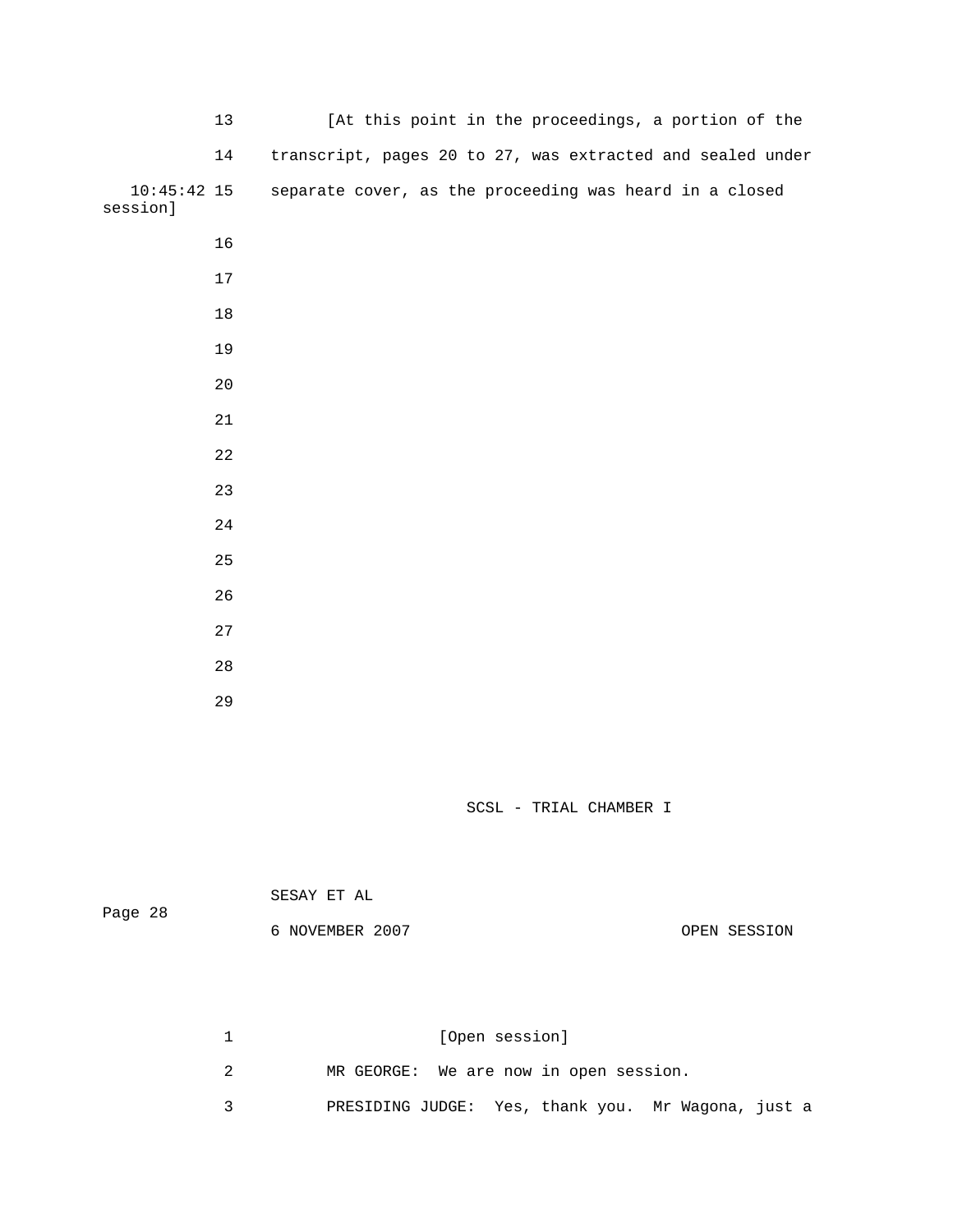| 13                        | [At this point in the proceedings, a portion of the        |
|---------------------------|------------------------------------------------------------|
| 14                        | transcript, pages 20 to 27, was extracted and sealed under |
| $10:45:42$ 15<br>session] | separate cover, as the proceeding was heard in a closed    |
| 16                        |                                                            |
| 17                        |                                                            |
| 18                        |                                                            |
| 19                        |                                                            |
| $20$                      |                                                            |
| 21                        |                                                            |
| 22                        |                                                            |
| 23                        |                                                            |
| 24                        |                                                            |
| 25                        |                                                            |
| 26                        |                                                            |
| 27                        |                                                            |
| $2\,8$                    |                                                            |
| 29                        |                                                            |

|         | SESAY ET AL     |              |
|---------|-----------------|--------------|
| Page 28 | 6 NOVEMBER 2007 | OPEN SESSION |

| [Open session]                                     |
|----------------------------------------------------|
| MR GEORGE: We are now in open session.             |
| PRESIDING JUDGE: Yes, thank you. Mr Wagona, just a |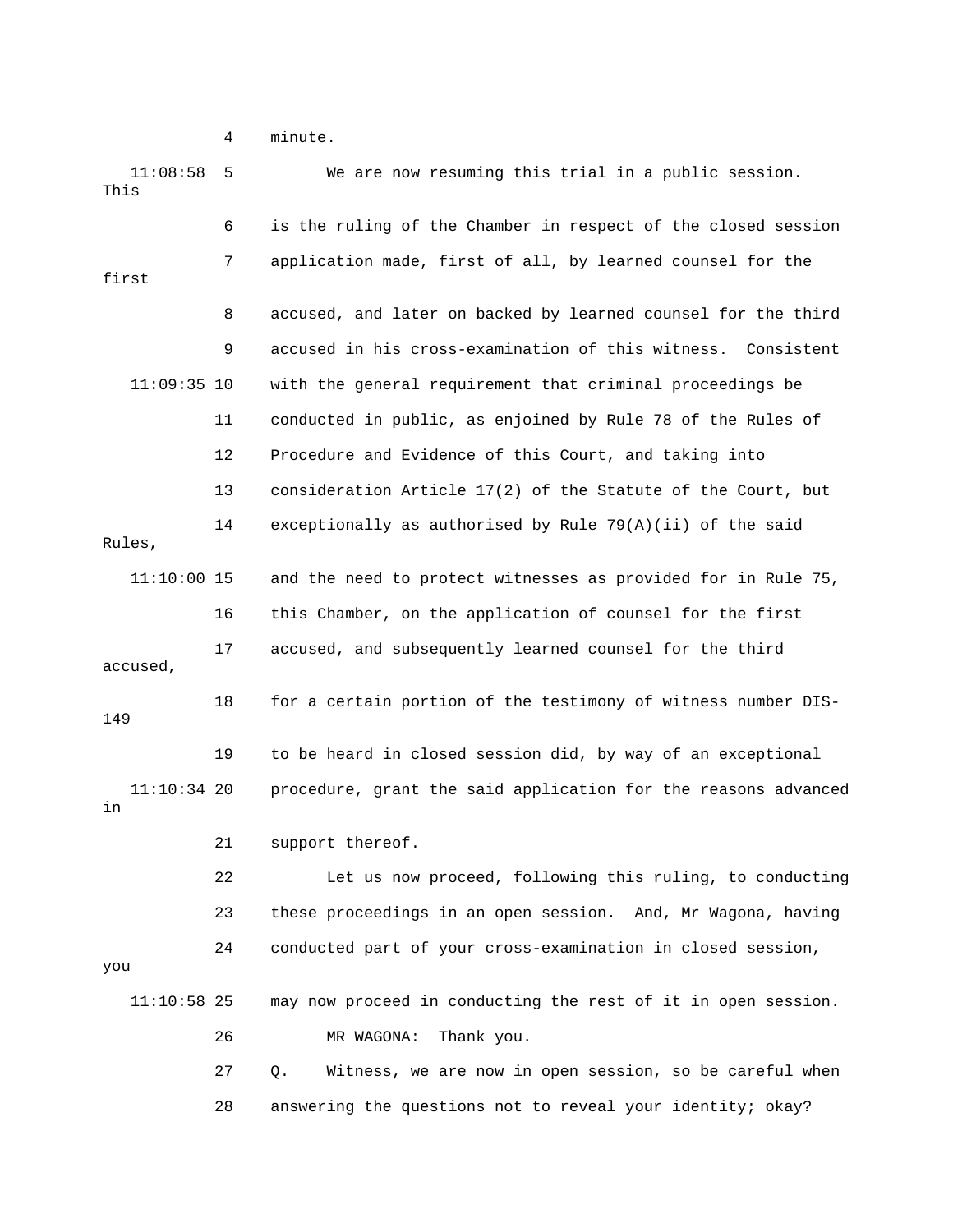4 minute.

| 11:08:58<br>This    | 5  | We are now resuming this trial in a public session.            |
|---------------------|----|----------------------------------------------------------------|
|                     | 6  | is the ruling of the Chamber in respect of the closed session  |
| first               | 7  | application made, first of all, by learned counsel for the     |
|                     | 8  | accused, and later on backed by learned counsel for the third  |
|                     | 9  | accused in his cross-examination of this witness. Consistent   |
| $11:09:35$ 10       |    | with the general requirement that criminal proceedings be      |
|                     | 11 | conducted in public, as enjoined by Rule 78 of the Rules of    |
|                     | 12 | Procedure and Evidence of this Court, and taking into          |
|                     | 13 | consideration Article 17(2) of the Statute of the Court, but   |
| Rules,              | 14 | exceptionally as authorised by Rule 79(A)(ii) of the said      |
| $11:10:00$ 15       |    | and the need to protect witnesses as provided for in Rule 75,  |
|                     | 16 | this Chamber, on the application of counsel for the first      |
| accused,            | 17 | accused, and subsequently learned counsel for the third        |
| 149                 | 18 | for a certain portion of the testimony of witness number DIS-  |
|                     | 19 | to be heard in closed session did, by way of an exceptional    |
| $11:10:34$ 20<br>in |    | procedure, grant the said application for the reasons advanced |
|                     | 21 | support thereof.                                               |
|                     | 22 | Let us now proceed, following this ruling, to conducting       |
|                     | 23 | these proceedings in an open session. And, Mr Wagona, having   |
| you                 | 24 | conducted part of your cross-examination in closed session,    |
| $11:10:58$ 25       |    | may now proceed in conducting the rest of it in open session.  |
|                     | 26 | Thank you.<br>MR WAGONA:                                       |
|                     | 27 | Witness, we are now in open session, so be careful when<br>Q.  |
|                     | 28 | answering the questions not to reveal your identity; okay?     |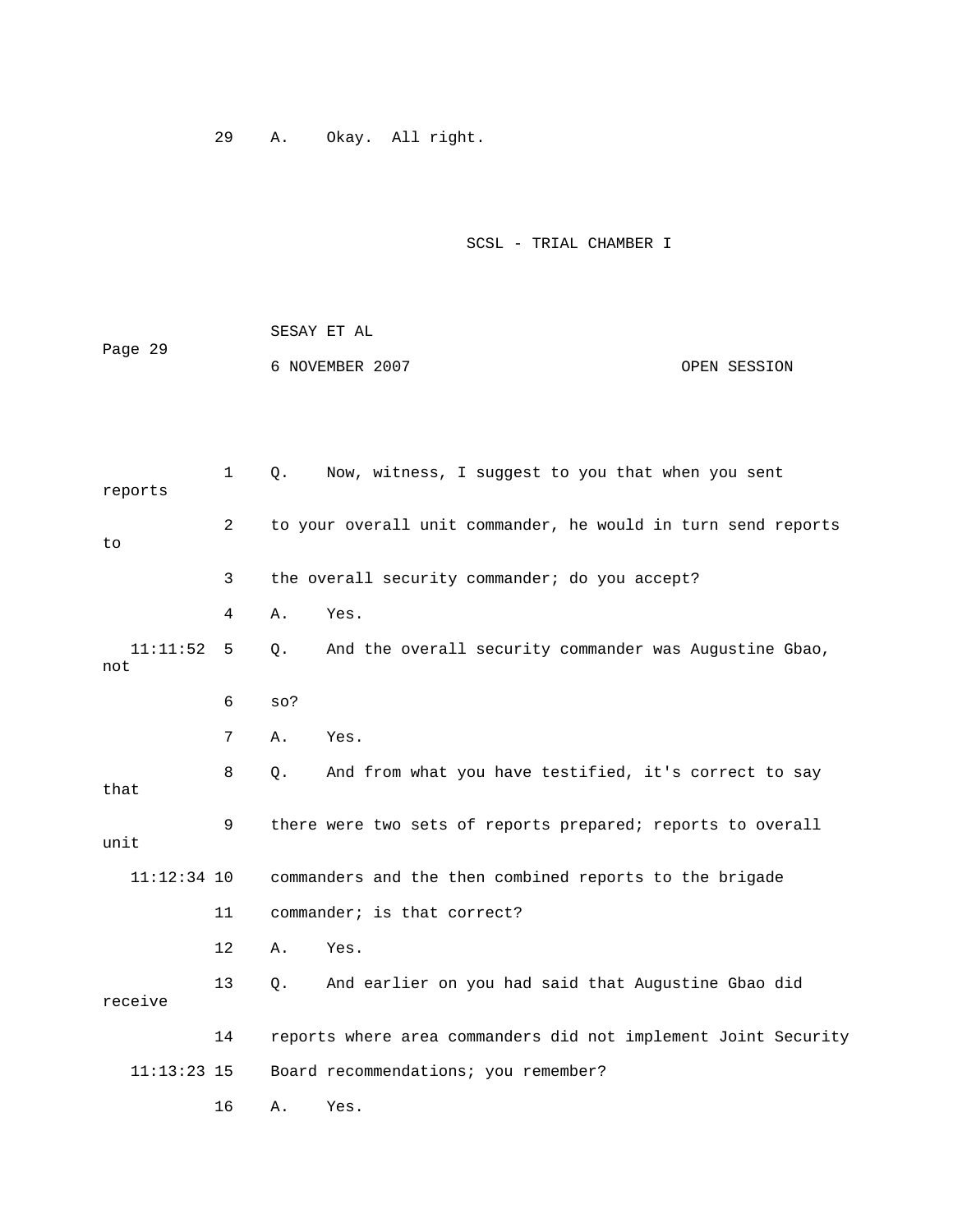29 A. Okay. All right.

# SCSL - TRIAL CHAMBER I

|         | SESAY ET AL     |              |
|---------|-----------------|--------------|
| Page 29 |                 |              |
|         | 6 NOVEMBER 2007 | OPEN SESSION |

| reports         | $\mathbf{1}$   | Now, witness, I suggest to you that when you sent<br>Q.        |
|-----------------|----------------|----------------------------------------------------------------|
| to              | $\overline{2}$ | to your overall unit commander, he would in turn send reports  |
|                 | 3              | the overall security commander; do you accept?                 |
|                 | 4              | Yes.<br>Α.                                                     |
| 11:11:52<br>not | 5              | And the overall security commander was Augustine Gbao,<br>0.   |
|                 | 6              | $SO$ ?                                                         |
|                 | 7              | Yes.<br>Α.                                                     |
| that            | 8              | And from what you have testified, it's correct to say<br>О.    |
| unit            | 9              | there were two sets of reports prepared; reports to overall    |
| $11:12:34$ 10   |                | commanders and the then combined reports to the brigade        |
|                 | 11             | commander; is that correct?                                    |
|                 | 12             | Yes.<br>Α.                                                     |
| receive         | 13             | And earlier on you had said that Augustine Gbao did<br>Q.      |
|                 | 14             | reports where area commanders did not implement Joint Security |
| $11:13:23$ 15   |                | Board recommendations; you remember?                           |
|                 | 16             | Α.<br>Yes.                                                     |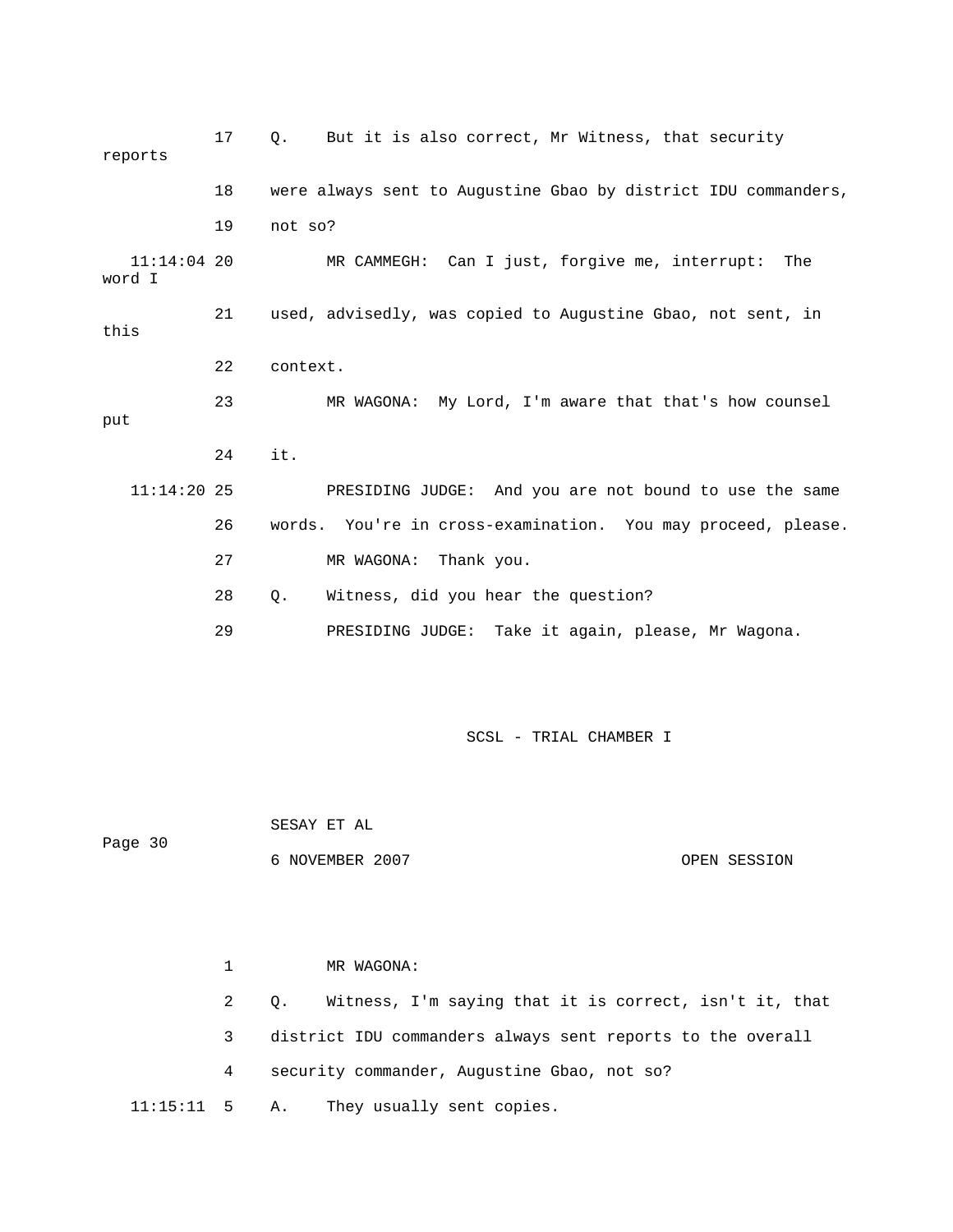17 Q. But it is also correct, Mr Witness, that security reports 18 were always sent to Augustine Gbao by district IDU commanders, 19 not so? 11:14:04 20 MR CAMMEGH: Can I just, forgive me, interrupt: The word I 21 used, advisedly, was copied to Augustine Gbao, not sent, in this 22 context. 23 MR WAGONA: My Lord, I'm aware that that's how counsel put 24 it. 11:14:20 25 PRESIDING JUDGE: And you are not bound to use the same 26 words. You're in cross-examination. You may proceed, please. 27 MR WAGONA: Thank you. 28 Q. Witness, did you hear the question? 29 PRESIDING JUDGE: Take it again, please, Mr Wagona.

SCSL - TRIAL CHAMBER I

 SESAY ET AL Page 30 6 NOVEMBER 2007 OPEN SESSION

 1 MR WAGONA: 2 Q. Witness, I'm saying that it is correct, isn't it, that 3 district IDU commanders always sent reports to the overall 4 security commander, Augustine Gbao, not so? 11:15:11 5 A. They usually sent copies.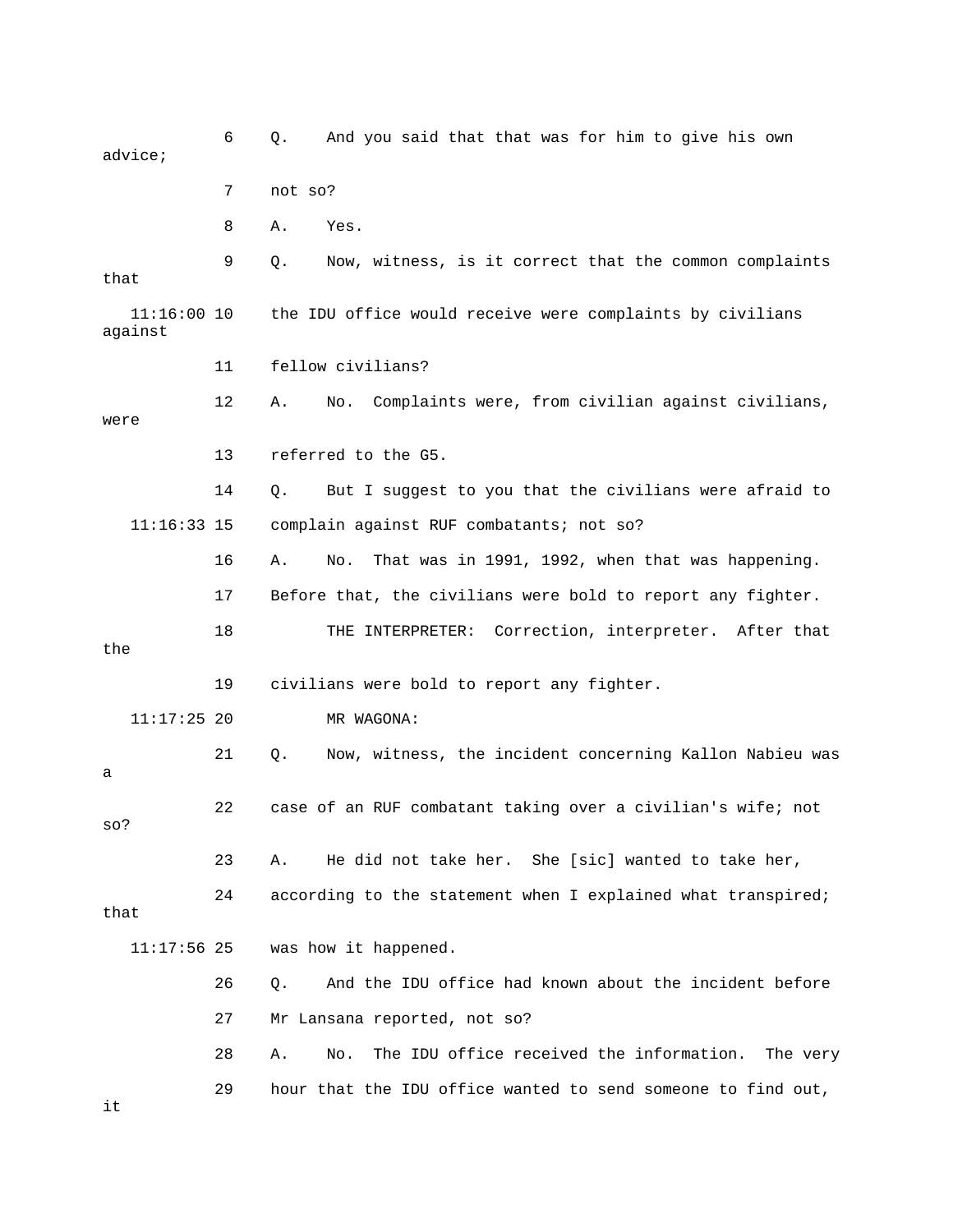6 Q. And you said that that was for him to give his own advice; 7 not so? 8 A. Yes. 9 Q. Now, witness, is it correct that the common complaints that 11:16:00 10 the IDU office would receive were complaints by civilians against 11 fellow civilians? 12 A. No. Complaints were, from civilian against civilians, were 13 referred to the G5. 14 Q. But I suggest to you that the civilians were afraid to 11:16:33 15 complain against RUF combatants; not so? 16 A. No. That was in 1991, 1992, when that was happening. 17 Before that, the civilians were bold to report any fighter. 18 THE INTERPRETER: Correction, interpreter. After that the 19 civilians were bold to report any fighter. 11:17:25 20 MR WAGONA: 21 Q. Now, witness, the incident concerning Kallon Nabieu was a 22 case of an RUF combatant taking over a civilian's wife; not so? 23 A. He did not take her. She [sic] wanted to take her, 24 according to the statement when I explained what transpired; that 11:17:56 25 was how it happened. 26 Q. And the IDU office had known about the incident before 27 Mr Lansana reported, not so? 28 A. No. The IDU office received the information. The very 29 hour that the IDU office wanted to send someone to find out, it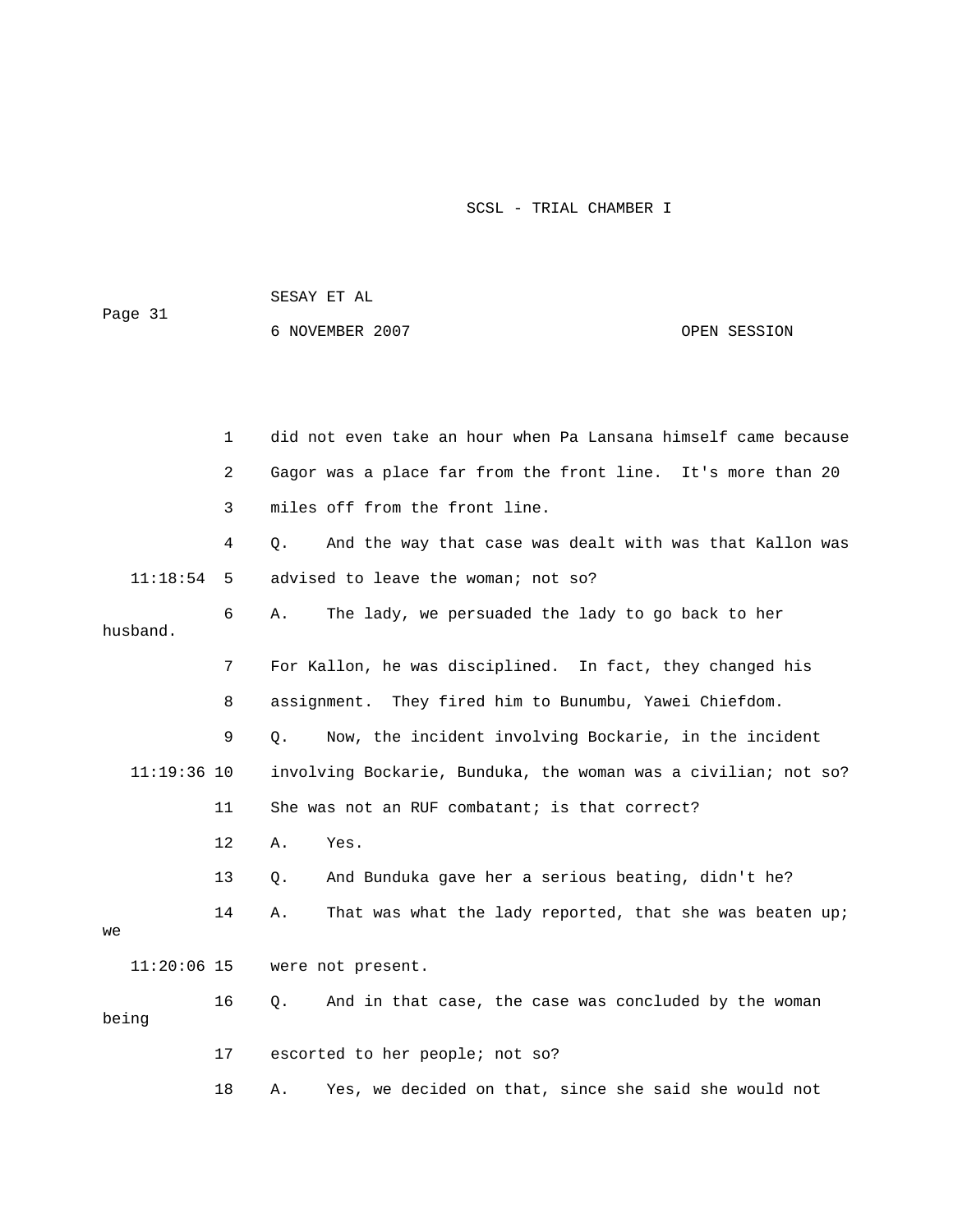SESAY ET AL

Page 31

6 NOVEMBER 2007 CPEN SESSION

|               | $\mathbf{1}$ | did not even take an hour when Pa Lansana himself came because |
|---------------|--------------|----------------------------------------------------------------|
|               | 2            | Gagor was a place far from the front line. It's more than 20   |
|               | 3            | miles off from the front line.                                 |
|               | 4            | And the way that case was dealt with was that Kallon was<br>О. |
| 11:18:54      | 5            | advised to leave the woman; not so?                            |
| husband.      | 6            | The lady, we persuaded the lady to go back to her<br>Α.        |
|               | 7            | For Kallon, he was disciplined. In fact, they changed his      |
|               | 8            | assignment. They fired him to Bunumbu, Yawei Chiefdom.         |
|               | 9            | Now, the incident involving Bockarie, in the incident<br>О.    |
| $11:19:36$ 10 |              | involving Bockarie, Bunduka, the woman was a civilian; not so? |
|               | 11           | She was not an RUF combatant; is that correct?                 |
|               | 12           | Yes.<br>Α.                                                     |
|               | 13           | And Bunduka gave her a serious beating, didn't he?<br>Q.       |
| we            | 14           | That was what the lady reported, that she was beaten up;<br>Α. |
| $11:20:06$ 15 |              | were not present.                                              |
| being         | 16           | And in that case, the case was concluded by the woman<br>Q.    |
|               | 17           | escorted to her people; not so?                                |

18 A. Yes, we decided on that, since she said she would not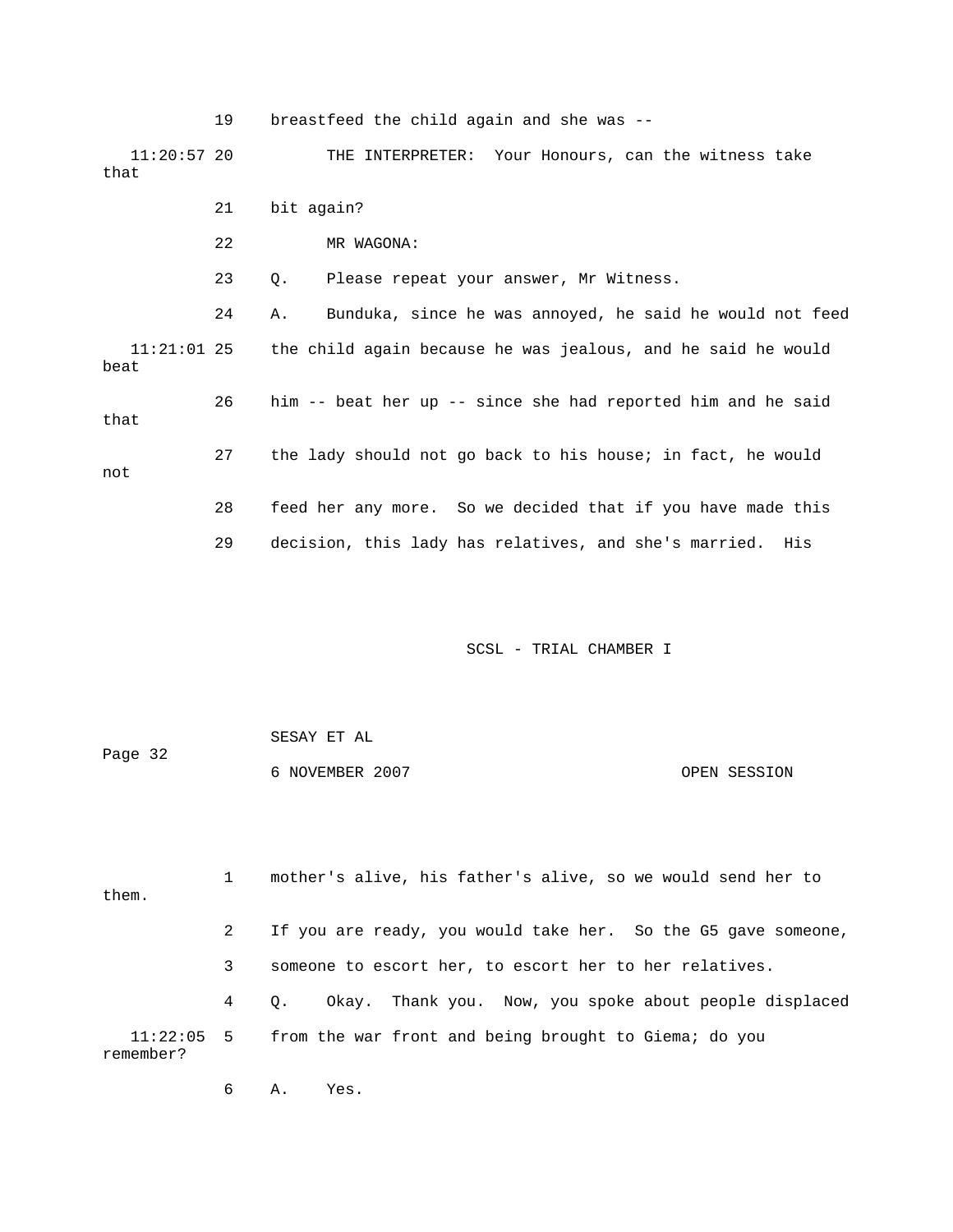19 breastfeed the child again and she was -- 11:20:57 20 THE INTERPRETER: Your Honours, can the witness take that 21 bit again? 22 MR WAGONA: 23 Q. Please repeat your answer, Mr Witness. 24 A. Bunduka, since he was annoyed, he said he would not feed 11:21:01 25 the child again because he was jealous, and he said he would beat 26 him -- beat her up -- since she had reported him and he said that 27 the lady should not go back to his house; in fact, he would not 28 feed her any more. So we decided that if you have made this 29 decision, this lady has relatives, and she's married. His

SCSL - TRIAL CHAMBER I

 SESAY ET AL Page 32 6 NOVEMBER 2007 OPEN SESSION

 1 mother's alive, his father's alive, so we would send her to them. 2 If you are ready, you would take her. So the G5 gave someone, 3 someone to escort her, to escort her to her relatives. 4 Q. Okay. Thank you. Now, you spoke about people displaced 11:22:05 5 from the war front and being brought to Giema; do you remember?

6 A. Yes.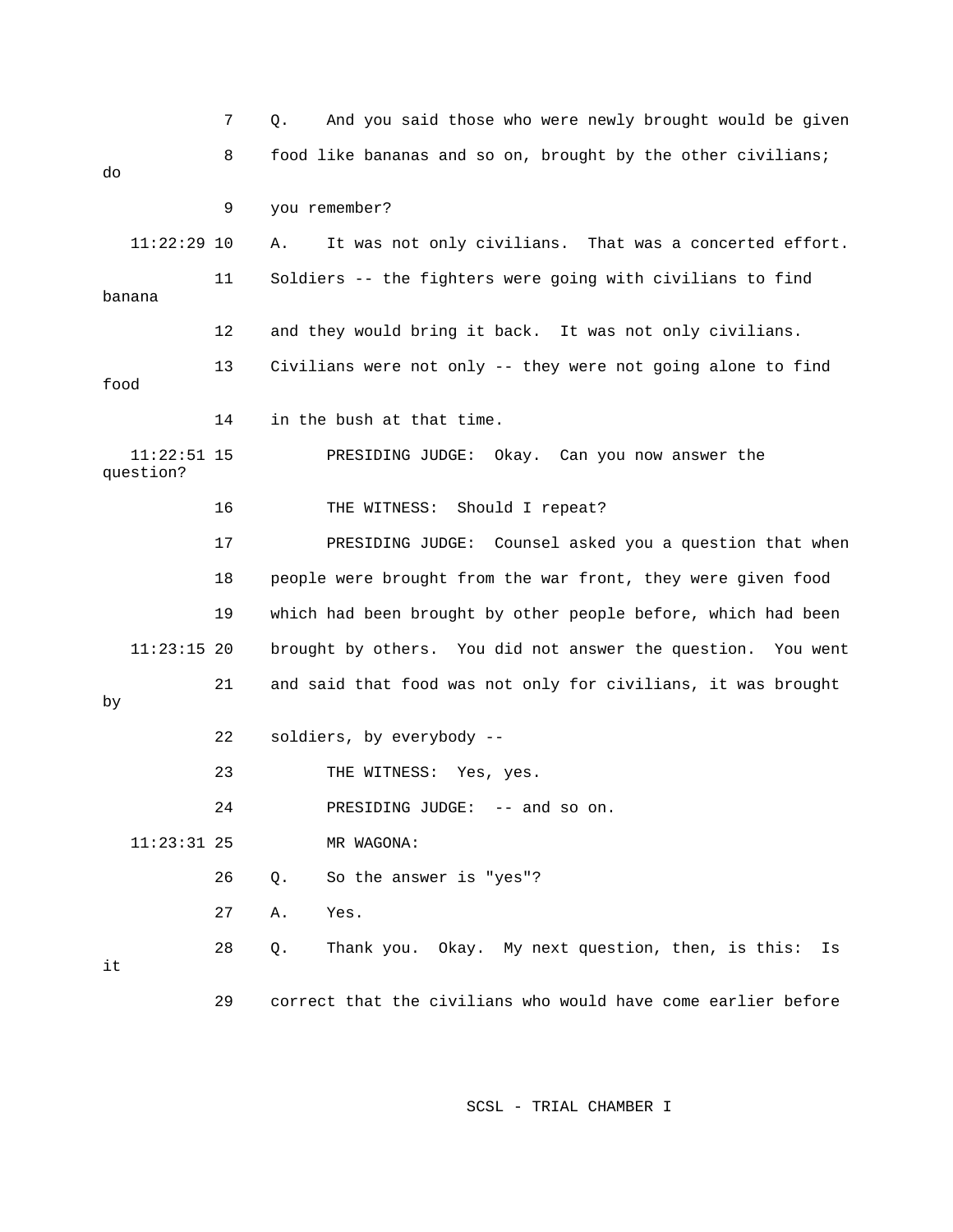|                            | 7  | And you said those who were newly brought would be given<br>Q. |
|----------------------------|----|----------------------------------------------------------------|
| do                         | 8  | food like bananas and so on, brought by the other civilians;   |
|                            | 9  | you remember?                                                  |
| $11:22:29$ 10              |    | It was not only civilians. That was a concerted effort.<br>Α.  |
| banana                     | 11 | Soldiers -- the fighters were going with civilians to find     |
|                            | 12 | and they would bring it back. It was not only civilians.       |
| food                       | 13 | Civilians were not only -- they were not going alone to find   |
|                            | 14 | in the bush at that time.                                      |
| $11:22:51$ 15<br>question? |    | PRESIDING JUDGE: Okay. Can you now answer the                  |
|                            | 16 | Should I repeat?<br>THE WITNESS:                               |
|                            | 17 | PRESIDING JUDGE: Counsel asked you a question that when        |
|                            | 18 | people were brought from the war front, they were given food   |
|                            | 19 | which had been brought by other people before, which had been  |
| $11:23:15$ 20              |    | brought by others. You did not answer the question. You went   |
| by                         | 21 | and said that food was not only for civilians, it was brought  |
|                            | 22 | soldiers, by everybody --                                      |
|                            | 23 | THE WITNESS: Yes, yes.                                         |
|                            | 24 | PRESIDING JUDGE: -- and so on.                                 |
| $11:23:31$ 25              |    | MR WAGONA:                                                     |
|                            | 26 | So the answer is "yes"?<br>Q.                                  |
|                            | 27 | Yes.<br>Α.                                                     |
| it                         | 28 | Thank you. Okay. My next question, then, is this:<br>Q.<br>Is  |
|                            | 29 | correct that the civilians who would have come earlier before  |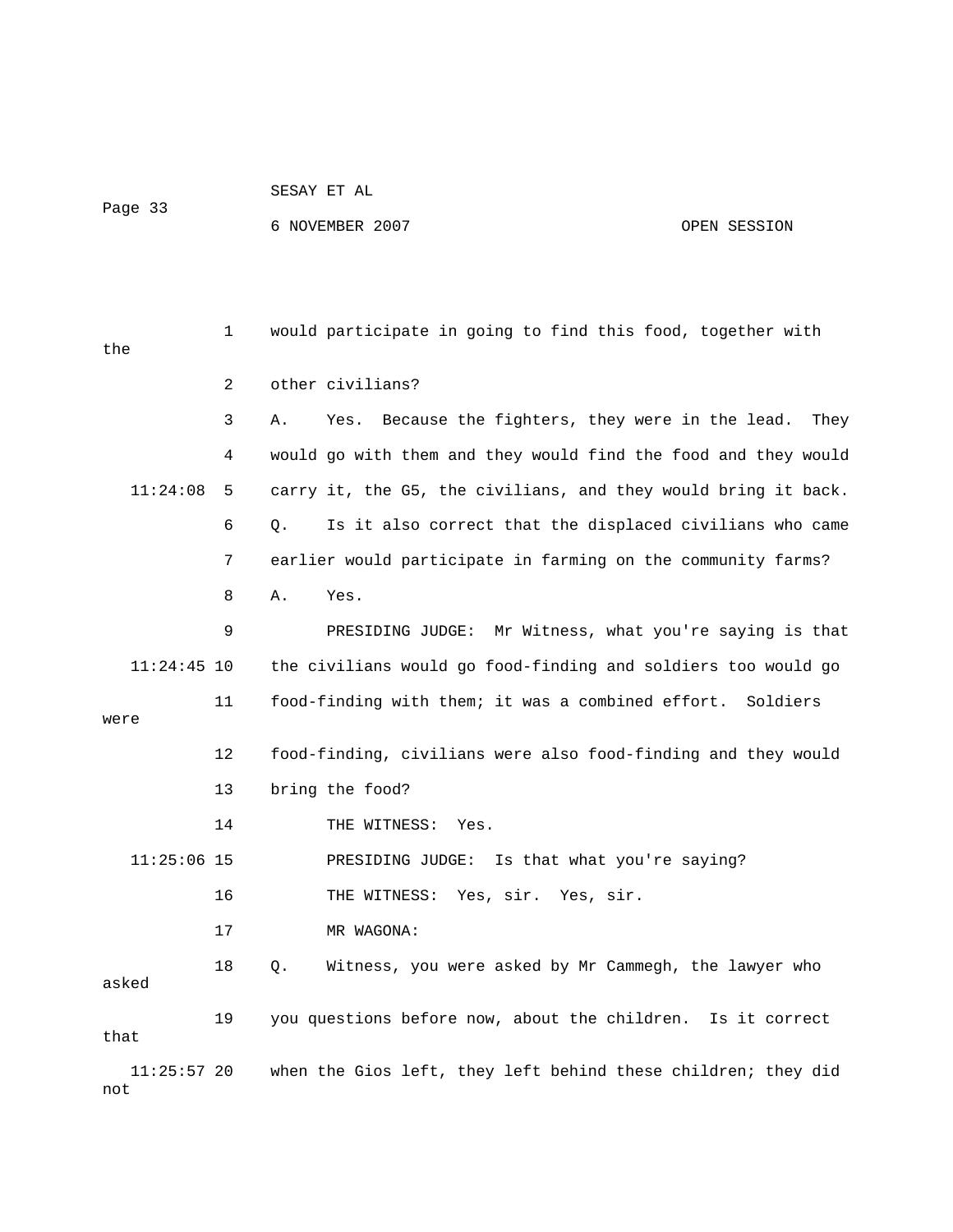# SESAY ET AL

Page 33

6 NOVEMBER 2007 OPEN SESSION

 1 would participate in going to find this food, together with the 2 other civilians? 3 A. Yes. Because the fighters, they were in the lead. They 4 would go with them and they would find the food and they would 11:24:08 5 carry it, the G5, the civilians, and they would bring it back. 6 Q. Is it also correct that the displaced civilians who came 7 earlier would participate in farming on the community farms? 8 A. Yes. 9 PRESIDING JUDGE: Mr Witness, what you're saying is that 11:24:45 10 the civilians would go food-finding and soldiers too would go 11 food-finding with them; it was a combined effort. Soldiers were 12 food-finding, civilians were also food-finding and they would 13 bring the food? 14 THE WITNESS: Yes. 11:25:06 15 PRESIDING JUDGE: Is that what you're saying? 16 THE WITNESS: Yes, sir. Yes, sir. 17 MR WAGONA: 18 Q. Witness, you were asked by Mr Cammegh, the lawyer who asked 19 you questions before now, about the children. Is it correct that 11:25:57 20 when the Gios left, they left behind these children; they did not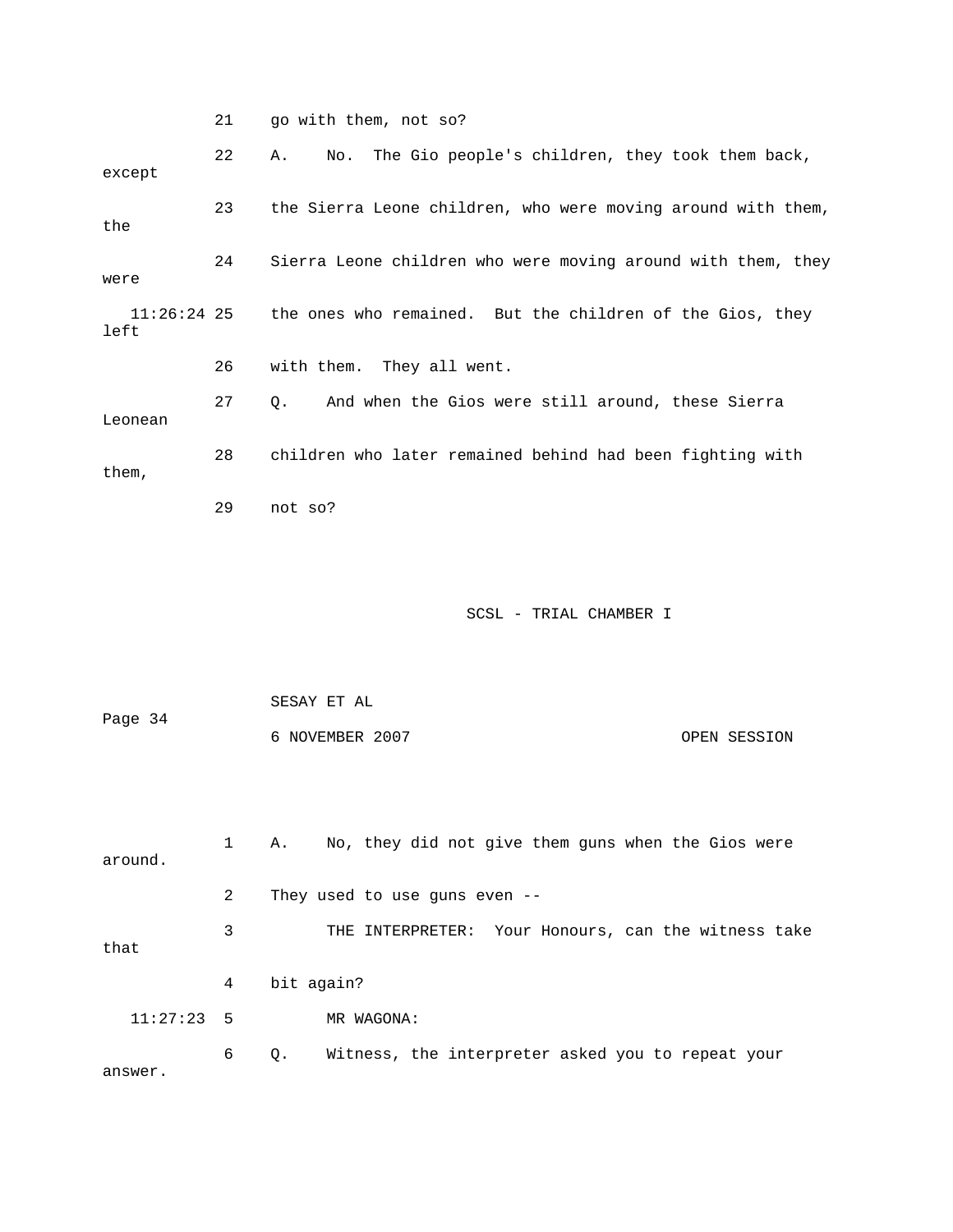|                       | 21 | go with them, not so?                                        |
|-----------------------|----|--------------------------------------------------------------|
| except                | 22 | The Gio people's children, they took them back,<br>No.<br>Α. |
| the                   | 23 | the Sierra Leone children, who were moving around with them, |
| were                  | 24 | Sierra Leone children who were moving around with them, they |
| $11:26:24$ 25<br>left |    | the ones who remained. But the children of the Gios, they    |
|                       | 26 | with them. They all went.                                    |
| Leonean               | 27 | And when the Gios were still around, these Sierra<br>Q.      |
| them,                 | 28 | children who later remained behind had been fighting with    |
|                       | 29 | not so?                                                      |
|                       |    |                                                              |
|                       |    | SCSL - TRIAL CHAMBER I                                       |
|                       |    |                                                              |
|                       |    |                                                              |
|                       |    | SESAY ET AL                                                  |
| Page 34               |    | 6 NOVEMBER 2007<br>OPEN SESSION                              |
|                       |    |                                                              |
| around.               | 1  | No, they did not give them guns when the Gios were<br>Α.     |
|                       | 2  | They used to use guns even --                                |
| that                  | 3  | THE INTERPRETER: Your Honours, can the witness take          |
|                       | 4  | bit again?                                                   |
| 11:27:23              | 5  | MR WAGONA:                                                   |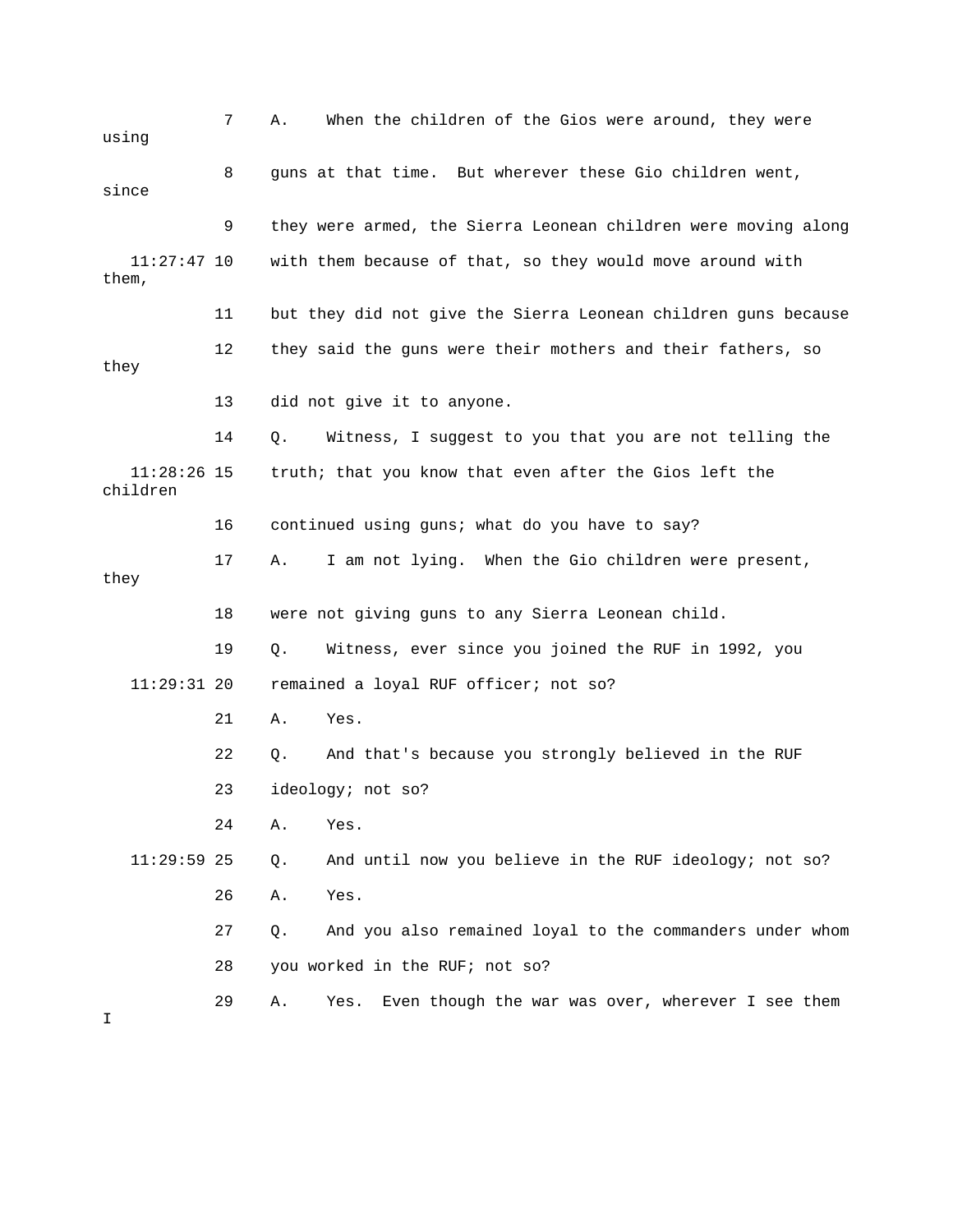| using                     | 7  | When the children of the Gios were around, they were<br>Α.      |
|---------------------------|----|-----------------------------------------------------------------|
| since                     | 8  | guns at that time. But wherever these Gio children went,        |
|                           | 9  | they were armed, the Sierra Leonean children were moving along  |
| $11:27:47$ 10<br>them,    |    | with them because of that, so they would move around with       |
|                           | 11 | but they did not give the Sierra Leonean children guns because  |
| they                      | 12 | they said the guns were their mothers and their fathers, so     |
|                           | 13 | did not give it to anyone.                                      |
|                           | 14 | Witness, I suggest to you that you are not telling the<br>Q.    |
| $11:28:26$ 15<br>children |    | truth; that you know that even after the Gios left the          |
|                           | 16 | continued using guns; what do you have to say?                  |
| they                      | 17 | I am not lying. When the Gio children were present,<br>Α.       |
|                           | 18 | were not giving guns to any Sierra Leonean child.               |
|                           | 19 | Witness, ever since you joined the RUF in 1992, you<br>Q.       |
| $11:29:31$ 20             |    | remained a loyal RUF officer; not so?                           |
|                           | 21 | Yes.<br>Α.                                                      |
|                           | 22 | And that's because you strongly believed in the RUF<br>Q.       |
|                           | 23 | ideology; not so?                                               |
|                           | 24 | Yes.<br>Α.                                                      |
| $11:29:59$ 25             |    | And until now you believe in the RUF ideology; not so?<br>Q.    |
|                           | 26 | Yes.<br>Α.                                                      |
|                           | 27 | And you also remained loyal to the commanders under whom<br>Q.  |
|                           | 28 | you worked in the RUF; not so?                                  |
| I.                        | 29 | Even though the war was over, wherever I see them<br>Α.<br>Yes. |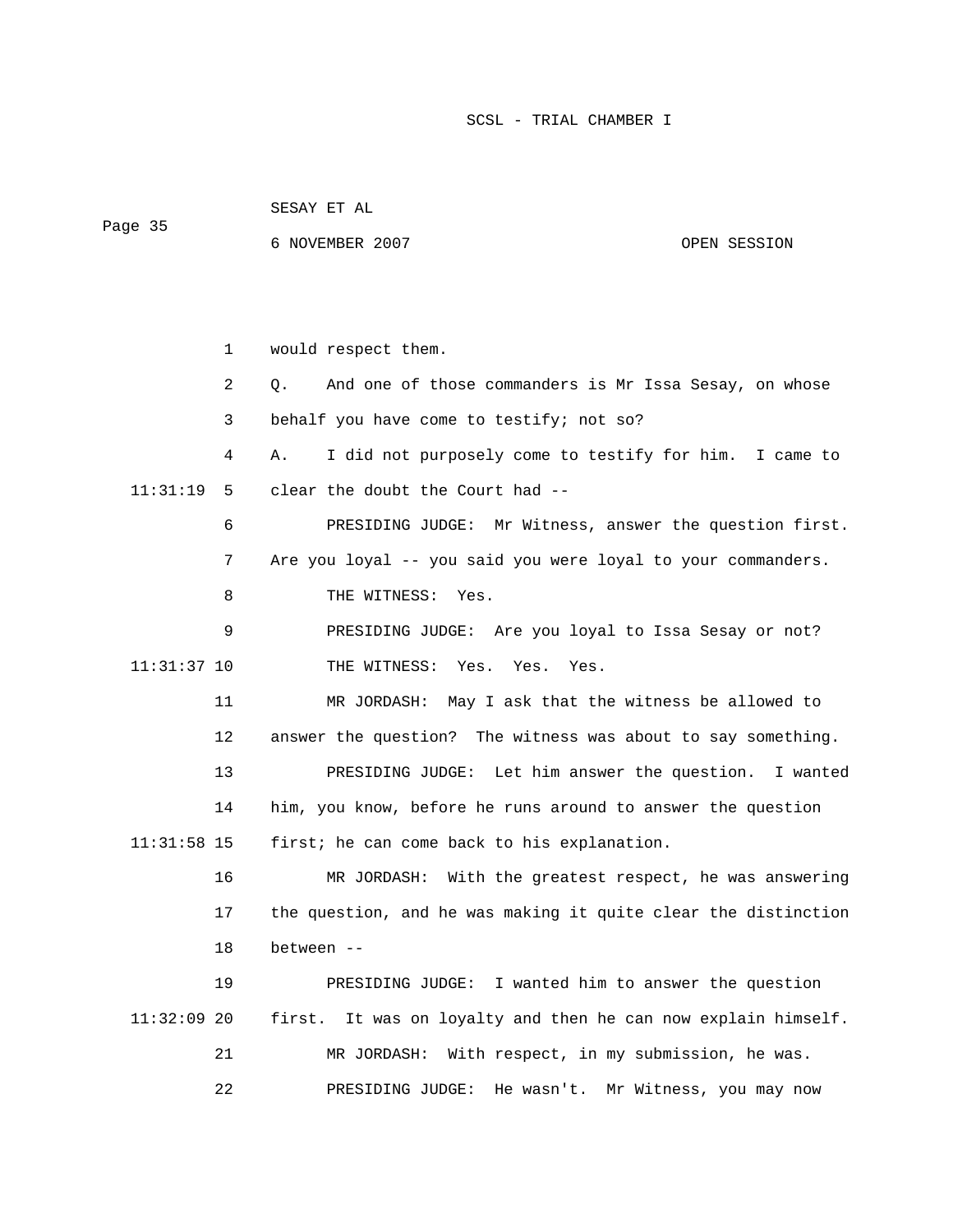SESAY ET AL Page 35

6 NOVEMBER 2007 OPEN SESSION

 1 would respect them. 2 Q. And one of those commanders is Mr Issa Sesay, on whose 3 behalf you have come to testify; not so? 4 A. I did not purposely come to testify for him. I came to 11:31:19 5 clear the doubt the Court had -- 6 PRESIDING JUDGE: Mr Witness, answer the question first. 7 Are you loyal -- you said you were loyal to your commanders. 8 THE WITNESS: Yes. 9 PRESIDING JUDGE: Are you loyal to Issa Sesay or not? 11:31:37 10 THE WITNESS: Yes. Yes. Yes. 11 MR JORDASH: May I ask that the witness be allowed to 12 answer the question? The witness was about to say something. 13 PRESIDING JUDGE: Let him answer the question. I wanted 14 him, you know, before he runs around to answer the question 11:31:58 15 first; he can come back to his explanation. 16 MR JORDASH: With the greatest respect, he was answering 17 the question, and he was making it quite clear the distinction 18 between -- 19 PRESIDING JUDGE: I wanted him to answer the question 11:32:09 20 first. It was on loyalty and then he can now explain himself. 21 MR JORDASH: With respect, in my submission, he was. 22 PRESIDING JUDGE: He wasn't. Mr Witness, you may now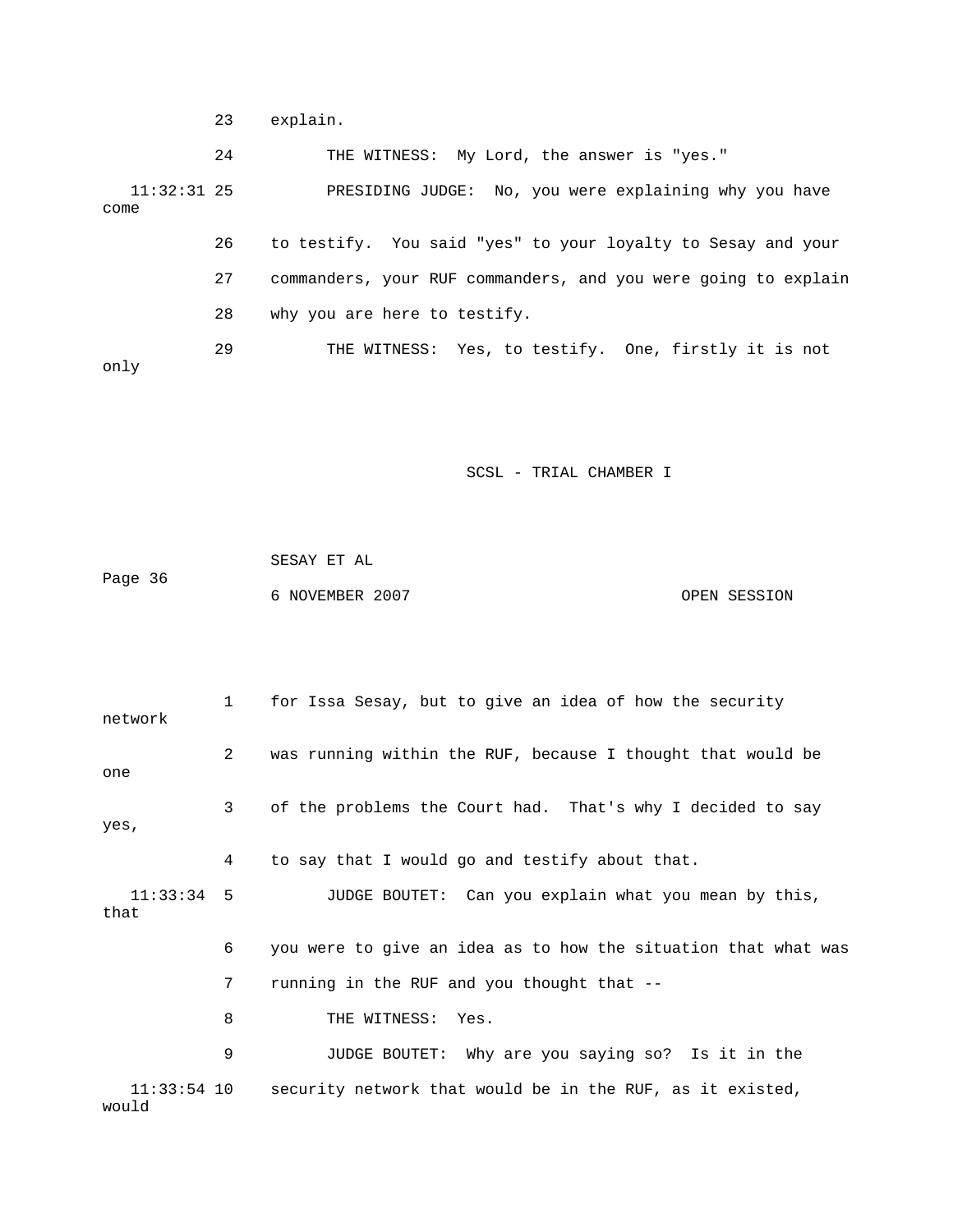23 explain.

 24 THE WITNESS: My Lord, the answer is "yes." 11:32:31 25 PRESIDING JUDGE: No, you were explaining why you have come 26 to testify. You said "yes" to your loyalty to Sesay and your 27 commanders, your RUF commanders, and you were going to explain 28 why you are here to testify. 29 THE WITNESS: Yes, to testify. One, firstly it is not only

SCSL - TRIAL CHAMBER I

 SESAY ET AL Page 36 6 NOVEMBER 2007 OPEN SESSION

 1 for Issa Sesay, but to give an idea of how the security network 2 was running within the RUF, because I thought that would be one 3 of the problems the Court had. That's why I decided to say yes, 4 to say that I would go and testify about that. 11:33:34 5 JUDGE BOUTET: Can you explain what you mean by this, that 6 you were to give an idea as to how the situation that what was 7 running in the RUF and you thought that -- 8 THE WITNESS: Yes. 9 JUDGE BOUTET: Why are you saying so? Is it in the 11:33:54 10 security network that would be in the RUF, as it existed, would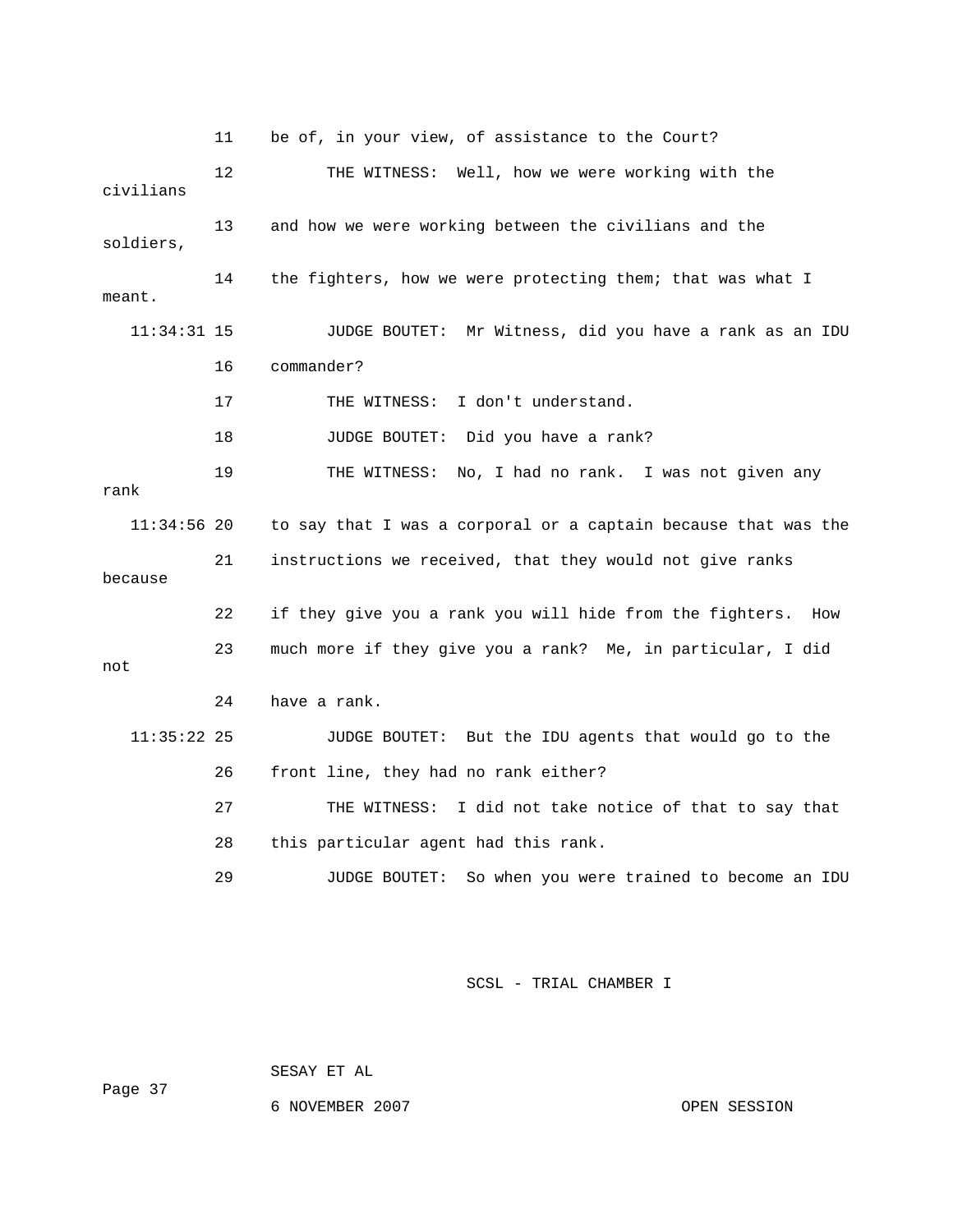11 be of, in your view, of assistance to the Court? 12 THE WITNESS: Well, how we were working with the civilians 13 and how we were working between the civilians and the soldiers, 14 the fighters, how we were protecting them; that was what I meant. 11:34:31 15 JUDGE BOUTET: Mr Witness, did you have a rank as an IDU 16 commander? 17 THE WITNESS: I don't understand. 18 JUDGE BOUTET: Did you have a rank? 19 THE WITNESS: No, I had no rank. I was not given any rank 11:34:56 20 to say that I was a corporal or a captain because that was the 21 instructions we received, that they would not give ranks because 22 if they give you a rank you will hide from the fighters. How 23 much more if they give you a rank? Me, in particular, I did not 24 have a rank. 11:35:22 25 JUDGE BOUTET: But the IDU agents that would go to the 26 front line, they had no rank either? 27 THE WITNESS: I did not take notice of that to say that 28 this particular agent had this rank. 29 JUDGE BOUTET: So when you were trained to become an IDU

SCSL - TRIAL CHAMBER I

SESAY ET AL

Page 37

6 NOVEMBER 2007 OPEN SESSION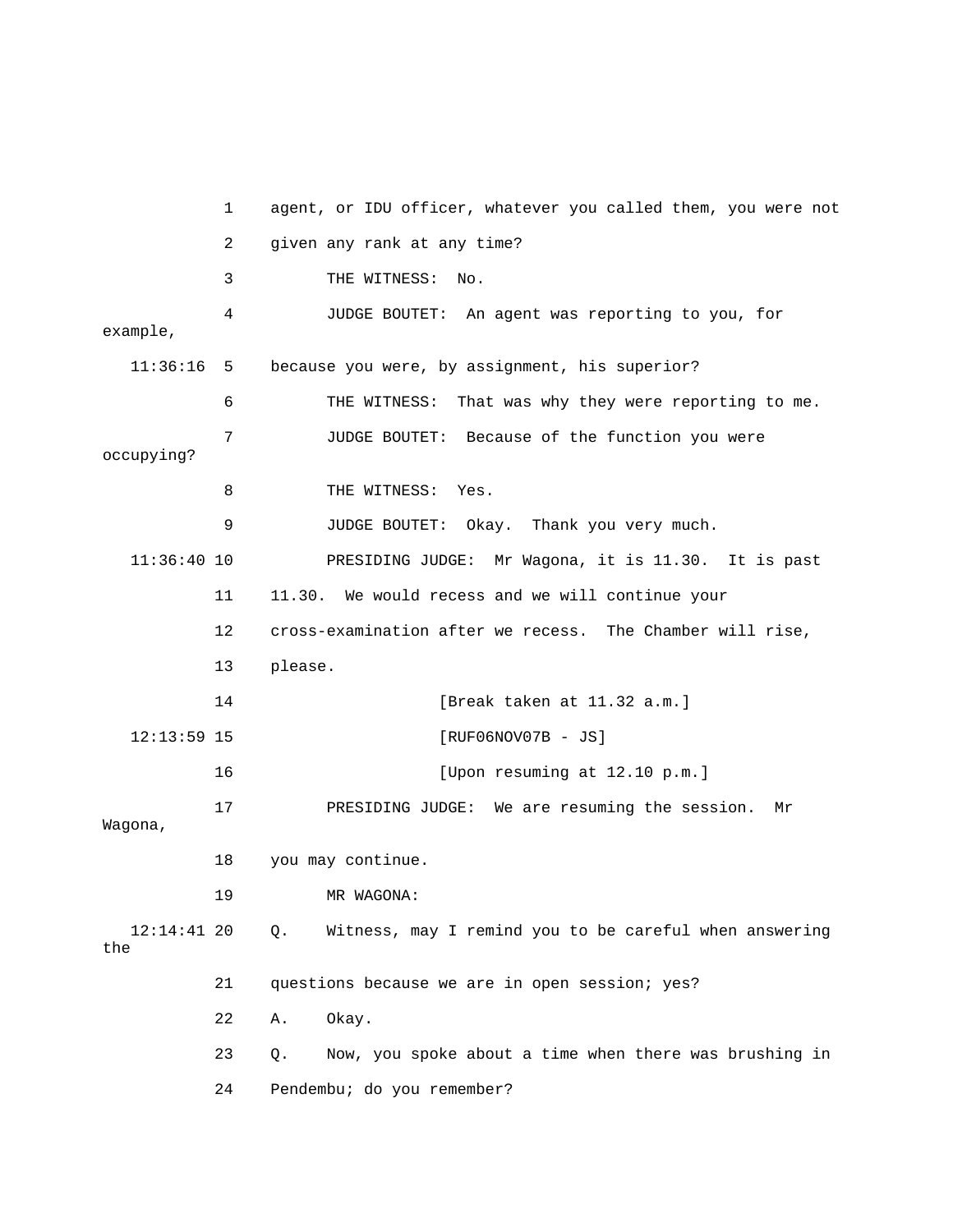1 agent, or IDU officer, whatever you called them, you were not 2 given any rank at any time? 3 THE WITNESS: No. 4 JUDGE BOUTET: An agent was reporting to you, for example, 11:36:16 5 because you were, by assignment, his superior? 6 THE WITNESS: That was why they were reporting to me. 7 JUDGE BOUTET: Because of the function you were occupying? 8 THE WITNESS: Yes. 9 JUDGE BOUTET: Okay. Thank you very much. 11:36:40 10 PRESIDING JUDGE: Mr Wagona, it is 11.30. It is past 11 11.30. We would recess and we will continue your 12 cross-examination after we recess. The Chamber will rise, 13 please. 14 [Break taken at 11.32 a.m.] 12:13:59 15 [RUF06NOV07B - JS] 16 [Upon resuming at 12.10 p.m.] 17 PRESIDING JUDGE: We are resuming the session. Mr Wagona, 18 you may continue. 19 MR WAGONA: 12:14:41 20 Q. Witness, may I remind you to be careful when answering the 21 questions because we are in open session; yes? 22 A. Okay. 23 Q. Now, you spoke about a time when there was brushing in 24 Pendembu; do you remember?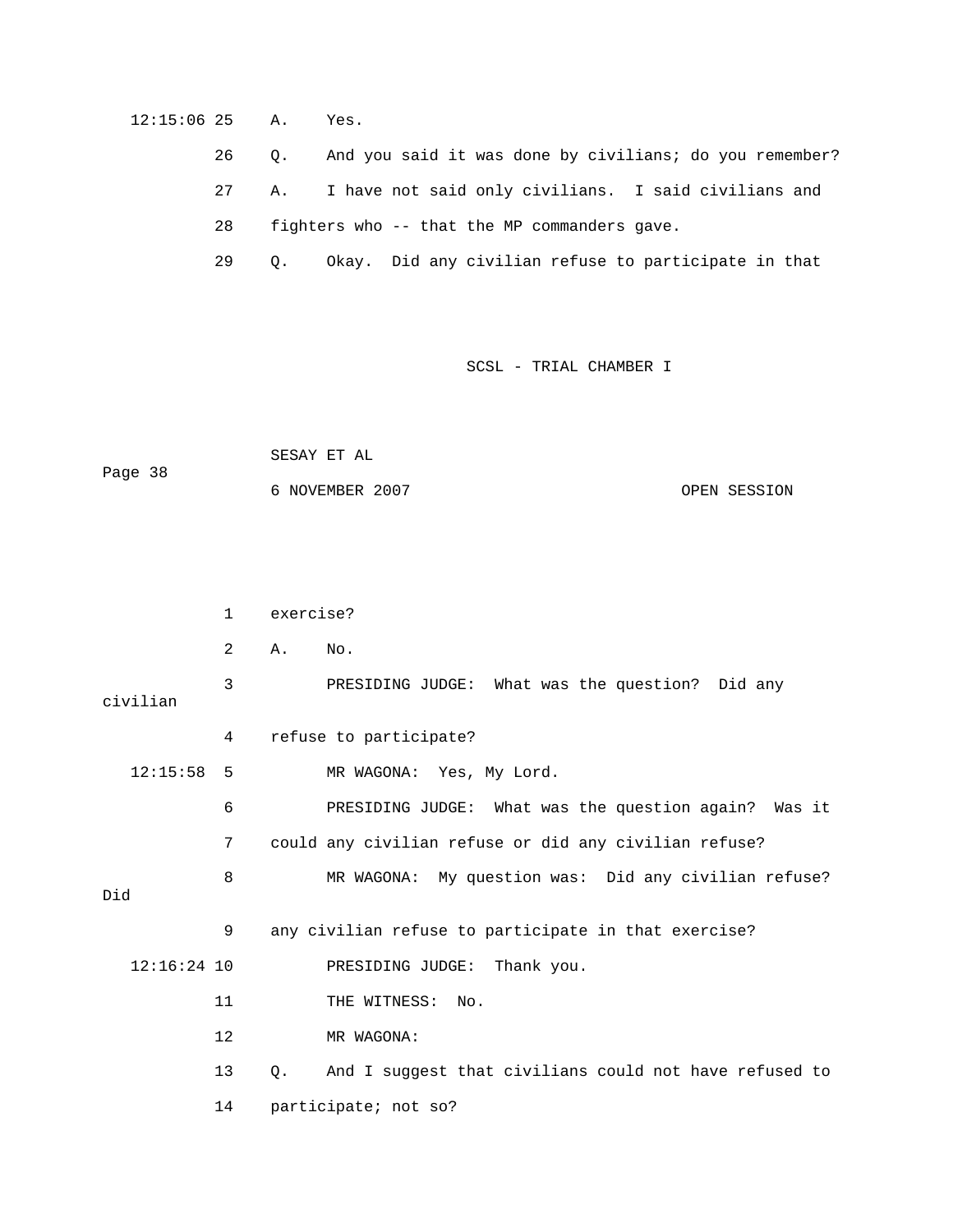12:15:06 25 A. Yes.

26 Q. And you said it was done by civilians; do you remember?

27 A. I have not said only civilians. I said civilians and

28 fighters who -- that the MP commanders gave.

29 Q. Okay. Did any civilian refuse to participate in that

SCSL - TRIAL CHAMBER I

```
 SESAY ET AL 
Page 38 
             6 NOVEMBER 2007 OPEN SESSION
```
 1 exercise? 2 A. No. 3 PRESIDING JUDGE: What was the question? Did any civilian 4 refuse to participate? 12:15:58 5 MR WAGONA: Yes, My Lord. 6 PRESIDING JUDGE: What was the question again? Was it 7 could any civilian refuse or did any civilian refuse? 8 MR WAGONA: My question was: Did any civilian refuse? Did 9 any civilian refuse to participate in that exercise? 12:16:24 10 PRESIDING JUDGE: Thank you. 11 THE WITNESS: No. 12 MR WAGONA: 13 Q. And I suggest that civilians could not have refused to 14 participate; not so?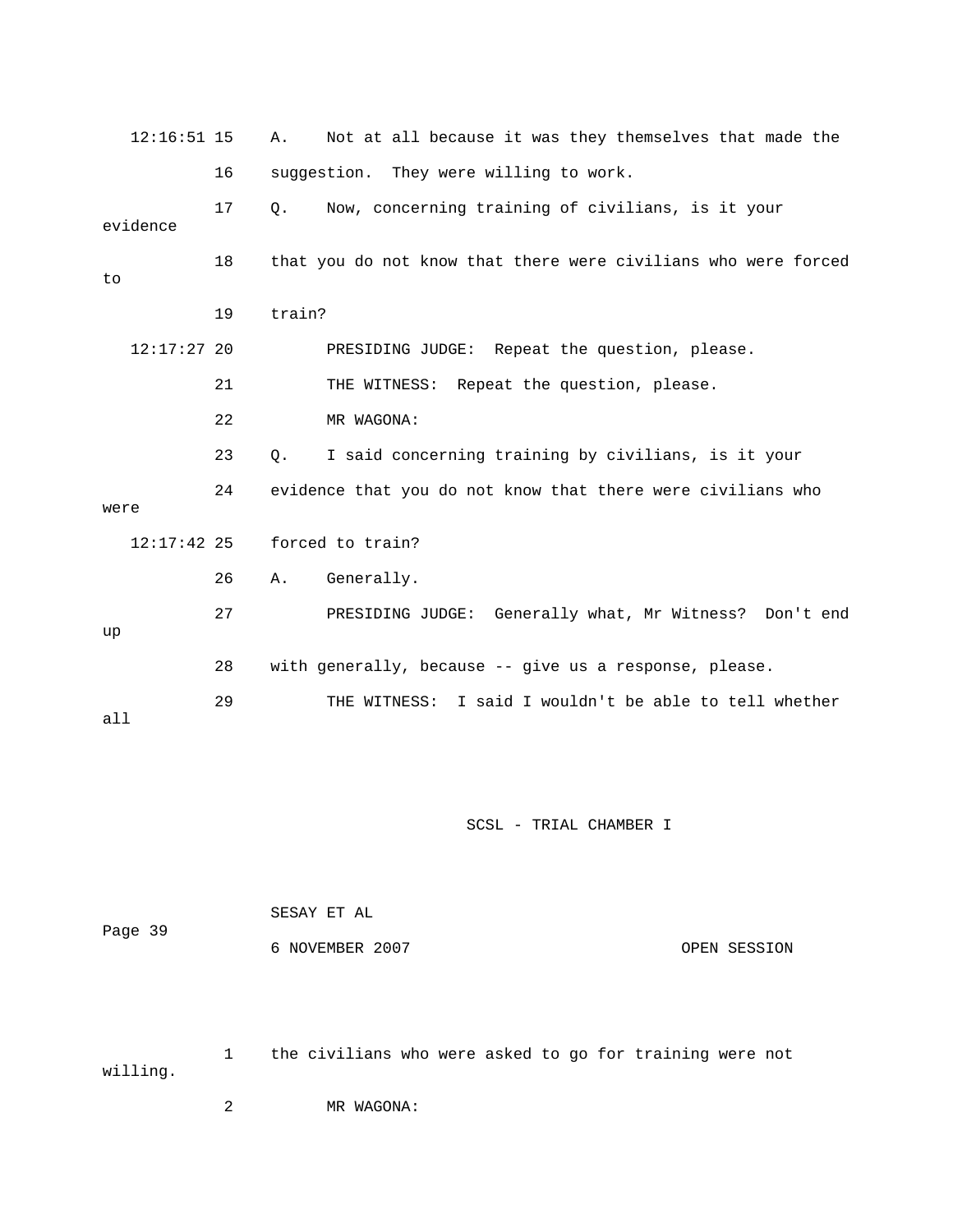| $12:16:51$ 15 |    | Α.     | Not at all because it was they themselves that made the        |
|---------------|----|--------|----------------------------------------------------------------|
|               | 16 |        | suggestion. They were willing to work.                         |
| evidence      | 17 | Q.     | Now, concerning training of civilians, is it your              |
| to            | 18 |        | that you do not know that there were civilians who were forced |
|               | 19 | train? |                                                                |
| $12:17:27$ 20 |    |        | PRESIDING JUDGE: Repeat the question, please.                  |
|               | 21 |        | THE WITNESS: Repeat the question, please.                      |
|               | 22 |        | MR WAGONA:                                                     |
|               | 23 | Q.     | I said concerning training by civilians, is it your            |
| were          | 24 |        | evidence that you do not know that there were civilians who    |
| $12:17:42$ 25 |    |        | forced to train?                                               |
|               | 26 | Α.     | Generally.                                                     |
| up            | 27 |        | PRESIDING JUDGE: Generally what, Mr Witness? Don't end         |
|               | 28 |        | with generally, because -- give us a response, please.         |
| all           | 29 |        | THE WITNESS: I said I wouldn't be able to tell whether         |

| Page 39 | SESAY ET AL     |              |
|---------|-----------------|--------------|
|         | 6 NOVEMBER 2007 | OPEN SESSION |

 1 the civilians who were asked to go for training were not willing.

2 MR WAGONA: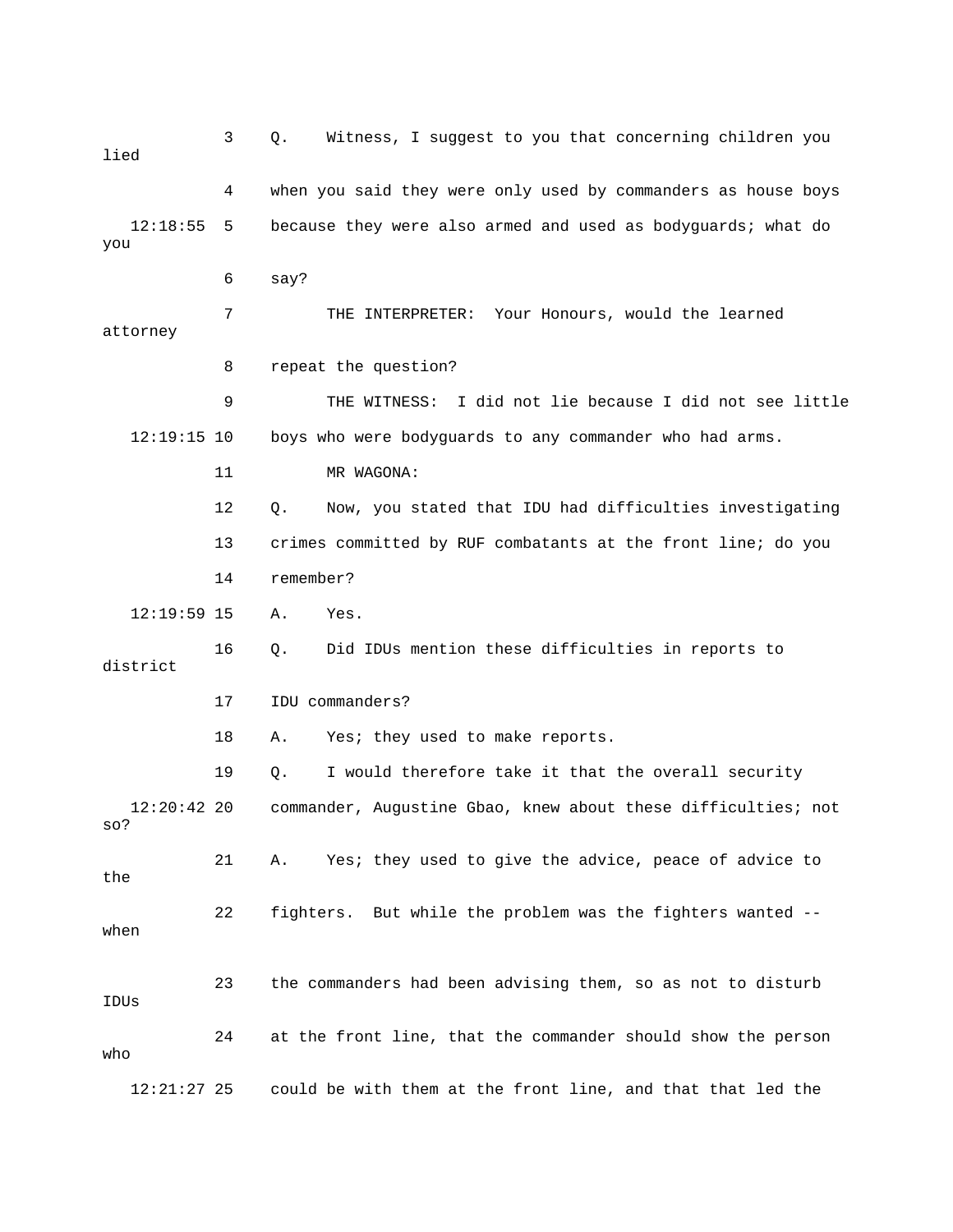3 Q. Witness, I suggest to you that concerning children you lied 4 when you said they were only used by commanders as house boys 12:18:55 5 because they were also armed and used as bodyguards; what do you 6 say? 7 THE INTERPRETER: Your Honours, would the learned attorney 8 repeat the question? 9 THE WITNESS: I did not lie because I did not see little 12:19:15 10 boys who were bodyguards to any commander who had arms. 11 MR WAGONA: 12 Q. Now, you stated that IDU had difficulties investigating 13 crimes committed by RUF combatants at the front line; do you 14 remember? 12:19:59 15 A. Yes. 16 Q. Did IDUs mention these difficulties in reports to district 17 IDU commanders? 18 A. Yes; they used to make reports. 19 Q. I would therefore take it that the overall security 12:20:42 20 commander, Augustine Gbao, knew about these difficulties; not so? 21 A. Yes; they used to give the advice, peace of advice to the 22 fighters. But while the problem was the fighters wanted - when 23 the commanders had been advising them, so as not to disturb IDUs 24 at the front line, that the commander should show the person who 12:21:27 25 could be with them at the front line, and that that led the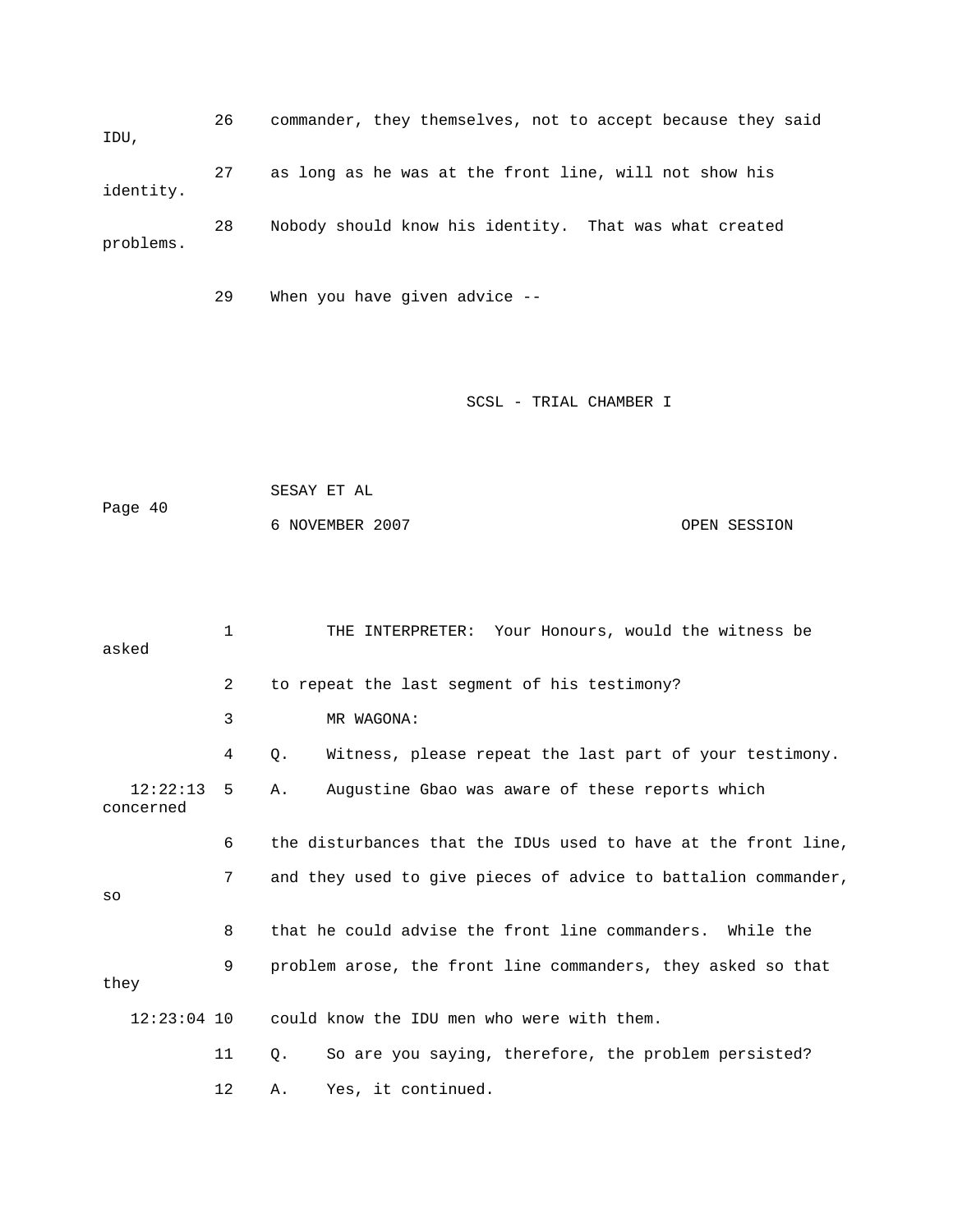26 commander, they themselves, not to accept because they said IDU, 27 as long as he was at the front line, will not show his identity. 28 Nobody should know his identity. That was what created problems.

29 When you have given advice --

### SCSL - TRIAL CHAMBER I

 SESAY ET AL Page 40 6 NOVEMBER 2007 OPEN SESSION

| asked                 | $\mathbf{1}$ | THE INTERPRETER: Your Honours, would the witness be            |
|-----------------------|--------------|----------------------------------------------------------------|
|                       | 2            | to repeat the last seqment of his testimony?                   |
|                       | 3            | MR WAGONA:                                                     |
|                       | 4            | Witness, please repeat the last part of your testimony.<br>Q.  |
| 12:22:13<br>concerned | 5            | Augustine Gbao was aware of these reports which<br>Α.          |
|                       | 6            | the disturbances that the IDUs used to have at the front line, |
| SO                    | 7            | and they used to give pieces of advice to battalion commander, |
|                       | 8            | that he could advise the front line commanders. While the      |
| they                  | 9            | problem arose, the front line commanders, they asked so that   |
| $12:23:04$ 10         |              | could know the IDU men who were with them.                     |
|                       | 11           | So are you saying, therefore, the problem persisted?<br>Q.     |
|                       | 12           | Yes, it continued.<br>Α.                                       |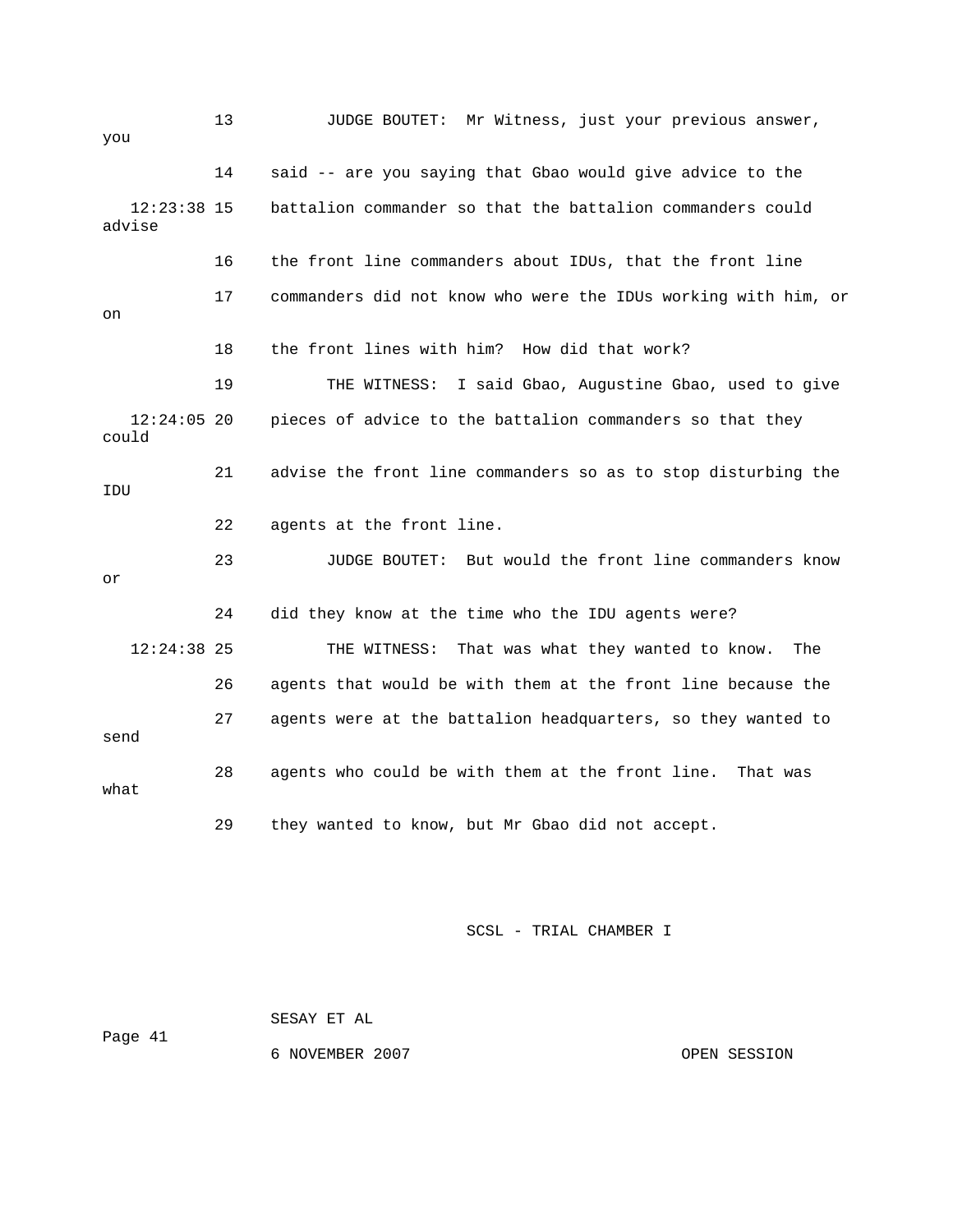| you                     | 13 | JUDGE BOUTET: Mr Witness, just your previous answer,           |
|-------------------------|----|----------------------------------------------------------------|
|                         | 14 | said -- are you saying that Gbao would give advice to the      |
| $12:23:38$ 15<br>advise |    | battalion commander so that the battalion commanders could     |
|                         | 16 | the front line commanders about IDUs, that the front line      |
| on                      | 17 | commanders did not know who were the IDUs working with him, or |
|                         | 18 | the front lines with him? How did that work?                   |
|                         | 19 | THE WITNESS: I said Gbao, Augustine Gbao, used to give         |
| $12:24:05$ 20<br>could  |    | pieces of advice to the battalion commanders so that they      |
| IDU                     | 21 | advise the front line commanders so as to stop disturbing the  |
|                         | 22 | agents at the front line.                                      |
| or                      | 23 | JUDGE BOUTET: But would the front line commanders know         |
|                         | 24 | did they know at the time who the IDU agents were?             |
| $12:24:38$ 25           |    | That was what they wanted to know.<br>THE WITNESS:<br>The      |
|                         | 26 | agents that would be with them at the front line because the   |
| send                    | 27 | agents were at the battalion headquarters, so they wanted to   |
| what                    | 28 | agents who could be with them at the front line. That was      |
|                         | 29 | they wanted to know, but Mr Gbao did not accept.               |

 SESAY ET AL Page 41 6 NOVEMBER 2007 CPEN SESSION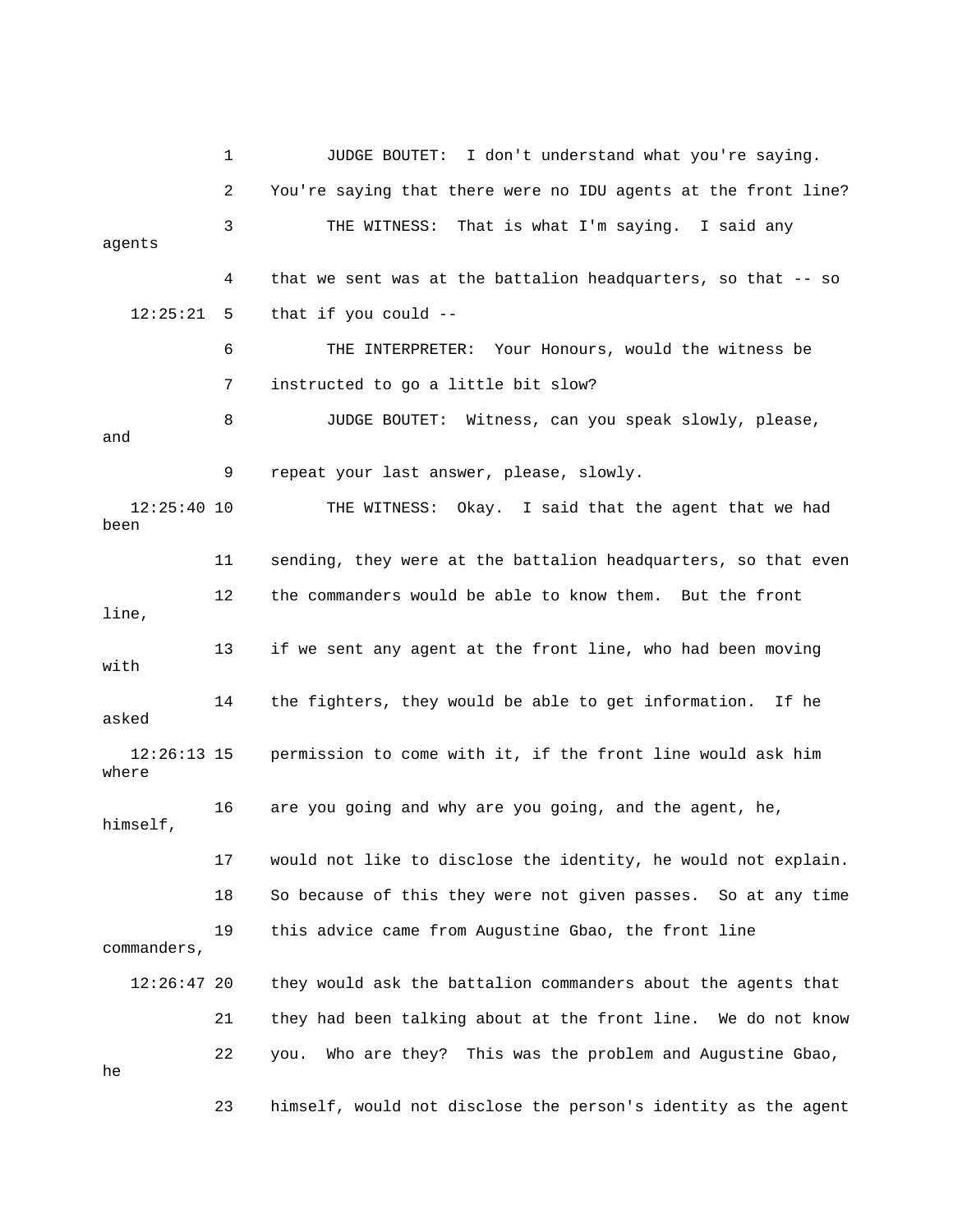1 JUDGE BOUTET: I don't understand what you're saying. 2 You're saying that there were no IDU agents at the front line? 3 THE WITNESS: That is what I'm saying. I said any agents 4 that we sent was at the battalion headquarters, so that -- so  $12:25:21$  5 that if you could  $-$  6 THE INTERPRETER: Your Honours, would the witness be 7 instructed to go a little bit slow? 8 JUDGE BOUTET: Witness, can you speak slowly, please, and 9 repeat your last answer, please, slowly. 12:25:40 10 THE WITNESS: Okay. I said that the agent that we had been 11 sending, they were at the battalion headquarters, so that even 12 the commanders would be able to know them. But the front line, 13 if we sent any agent at the front line, who had been moving with 14 the fighters, they would be able to get information. If he asked 12:26:13 15 permission to come with it, if the front line would ask him where 16 are you going and why are you going, and the agent, he, himself, 17 would not like to disclose the identity, he would not explain. 18 So because of this they were not given passes. So at any time 19 this advice came from Augustine Gbao, the front line commanders, 12:26:47 20 they would ask the battalion commanders about the agents that 21 they had been talking about at the front line. We do not know 22 you. Who are they? This was the problem and Augustine Gbao, he 23 himself, would not disclose the person's identity as the agent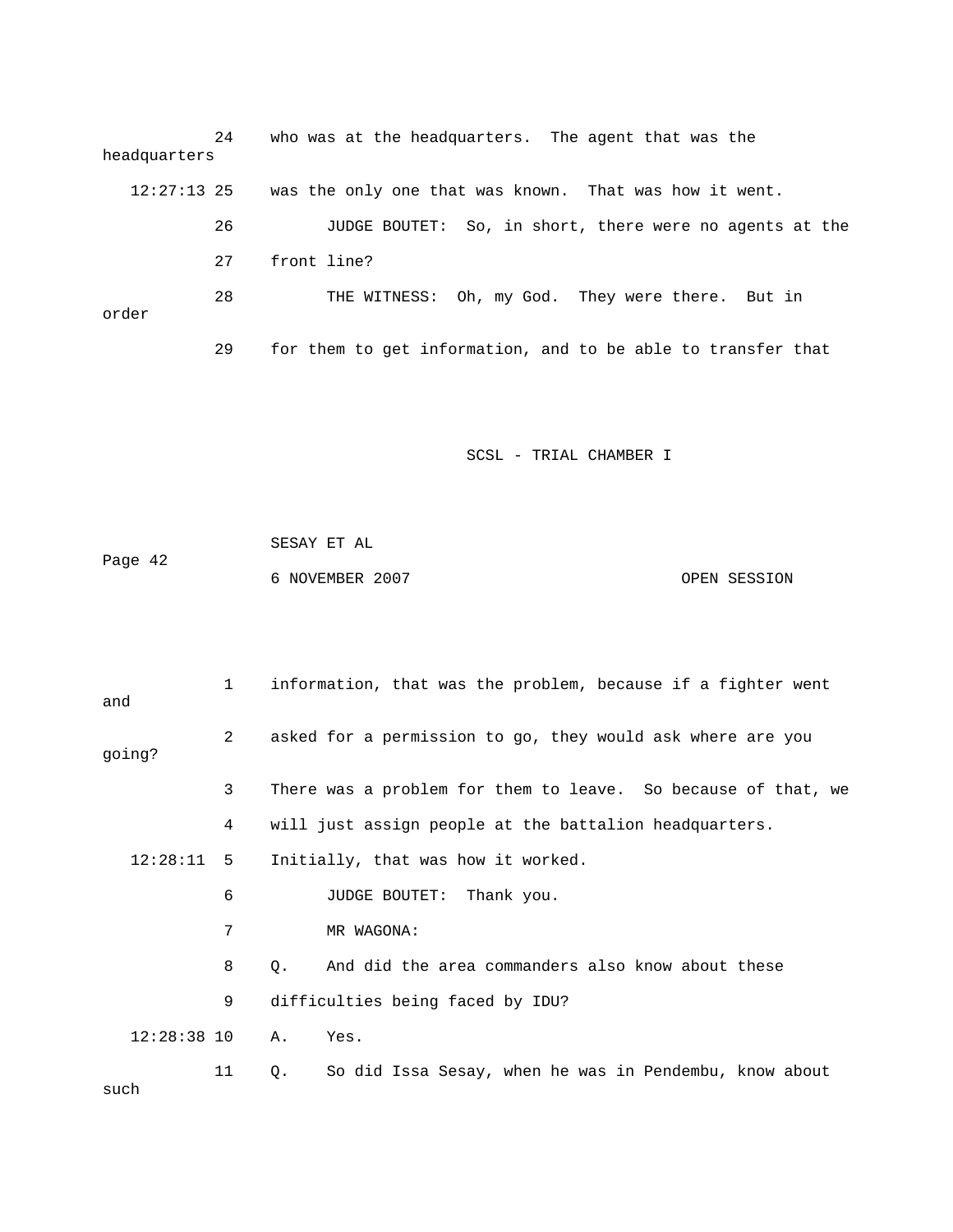| headquarters | 24 | who was at the headquarters. The agent that was the          |
|--------------|----|--------------------------------------------------------------|
| 12:27:13 25  |    | was the only one that was known. That was how it went.       |
|              | 26 | JUDGE BOUTET: So, in short, there were no agents at the      |
|              | 27 | front line?                                                  |
| order        | 28 | THE WITNESS: Oh, my God. They were there. But in             |
|              | 29 | for them to get information, and to be able to transfer that |

|         | SESAY ET AL     |              |
|---------|-----------------|--------------|
| Page 42 |                 |              |
|         | 6 NOVEMBER 2007 | OPEN SESSION |

| and           | $\mathbf{1}$   | information, that was the problem, because if a fighter went  |
|---------------|----------------|---------------------------------------------------------------|
| qoing?        | $\overline{2}$ | asked for a permission to go, they would ask where are you    |
|               | 3              | There was a problem for them to leave. So because of that, we |
|               | 4              | will just assign people at the battalion headquarters.        |
| $12:28:11$ 5  |                | Initially, that was how it worked.                            |
|               | 6              | JUDGE BOUTET: Thank you.                                      |
|               | 7              | MR WAGONA:                                                    |
|               | 8              | And did the area commanders also know about these<br>Q.       |
|               | 9              | difficulties being faced by IDU?                              |
| $12:28:38$ 10 |                | Α.<br>Yes.                                                    |
| such          | 11             | So did Issa Sesay, when he was in Pendembu, know about<br>Q.  |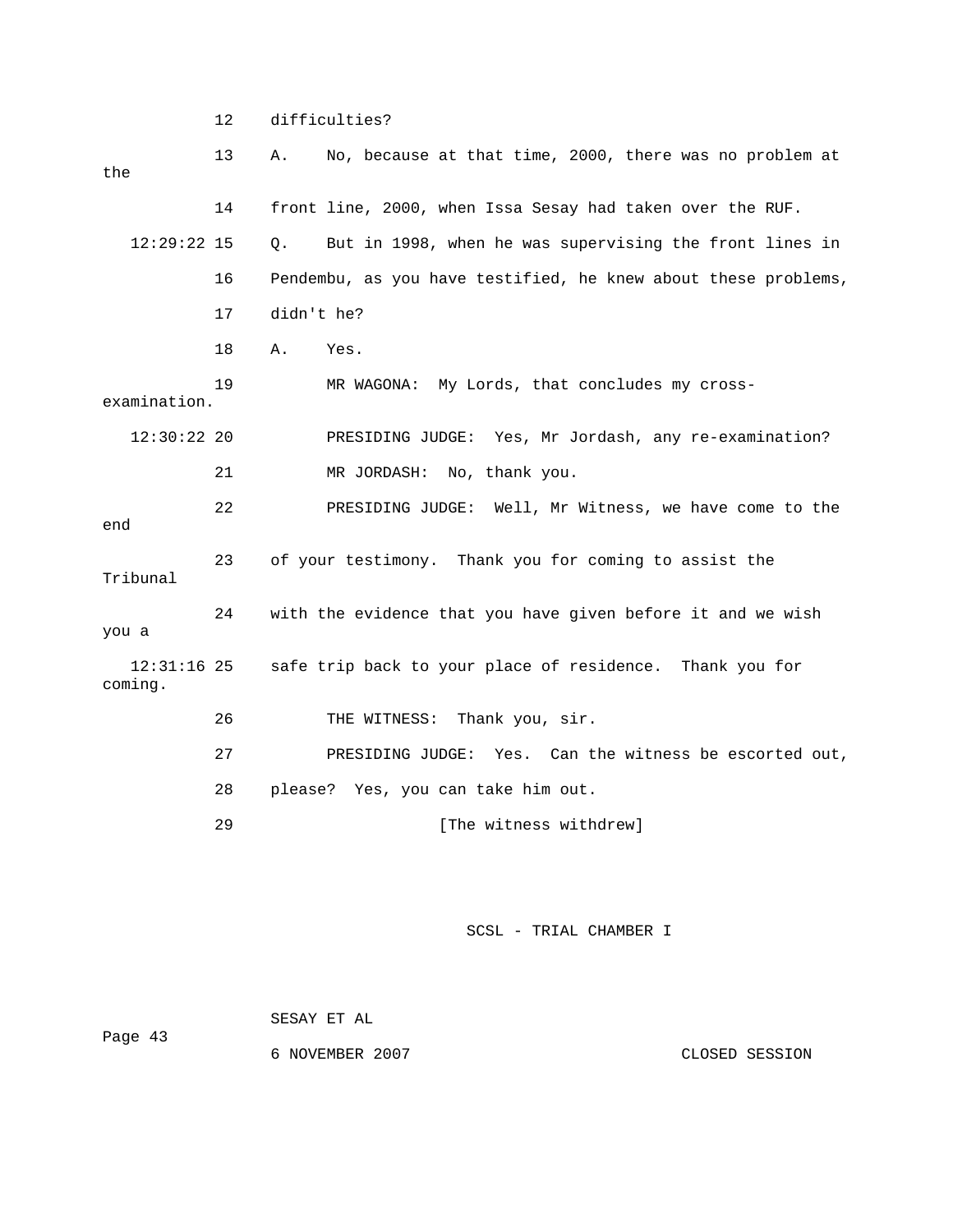12 difficulties?

| the                      | 13 | No, because at that time, 2000, there was no problem at<br>Α.    |
|--------------------------|----|------------------------------------------------------------------|
|                          | 14 | front line, 2000, when Issa Sesay had taken over the RUF.        |
| $12:29:22$ 15            |    | But in 1998, when he was supervising the front lines in<br>$Q$ . |
|                          | 16 | Pendembu, as you have testified, he knew about these problems,   |
|                          | 17 | didn't he?                                                       |
|                          | 18 | Α.<br>Yes.                                                       |
| examination.             | 19 | My Lords, that concludes my cross-<br>MR WAGONA:                 |
| 12:30:222                |    | PRESIDING JUDGE: Yes, Mr Jordash, any re-examination?            |
|                          | 21 | MR JORDASH:<br>No, thank you.                                    |
| end                      | 22 | PRESIDING JUDGE: Well, Mr Witness, we have come to the           |
| Tribunal                 | 23 | of your testimony. Thank you for coming to assist the            |
| you a                    | 24 | with the evidence that you have given before it and we wish      |
| $12:31:16$ 25<br>coming. |    | safe trip back to your place of residence. Thank you for         |
|                          | 26 | Thank you, sir.<br>THE WITNESS:                                  |
|                          | 27 | PRESIDING JUDGE: Yes. Can the witness be escorted out,           |
|                          | 28 | please? Yes, you can take him out.                               |
|                          | 29 | [The witness withdrew]                                           |

SCSL - TRIAL CHAMBER I

 SESAY ET AL Page 43 6 NOVEMBER 2007 CLOSED SESSION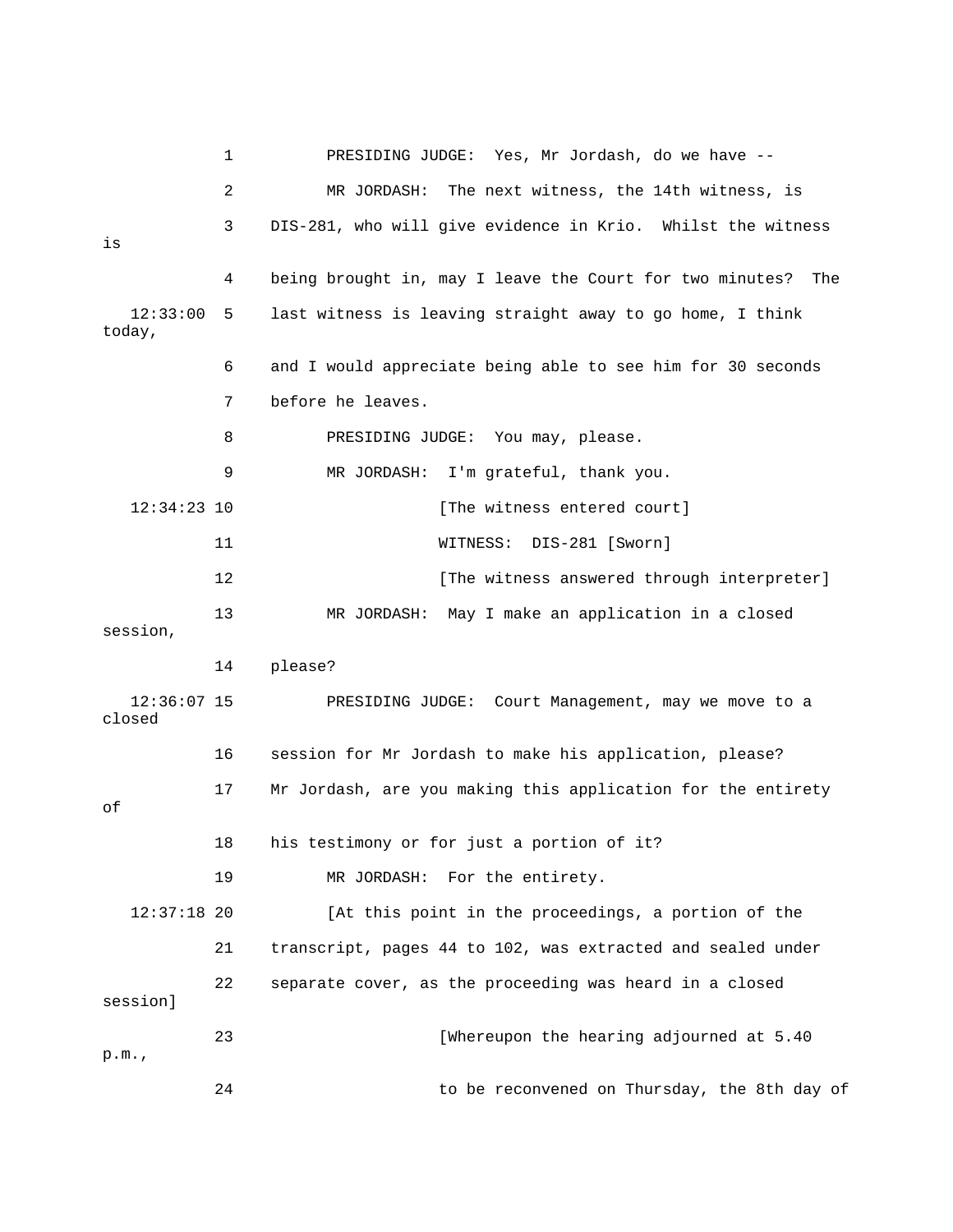|                         | 1  | PRESIDING JUDGE: Yes, Mr Jordash, do we have --              |
|-------------------------|----|--------------------------------------------------------------|
|                         | 2  | The next witness, the 14th witness, is<br>MR JORDASH:        |
| is                      | 3  | DIS-281, who will give evidence in Krio. Whilst the witness  |
|                         | 4  | being brought in, may I leave the Court for two minutes? The |
| 12:33:00<br>today,      | 5  | last witness is leaving straight away to go home, I think    |
|                         | 6  | and I would appreciate being able to see him for 30 seconds  |
|                         | 7  | before he leaves.                                            |
|                         | 8  | PRESIDING JUDGE: You may, please.                            |
|                         | 9  | MR JORDASH: I'm grateful, thank you.                         |
| $12:34:23$ 10           |    | [The witness entered court]                                  |
|                         | 11 | DIS-281 [Sworn]<br>WITNESS:                                  |
|                         | 12 | [The witness answered through interpreter]                   |
| session,                | 13 | MR JORDASH: May I make an application in a closed            |
|                         | 14 | please?                                                      |
| $12:36:07$ 15<br>closed |    | PRESIDING JUDGE: Court Management, may we move to a          |
|                         | 16 | session for Mr Jordash to make his application, please?      |
| оf                      | 17 | Mr Jordash, are you making this application for the entirety |
|                         | 18 | his testimony or for just a portion of it?                   |
|                         | 19 | MR JORDASH: For the entirety.                                |
| $12:37:18$ 20           |    | [At this point in the proceedings, a portion of the          |
|                         | 21 | transcript, pages 44 to 102, was extracted and sealed under  |
| session]                | 22 | separate cover, as the proceeding was heard in a closed      |
| p.m.                    | 23 | [Whereupon the hearing adjourned at 5.40                     |
|                         | 24 | to be reconvened on Thursday, the 8th day of                 |